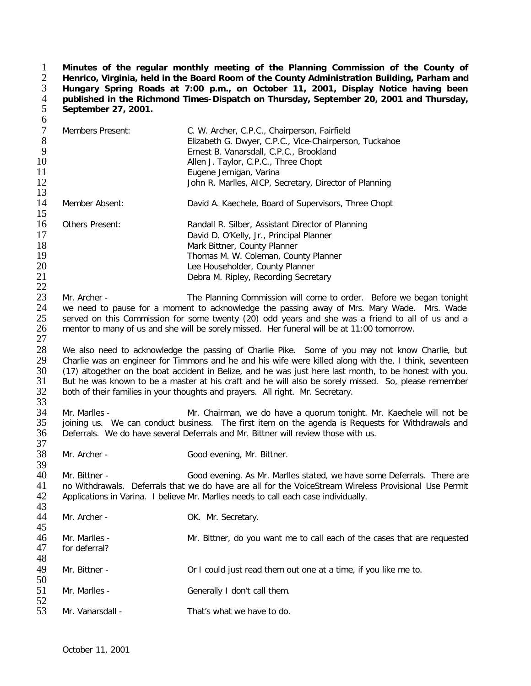**Minutes of the regular monthly meeting of the Planning Commission of the County of Henrico, Virginia, held in the Board Room of the County Administration Building, Parham and Hungary Spring Roads at 7:00 p.m., on October 11, 2001, Display Notice having been published in the Richmond Times-Dispatch on Thursday, September 20, 2001 and Thursday, September 27, 2001.**  $\frac{1}{2}$   $\frac{3}{4}$   $\frac{4}{5}$  6

| v<br>$\tau$<br>$\,8\,$<br>$\overline{9}$<br>10<br>11<br>12<br>13 | Members Present:               | C. W. Archer, C.P.C., Chairperson, Fairfield<br>Elizabeth G. Dwyer, C.P.C., Vice-Chairperson, Tuckahoe<br>Ernest B. Vanarsdall, C.P.C., Brookland<br>Allen J. Taylor, C.P.C., Three Chopt<br>Eugene Jernigan, Varina<br>John R. Marlles, AICP, Secretary, Director of Planning                                                                                                                                                                                                                               |
|------------------------------------------------------------------|--------------------------------|--------------------------------------------------------------------------------------------------------------------------------------------------------------------------------------------------------------------------------------------------------------------------------------------------------------------------------------------------------------------------------------------------------------------------------------------------------------------------------------------------------------|
| 14<br>15                                                         | Member Absent:                 | David A. Kaechele, Board of Supervisors, Three Chopt                                                                                                                                                                                                                                                                                                                                                                                                                                                         |
| 16<br>17<br>18<br>19<br>20<br>21<br>22                           | Others Present:                | Randall R. Silber, Assistant Director of Planning<br>David D. O'Kelly, Jr., Principal Planner<br>Mark Bittner, County Planner<br>Thomas M. W. Coleman, County Planner<br>Lee Householder, County Planner<br>Debra M. Ripley, Recording Secretary                                                                                                                                                                                                                                                             |
| 23<br>24<br>25<br>26<br>27                                       | Mr. Archer -                   | The Planning Commission will come to order. Before we began tonight<br>we need to pause for a moment to acknowledge the passing away of Mrs. Mary Wade. Mrs. Wade<br>served on this Commission for some twenty (20) odd years and she was a friend to all of us and a<br>mentor to many of us and she will be sorely missed. Her funeral will be at 11:00 tomorrow.                                                                                                                                          |
| 28<br>29<br>30<br>31<br>32<br>33                                 |                                | We also need to acknowledge the passing of Charlie Pike. Some of you may not know Charlie, but<br>Charlie was an engineer for Timmons and he and his wife were killed along with the, I think, seventeen<br>(17) altogether on the boat accident in Belize, and he was just here last month, to be honest with you.<br>But he was known to be a master at his craft and he will also be sorely missed. So, please remember<br>both of their families in your thoughts and prayers. All right. Mr. Secretary. |
| 34<br>35<br>36<br>37                                             | Mr. Marlles -                  | Mr. Chairman, we do have a quorum tonight. Mr. Kaechele will not be<br>joining us. We can conduct business. The first item on the agenda is Requests for Withdrawals and<br>Deferrals. We do have several Deferrals and Mr. Bittner will review those with us.                                                                                                                                                                                                                                               |
| 38<br>39                                                         | Mr. Archer -                   | Good evening, Mr. Bittner.                                                                                                                                                                                                                                                                                                                                                                                                                                                                                   |
| 40<br>41<br>42<br>43                                             | Mr. Bittner -                  | Good evening. As Mr. Marlles stated, we have some Deferrals. There are<br>no Withdrawals. Deferrals that we do have are all for the VoiceStream Wireless Provisional Use Permit<br>Applications in Varina. I believe Mr. Marlles needs to call each case individually.                                                                                                                                                                                                                                       |
| 44<br>45                                                         | Mr. Archer -                   | OK. Mr. Secretary.                                                                                                                                                                                                                                                                                                                                                                                                                                                                                           |
| 46<br>47<br>48                                                   | Mr. Marlles -<br>for deferral? | Mr. Bittner, do you want me to call each of the cases that are requested                                                                                                                                                                                                                                                                                                                                                                                                                                     |
| 49<br>50                                                         | Mr. Bittner -                  | Or I could just read them out one at a time, if you like me to.                                                                                                                                                                                                                                                                                                                                                                                                                                              |
| 51<br>52                                                         | Mr. Marlles -                  | Generally I don't call them.                                                                                                                                                                                                                                                                                                                                                                                                                                                                                 |
| 53                                                               | Mr. Vanarsdall -               | That's what we have to do.                                                                                                                                                                                                                                                                                                                                                                                                                                                                                   |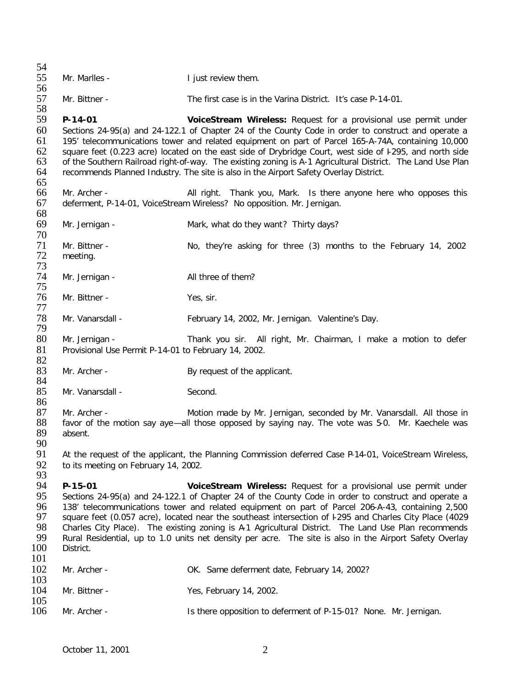| 54                                             |                                                                                                                                                                                                                                                                                                                                                                                                                                                                                                                                                                                                                                 |                                                                                                                                                                                                                                                                                                                                                                                                                                                                                                                                                                                                 |
|------------------------------------------------|---------------------------------------------------------------------------------------------------------------------------------------------------------------------------------------------------------------------------------------------------------------------------------------------------------------------------------------------------------------------------------------------------------------------------------------------------------------------------------------------------------------------------------------------------------------------------------------------------------------------------------|-------------------------------------------------------------------------------------------------------------------------------------------------------------------------------------------------------------------------------------------------------------------------------------------------------------------------------------------------------------------------------------------------------------------------------------------------------------------------------------------------------------------------------------------------------------------------------------------------|
| 55<br>56                                       | Mr. Marlles -                                                                                                                                                                                                                                                                                                                                                                                                                                                                                                                                                                                                                   | I just review them.                                                                                                                                                                                                                                                                                                                                                                                                                                                                                                                                                                             |
| 57<br>58                                       | Mr. Bittner -                                                                                                                                                                                                                                                                                                                                                                                                                                                                                                                                                                                                                   | The first case is in the Varina District. It's case P-14-01.                                                                                                                                                                                                                                                                                                                                                                                                                                                                                                                                    |
| 59<br>60<br>61<br>62<br>63<br>64<br>65         | $P - 14 - 01$                                                                                                                                                                                                                                                                                                                                                                                                                                                                                                                                                                                                                   | VoiceStream Wireless: Request for a provisional use permit under<br>Sections 24-95(a) and 24-122.1 of Chapter 24 of the County Code in order to construct and operate a<br>195' telecommunications tower and related equipment on part of Parcel 165-A-74A, containing 10,000<br>square feet (0.223 acre) located on the east side of Drybridge Court, west side of I295, and north side<br>of the Southern Railroad right-of-way. The existing zoning is A-1 Agricultural District. The Land Use Plan<br>recommends Planned Industry. The site is also in the Airport Safety Overlay District. |
| 66<br>67                                       | Mr. Archer -                                                                                                                                                                                                                                                                                                                                                                                                                                                                                                                                                                                                                    | All right. Thank you, Mark. Is there anyone here who opposes this<br>deferment, P-14-01, VoiceStream Wireless? No opposition. Mr. Jernigan.                                                                                                                                                                                                                                                                                                                                                                                                                                                     |
| 68<br>69<br>70                                 | Mr. Jernigan -                                                                                                                                                                                                                                                                                                                                                                                                                                                                                                                                                                                                                  | Mark, what do they want? Thirty days?                                                                                                                                                                                                                                                                                                                                                                                                                                                                                                                                                           |
| 71<br>72<br>73                                 | Mr. Bittner -<br>meeting.                                                                                                                                                                                                                                                                                                                                                                                                                                                                                                                                                                                                       | No, they're asking for three (3) months to the February 14, 2002                                                                                                                                                                                                                                                                                                                                                                                                                                                                                                                                |
| 74<br>75                                       | Mr. Jernigan -                                                                                                                                                                                                                                                                                                                                                                                                                                                                                                                                                                                                                  | All three of them?                                                                                                                                                                                                                                                                                                                                                                                                                                                                                                                                                                              |
| 76<br>77                                       | Mr. Bittner -                                                                                                                                                                                                                                                                                                                                                                                                                                                                                                                                                                                                                   | Yes, sir.                                                                                                                                                                                                                                                                                                                                                                                                                                                                                                                                                                                       |
| 78<br>79                                       | Mr. Vanarsdall -                                                                                                                                                                                                                                                                                                                                                                                                                                                                                                                                                                                                                | February 14, 2002, Mr. Jernigan. Valentine's Day.                                                                                                                                                                                                                                                                                                                                                                                                                                                                                                                                               |
| 80<br>81                                       | Mr. Jernigan -<br>Provisional Use Permit P-14-01 to February 14, 2002.                                                                                                                                                                                                                                                                                                                                                                                                                                                                                                                                                          | Thank you sir. All right, Mr. Chairman, I make a motion to defer                                                                                                                                                                                                                                                                                                                                                                                                                                                                                                                                |
| 82<br>83<br>84                                 | Mr. Archer -                                                                                                                                                                                                                                                                                                                                                                                                                                                                                                                                                                                                                    | By request of the applicant.                                                                                                                                                                                                                                                                                                                                                                                                                                                                                                                                                                    |
| 85<br>86                                       | Mr. Vanarsdall -                                                                                                                                                                                                                                                                                                                                                                                                                                                                                                                                                                                                                | Second.                                                                                                                                                                                                                                                                                                                                                                                                                                                                                                                                                                                         |
| 87<br>88<br>89                                 | Mr. Archer -<br>absent.                                                                                                                                                                                                                                                                                                                                                                                                                                                                                                                                                                                                         | Motion made by Mr. Jernigan, seconded by Mr. Vanarsdall. All those in<br>favor of the motion say aye—all those opposed by saying nay. The vote was 5-0. Mr. Kaechele was                                                                                                                                                                                                                                                                                                                                                                                                                        |
| 90<br>91<br>92<br>93                           | At the request of the applicant, the Planning Commission deferred Case P-14-01, VoiceStream Wireless,<br>to its meeting on February 14, 2002.                                                                                                                                                                                                                                                                                                                                                                                                                                                                                   |                                                                                                                                                                                                                                                                                                                                                                                                                                                                                                                                                                                                 |
| 94<br>95<br>96<br>97<br>98<br>99<br>100<br>101 | P-15-01<br>VoiceStream Wireless: Request for a provisional use permit under<br>Sections 24-95(a) and 24-122.1 of Chapter 24 of the County Code in order to construct and operate a<br>138' telecommunications tower and related equipment on part of Parcel 206-A-43, containing 2,500<br>square feet (0.057 acre), located near the southeast intersection of F295 and Charles City Place (4029<br>Charles City Place). The existing zoning is A-1 Agricultural District. The Land Use Plan recommends<br>Rural Residential, up to 1.0 units net density per acre. The site is also in the Airport Safety Overlay<br>District. |                                                                                                                                                                                                                                                                                                                                                                                                                                                                                                                                                                                                 |
| 102<br>103                                     | Mr. Archer -                                                                                                                                                                                                                                                                                                                                                                                                                                                                                                                                                                                                                    | OK. Same deferment date, February 14, 2002?                                                                                                                                                                                                                                                                                                                                                                                                                                                                                                                                                     |
| 104<br>105                                     | Mr. Bittner -                                                                                                                                                                                                                                                                                                                                                                                                                                                                                                                                                                                                                   | Yes, February 14, 2002.                                                                                                                                                                                                                                                                                                                                                                                                                                                                                                                                                                         |
| 106                                            | Mr. Archer -                                                                                                                                                                                                                                                                                                                                                                                                                                                                                                                                                                                                                    | Is there opposition to deferment of P-15-01? None. Mr. Jernigan.                                                                                                                                                                                                                                                                                                                                                                                                                                                                                                                                |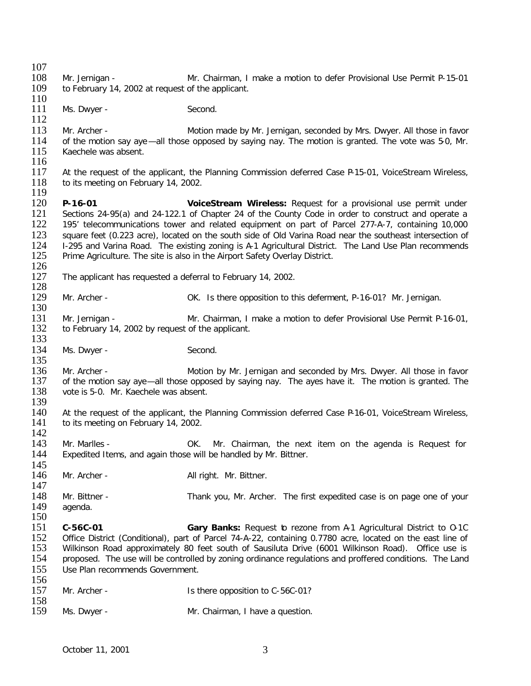$\frac{107}{108}$ 108 Mr. Jernigan - Mr. Chairman, I make a motion to defer Provisional Use Permit P-15-01<br>109 to February 14, 2002 at request of the applicant. to February 14, 2002 at request of the applicant.  $\frac{110}{111}$ Ms. Dwyer - Second. 112 113 Mr. Archer - Motion made by Mr. Jernigan, seconded by Mrs. Dwyer. All those in favor<br>114 of the motion say ave —all those opposed by saving nay. The motion is granted. The vote was 5-0. Mr. 114 of the motion say aye—all those opposed by saying nay. The motion is granted. The vote was 5-0, Mr.<br>115 Kaechele was absent. Kaechele was absent.  $\frac{116}{117}$ 117 At the request of the applicant, the Planning Commission deferred Case P-15-01, VoiceStream Wireless, 118 to its meeting on February 14, 2002. to its meeting on February 14, 2002. 119<br>120 120 **P-16-01 VoiceStream Wireless:** Request for a provisional use permit under 121 Sections 24-95(a) and 24-122.1 of Chapter 24 of the County Code in order to construct and operate a<br>122 195' telecommunications tower and related equipment on part of Parcel 277-A-7, containing 10.000 122 195' telecommunications tower and related equipment on part of Parcel 277-A-7, containing 10,000<br>123 square feet (0.223 acre), located on the south side of Old Varina Road near the southeast intersection of 123 square feet (0.223 acre), located on the south side of Old Varina Road near the southeast intersection of<br>124 1-295 and Varina Road. The existing zoning is A-1 Agricultural District. The Land Use Plan recommends 124 I-295 and Varina Road. The existing zoning is A-1 Agricultural District. The Land Use Plan recommends 125 Prime Agriculture. The site is also in the Airport Safety Overlay District. Prime Agriculture. The site is also in the Airport Safety Overlay District.  $\frac{126}{127}$ The applicant has requested a deferral to February 14, 2002.  $\frac{128}{129}$ Mr. Archer - OK. Is there opposition to this deferment, P-16-01? Mr. Jernigan. 130 131 Mr. Jernigan - Mr. Chairman, I make a motion to defer Provisional Use Permit P-16-01,<br>132 to February 14, 2002 by request of the applicant. to February 14, 2002 by request of the applicant. 133 134 Ms. Dwyer - Second.  $\frac{135}{136}$ 136 Mr. Archer - Motion by Mr. Jernigan and seconded by Mrs. Dwyer. All those in favor 137 of the motion say ave -- all those opposed by saying nay. The aves have it. The motion is granted. The 137 of the motion say aye—all those opposed by saying nay. The ayes have it. The motion is granted. The 138 vote is 5-0. Mr. Kaechele was absent. vote is 5-0. Mr. Kaechele was absent. 139<br>140 At the request of the applicant, the Planning Commission deferred Case P-16-01, VoiceStream Wireless, 141 to its meeting on February 14, 2002.  $\frac{142}{143}$ 143 Mr. Marlles - OK. Mr. Chairman, the next item on the agenda is Request for 144 Expedited Items, and again those will be handled by Mr. Bittner. Expedited Items, and again those will be handled by Mr. Bittner. 145 146 Mr. Archer - All right. Mr. Bittner. 147 148 Mr. Bittner - Thank you, Mr. Archer. The first expedited case is on page one of your 149 agenda. agenda. 150 151 **C-56C-01 Gary Banks:** Request to rezone from A-1 Agricultural District to O-1C 152 Office District (Conditional), part of Parcel 74-A-22, containing 0.7780 acre, located on the east line of<br>153 Wilkinson Road approximately 80 feet south of Sausiluta Drive (6001 Wilkinson Road). Office use is 153 Wilkinson Road approximately 80 feet south of Sausiluta Drive (6001 Wilkinson Road). Office use is<br>154 proposed. The use will be controlled by zoning ordinance regulations and proffered conditions. The Land 154 proposed. The use will be controlled by zoning ordinance regulations and proffered conditions. The Land 155 Use Plan recommends Government. 156<br>157 Mr. Archer - Is there opposition to C-56C-01? 158<br>159 Ms. Dwyer - Mr. Chairman, I have a question.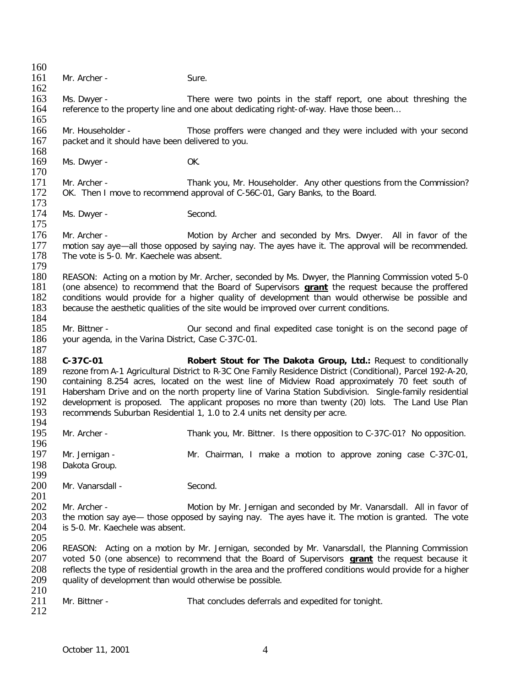$\frac{160}{161}$ Mr. Archer - Sure. 162 163 Ms. Dwyer - There were two points in the staff report, one about threshing the reference to the property line and one about dedicating right-of-way. Have those been... reference to the property line and one about dedicating right-of-way. Have those been... 165 166 Mr. Householder - Those proffers were changed and they were included with your second packet and it should have been delivered to you. packet and it should have been delivered to you.  $\frac{168}{169}$ Ms. Dwyer - OK. 170<br>171 171 Mr. Archer - Thank you, Mr. Householder. Any other questions from the Commission?<br>172 OK. Then I move to recommend approval of C-56C-01. Gary Banks, to the Board. OK. Then I move to recommend approval of C-56C-01, Gary Banks, to the Board.  $\frac{173}{174}$ Ms. Dwyer - Second. 175 176 Mr. Archer - Motion by Archer and seconded by Mrs. Dwyer. All in favor of the 177 motion sav ave—all those opposed by saving nav. The aves have it. The approval will be recommended. 177 motion say aye—all those opposed by saying nay. The ayes have it. The approval will be recommended.<br>178 The vote is 5-0. Mr. Kaechele was absent. The vote is 5-0. Mr. Kaechele was absent.  $\frac{179}{180}$ 180 REASON: Acting on a motion by Mr. Archer, seconded by Ms. Dwyer, the Planning Commission voted 5-0<br>181 (one absence) to recommend that the Board of Supervisors **grant** the request because the proffered 181 (one absence) to recommend that the Board of Supervisors **grant** the request because the proffered 182 conditions would provide for a higher quality of development than would otherwise be possible and 183 because the aesthetic qualities of the site would be improved over current conditions. because the aesthetic qualities of the site would be improved over current conditions. 184<br>185 185 Mr. Bittner - Our second and final expedited case tonight is on the second page of your agenda, in the Varina District, Case C-37C-01. your agenda, in the Varina District, Case C-37C-01.  $\frac{187}{188}$ 188 **C-37C-01 Robert Stout for The Dakota Group, Ltd.:** Request to conditionally 189 rezone from A-1 Agricultural District to R-3C One Family Residence District (Conditional), Parcel 192-A-20,<br>190 containing 8.254 acres, located on the west line of Midview Road approximately 70 feet south of 190 containing 8.254 acres, located on the west line of Midview Road approximately 70 feet south of 191 Habersham Drive and on the north property line of Varina Station Subdivision. Single-family residential 191 Habersham Drive and on the north property line of Varina Station Subdivision. Single-family residential<br>192 development is proposed. The applicant proposes no more than twenty (20) lots. The Land Use Plan 192 development is proposed. The applicant proposes no more than twenty (20) lots. The Land Use Plan 193 recommends Suburban Residential 1, 1.0 to 2.4 units net density per acre. recommends Suburban Residential 1, 1.0 to 2.4 units net density per acre. 194<br>195 Mr. Archer - Thank you, Mr. Bittner. Is there opposition to C-37C-01? No opposition. 196<br>197 Mr. Jernigan - The Mr. Chairman, I make a motion to approve zoning case C-37C-01, 198 Dakota Group. 199 Mr. Vanarsdall - Second. 201 202 Mr. Archer - **Motion by Mr. Jernigan and seconded by Mr. Vanarsdall.** All in favor of 203 the motion sav ave - those opposed by saving nav. The aves have it. The motion is granted. The vote 203 the motion say aye— those opposed by saying nay. The ayes have it. The motion is granted. The vote 204 is 5-0. Mr. Kaechele was absent. is 5-0. Mr. Kaechele was absent. 205 206 REASON: Acting on a motion by Mr. Jernigan, seconded by Mr. Vanarsdall, the Planning Commission<br>207 voted 50 (one absence) to recommend that the Board of Supervisors **grant** the request because it 207 voted 5-0 (one absence) to recommend that the Board of Supervisors **grant** the request because it 208 reflects the type of residential growth in the area and the proffered conditions would provide for a higher<br>209 auality of development than would otherwise be possible. quality of development than would otherwise be possible.  $\frac{210}{211}$ Mr. Bittner - That concludes deferrals and expedited for tonight. 212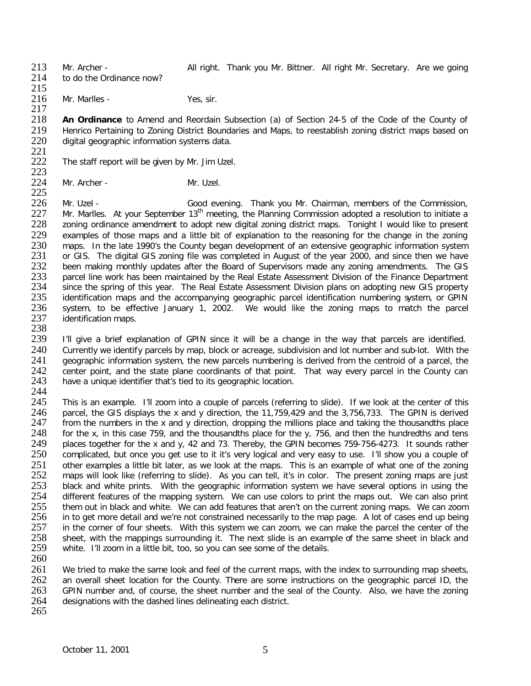213 Mr. Archer - **All right. Thank you Mr. Bittner. All right Mr. Secretary.** Are we going 214 to do the Ordinance now? to do the Ordinance now?

215 216 Mr. Marlles - Yes, sir.

 $\frac{217}{218}$ 218 **An Ordinance** to Amend and Reordain Subsection (a) of Section 24-5 of the Code of the County of 219 Henrico Pertaining to Zoning District Boundaries and Maps, to reestablish zoning district maps based on <br>220 digital geographic information systems data. digital geographic information systems data.

- 221<br>222 The staff report will be given by Mr. Jim Uzel.
- $223$ <br> $224$ Mr. Archer - Mr. Uzel.

 $\frac{225}{226}$ 226 Mr. Uzel - Good evening. Thank you Mr. Chairman, members of the Commission,  $227$  Mr. Marlles. At your September  $13<sup>th</sup>$  meeting, the Planning Commission adopted a resolution to initiate a 227 Mr. Marlles. At your September 13<sup>th</sup> meeting, the Planning Commission adopted a resolution to initiate a<br>228 zoning ordinance amendment to adopt new digital zoning district maps. Tonight I would like to present 228 zoning ordinance amendment to adopt new digital zoning district maps. Tonight I would like to present 229 examples of those maps and a little bit of explanation to the reasoning for the change in the zoning 229 examples of those maps and a little bit of explanation to the reasoning for the change in the zoning<br>230 maps. In the late 1990's the County began development of an extensive geographic information system 230 maps. In the late 1990's the County began development of an extensive geographic information system<br>231 or GIS. The digital GIS zoning file was completed in August of the vear 2000, and since then we have 231 or GIS. The digital GIS zoning file was completed in August of the year 2000, and since then we have 232 been making monthly updates after the Board of Supervisors made any zoning amendments. The GIS 232 been making monthly updates after the Board of Supervisors made any zoning amendments. The GIS<br>233 parcel line work has been maintained by the Real Estate Assessment Division of the Finance Department 233 parcel line work has been maintained by the Real Estate Assessment Division of the Finance Department 234 since the spring of this vear. The Real Estate Assessment Division plans on adopting new GIS property 234 since the spring of this year. The Real Estate Assessment Division plans on adopting new GIS property<br>235 identification maps and the accompanying geographic parcel identification numbering system, or GPIN 235 identification maps and the accompanying geographic parcel identification numbering system, or GPIN<br>236 system, to be effective January 1, 2002. We would like the zoning maps to match the parcel 236 system, to be effective January 1, 2002. We would like the zoning maps to match the parcel<br>237 identification maps. identification maps.

238<br>239

I'll give a brief explanation of GPIN since it will be a change in the way that parcels are identified. 240 Currently we identify parcels by map, block or acreage, subdivision and lot number and sub-lot. With the 241 geographic information system, the new parcels numbering is derived from the centroid of a parcel, the 241 geographic information system, the new parcels numbering is derived from the centroid of a parcel, the 242 center point, and the state plane coordinants of that point. That way every parcel in the County can 242 center point, and the state plane coordinants of that point. That way every parcel in the County can<br>243 have a unique identifier that's tied to its geographic location. have a unique identifier that's tied to its geographic location.

244<br>245 245 This is an example. I'll zoom into a couple of parcels (referring to slide). If we look at the center of this 246 parcel, the GIS displays the x and y direction, the 11,759,429 and the 3,756,733. The GPIN is derived 246 parcel, the GIS displays the x and y direction, the 11,759,429 and the 3,756,733. The GPIN is derived 247 from the numbers in the x and y direction, dropping the millions place and taking the thousandths place 247 from the numbers in the x and y direction, dropping the millions place and taking the thousandths place<br>248 for the x, in this case 759, and the thousandths place for the y, 756, and then the hundredths and tens 248 for the x, in this case 759, and the thousandths place for the y, 756, and then the hundredths and tens 249 places together for the x and y, 42 and 73. Thereby, the GPIN becomes 759-756-4273. It sounds rather 249 places together for the x and y, 42 and 73. Thereby, the GPIN becomes 759-756-4273. It sounds rather 250 complicated, but once you get use to it it's very logical and very easy to use. I'll show you a couple of 250 complicated, but once you get use to it it's very logical and very easy to use. I'll show you a couple of 251 other examples a little bit later, as we look at the maps. This is an example of what one of the zoning<br>252 maps will look like (referring to slide). As you can tell, it's in color. The present zoning maps are just 252 maps will look like (referring to slide). As you can tell, it's in color. The present zoning maps are just<br>253 black and white prints. With the geographic information system we have several options in using the 253 black and white prints. With the geographic information system we have several options in using the 254 different features of the mapping system. We can use colors to print the maps out. We can also print 254 different features of the mapping system. We can use colors to print the maps out. We can also print 255 them out in black and white. We can add features that aren't on the current zoning maps. We can zoom 255 them out in black and white. We can add features that aren't on the current zoning maps. We can zoom<br>256 in to get more detail and we're not constrained necessarily to the map page. A lot of cases end up being 256 in to get more detail and we're not constrained necessarily to the map page. A lot of cases end up being<br>257 in the corner of four sheets. With this system we can zoom, we can make the parcel the center of the 257 in the corner of four sheets. With this system we can zoom, we can make the parcel the center of the 258 sheet, with the mappings surrounding it. The next slide is an example of the same sheet in black and 258 sheet, with the mappings surrounding it. The next slide is an example of the same sheet in black and 259 white. I'll zoom in a little bit, too, so you can see some of the details. white. I'll zoom in a little bit, too, so you can see some of the details. 260

261 We tried to make the same look and feel of the current maps, with the index to surrounding map sheets, 262 an overall sheet location for the County. There are some instructions on the geographic parcel ID, the 263 GPIN number and, of course, the sheet number and be seal of the County. Also, we have the zoning 263 GPIN number and, of course, the sheet number and the seal of the County. Also, we have the zoning designations with the dashed lines delineating each district. designations with the dashed lines delineating each district.

265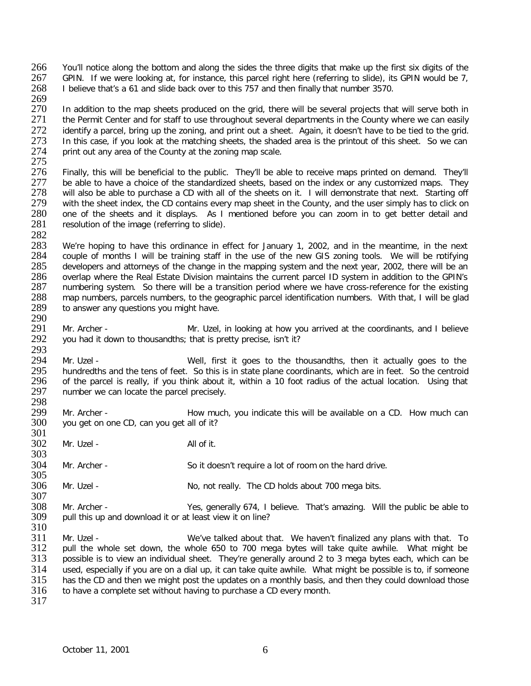266 You'll notice along the bottom and along the sides the three digits that make up the first six digits of the 267 GPIN. If we were looking at, for instance, this parcel right here (referring to slide), its GPIN would be 267 GPIN. If we were looking at, for instance, this parcel right here (referring to slide), its GPIN would be 7,<br>268 I believe that's a 61 and slide back over to this 757 and then finally that number 3570. 268 I believe that's a 61 and slide back over to this 757 and then finally that number 3570.

269<br>270 270 In addition to the map sheets produced on the grid, there will be several projects that will serve both in<br>271 the Permit Center and for staff to use throughout several departments in the County where we can easily 271 the Permit Center and for staff to use throughout several departments in the County where we can easily<br>272 identify a parcel, bring up the zoning, and print out a sheet. Again, it doesn't have to be tied to the grid, 272 identify a parcel, bring up the zoning, and print out a sheet. Again, it doesn't have to be tied to the grid.<br>273 In this case, if you look at the matching sheets, the shaded area is the printout of this sheet. So we c 273 In this case, if you look at the matching sheets, the shaded area is the printout of this sheet. So we can<br>274 print out any area of the County at the zoning map scale. print out any area of the County at the zoning map scale.

275<br>276 276 Finally, this will be beneficial to the public. They'll be able to receive maps printed on demand. They'll<br>277 be able to have a choice of the standardized sheets, based on the index or any customized maps. They 277 be able to have a choice of the standardized sheets, based on the index or any customized maps. They<br>278 will also be able to purchase a CD with all of the sheets on it. I will demonstrate that next. Starting off 278 will also be able to purchase a CD with all of the sheets on it. I will demonstrate that next. Starting off 279 with the sheet index, the CD contains every map sheet in the County, and the user simply has to click on 279 with the sheet index, the CD contains every map sheet in the County, and the user simply has to click on 280 one of the sheets and it displays. As I mentioned before you can zoom in to get better detail and 280 one of the sheets and it displays. As I mentioned before you can zoom in to get better detail and resolution of the image (referring to slide). resolution of the image (referring to slide).

282<br>283 283 We're hoping to have this ordinance in effect for January 1, 2002, and in the meantime, in the next 284 couple of months I will be training staff in the use of the new GIS zoning tools. We will be rotifying 284 couple of months I will be training staff in the use of the new GIS zoning tools. We will be motifying 285 developers and attorneys of the change in the mapping system and the next year, 2002, there will be an 285 developers and attorneys of the change in the mapping system and the next year, 2002, there will be an 286 overlap where the Real Estate Division maintains the current parcel ID system in addition to the GPIN's 286 overlap where the Real Estate Division maintains the current parcel ID system in addition to the GPIN's 287 numbering system. So there will be a transition period where we have cross-reference for the existing 287 numbering system. So there will be a transition period where we have cross-reference for the existing<br>288 map numbers, parcels numbers, to the geographic parcel identification numbers. With that, I will be glad 288 map numbers, parcels numbers, to the geographic parcel identification numbers. With that, I will be glad 289 to answer any questions you might have. to answer any questions you might have.

290<br>291 291 Mr. Archer - Mr. Uzel, in looking at how you arrived at the coordinants, and I believe vou had it down to thousandths; that is pretty precise, isn't it? you had it down to thousandths; that is pretty precise, isn't it?

293<br>294 294 Mr. Uzel - Well, first it goes to the thousandths, then it actually goes to the 295 hundredths and the tens of feet. So this is in state plane coordinants, which are in feet. So the centroid 295 hundredths and the tens of feet. So this is in state plane coordinants, which are in feet. So the centroid<br>296 of the parcel is really, if you think about it, within a 10 foot radius of the actual location. Using that 296 of the parcel is really, if you think about it, within a 10 foot radius of the actual location. Using that 297 number we can locate the parcel precisely. number we can locate the parcel precisely.

298<br>299 299 Mr. Archer - Bow much, you indicate this will be available on a CD. How much can 300 vou get on one CD, can you get all of it? you get on one CD, can you get all of it?

301<br>302 Mr. Uzel - All of it.

304 Mr. Archer - So it doesn't require a lot of room on the hard drive.

305<br>306 Mr. Uzel - No, not really. The CD holds about 700 mega bits.

307<br>308 308 Mr. Archer - Yes, generally 674, I believe. That's amazing. Will the public be able to 309 pull this up and download it or at least view it on line? pull this up and download it or at least view it on line?

 $\frac{310}{311}$ 311 Mr. Uzel - We've talked about that. We haven't finalized any plans with that. To<br>312 pull the whole set down, the whole 650 to 700 mega bytes will take quite awhile. What might be 312 pull the whole set down, the whole 650 to 700 mega bytes will take quite awhile. What might be 313 possible is to view an individual sheet. They're generally around 2 to 3 mega bytes each, which can be possible is to view an individual sheet. They're generally around 2 to 3 mega bytes each, which can be 314 used, especially if you are on a dial up, it can take quite awhile. What might be possible is to, if someone<br>315 has the CD and then we might post the updates on a monthly basis, and then they could download those 315 has the CD and then we might post the updates on a monthly basis, and then they could download those 316 to have a complete set without having to purchase a CD every month. to have a complete set without having to purchase a CD every month.

317

303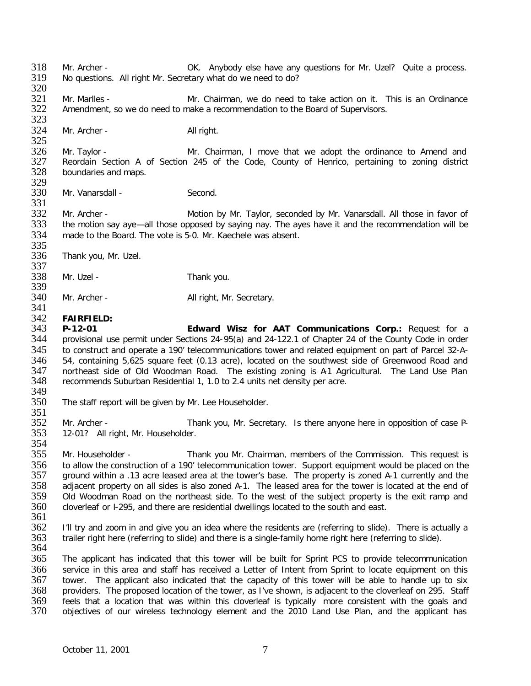318 Mr. Archer - OK. Anybody else have any questions for Mr. Uzel? Quite a process.<br>319 No questions. All right Mr. Secretary what do we need to do? No questions. All right Mr. Secretary what do we need to do?

320<br>321 321 Mr. Marlles - Mr. Chairman, we do need to take action on it. This is an Ordinance 322 Amendment, so we do need to make a recommendation to the Board of Supervisors. Amendment, so we do need to make a recommendation to the Board of Supervisors.

 $323$ <br> $324$ Mr. Archer - All right.

325<br>326 326 Mr. Taylor - Mr. Chairman, I move that we adopt the ordinance to Amend and<br>327 Reordain Section A of Section 245 of the Code, County of Henrico, pertaining to zoning district 327 Reordain Section A of Section 245 of the Code, County of Henrico, pertaining to zoning district 328 boundaries and maps. boundaries and maps.

329<br>330 Mr. Vanarsdall - Second.

331<br>332 332 Mr. Archer - Motion by Mr. Taylor, seconded by Mr. Vanarsdall. All those in favor of the motion say aye —all those opposed by saying nay. The ayes have it and the recommendation will be 333 the motion say aye—all those opposed by saying nay. The ayes have it and the recommendation will be 334 made to the Board. The vote is 5-0. Mr. Kaechele was absent. made to the Board. The vote is 5-0. Mr. Kaechele was absent.

335<br>336 Thank you, Mr. Uzel.

337<br>338 Mr. Uzel - Thank you.

339<br>340 Mr. Archer - All right, Mr. Secretary.

## 341

342 **FAIRFIELD:** 343 **P-12-01 Edward Wisz for AAT Communications Corp.:** Request for a 344 provisional use permit under Sections 24-95(a) and 24-122.1 of Chapter 24 of the County Code in order 345 to construct and operate a 190' telecommunications tower and related equipment on part of Parcel 32-A-<br>346 54, containing 5,625 square feet (0.13 acre), located on the southwest side of Greenwood Road and 346 54, containing 5,625 square feet (0.13 acre), located on the southwest side of Greenwood Road and 347 northeast side of Old Woodman Road. The existing zoning is A1 Agricultural. The Land Use Plan<br>348 recommends Suburban Residential 1, 1.0 to 2.4 units net density per acre. recommends Suburban Residential 1, 1.0 to 2.4 units net density per acre.

349<br>350 The staff report will be given by Mr. Lee Householder.

352 Mr. Archer - Thank you, Mr. Secretary. Is there anyone here in opposition of case P-<br>353 12-01? All right, Mr. Householder. 12-01? All right, Mr. Householder.

354<br>355 355 Mr. Householder - Thank you Mr. Chairman, members of the Commission. This request is 356 to allow the construction of a 190' telecommunication tower. Support equipment would be placed on the 357 ground within a .13 acre leased area at the tower's base. The property is zoned A-1 currently and the 357 ground within a .13 acre leased area at the tower's base. The property is zoned A-1 currently and the 358 adjacent property on all sides is also zoned A-1. The leased area for the tower is located at the end of 358 adjacent property on all sides is also zoned A-1. The leased area for the tower is located at the end of<br>359 Old Woodman Road on the northeast side. To the west of the subject property is the exit ramp and 359 Old Woodman Road on the northeast side. To the west of the subject property is the exit ramp and 360 cloverleaf or I-295, and there are residential dwellings located to the south and east. cloverleaf or I-295, and there are residential dwellings located to the south and east.

361

351

- 362 I'll try and zoom in and give you an idea where the residents are (referring to slide). There is actually a<br>363 trailer right here (referring to slide) and there is a single-family home right here (referring to slide). trailer right here (referring to slide) and there is a single-family home right here (referring to slide).
- 364

365 The applicant has indicated that this tower will be built for Sprint PCS to provide telecommunication 366 service in this area and staff has received a Letter of Intent from Sprint to locate equipment on this 367 tower. The applicant also indicated that the capacity of this tower will be able to handle up to six<br>368 providers. The proposed location of the tower, as I've shown, is adiacent to the cloverleaf on 295. Staff 368 providers. The proposed location of the tower, as I've shown, is adjacent to the cloverleaf on 295. Staff<br>369 feels that a location that was within this cloverleaf is typically more consistent with the goals and 369 feels that a location that was within this cloverleaf is typically more consistent with the goals and 370 objectives of our wireless technology element and the 2010 Land Use Plan, and the applicant has objectives of our wireless technology element and the 2010 Land Use Plan, and the applicant has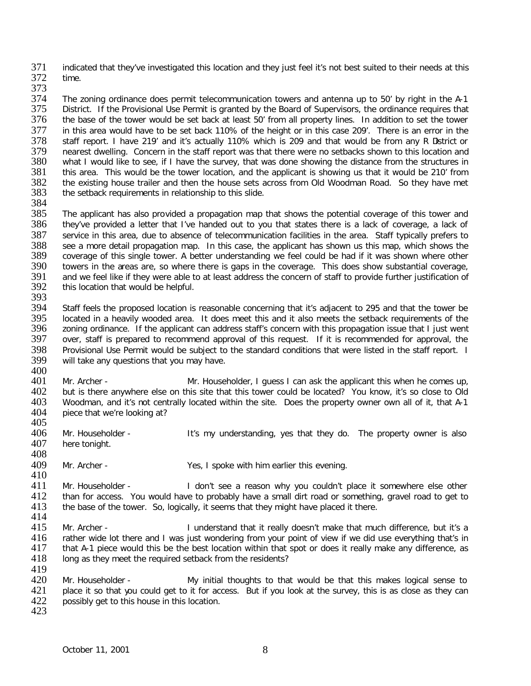371 indicated that they've investigated this location and they just feel it's not best suited to their needs at this<br>372 time. time.

373

374 The zoning ordinance does permit telecommunication towers and antenna up to 50' by right in the A-1<br>375 District. If the Provisional Use Permit is granted by the Board of Supervisors, the ordinance requires that 375 District. If the Provisional Use Permit is granted by the Board of Supervisors, the ordinance requires that<br>376 the base of the tower would be set back at least 50' from all property lines. In addition to set the tower the base of the tower would be set back at least 50' from all property lines. In addition to set the tower 377 in this area would have to be set back 110% of the height or in this case 209'. There is an error in the <br>378 staff report. I have 219' and it's actually 110% which is 209 and that would be from any R Dstrict or 378 staff report. I have 219' and it's actually 110% which is 209 and that would be from any R Dstrict or 379 nearest dwelling. Concern in the staff report was that there were no setbacks shown to this location and 379 nearest dwelling. Concern in the staff report was that there were no setbacks shown to this location and<br>380 what I would like to see, if I have the survey, that was done showing the distance from the structures in 380 what I would like to see, if I have the survey, that was done showing the distance from the structures in 381 this area. This would be the tower location, and the applicant is showing us that it would be 210' from 381 this area. This would be the tower location, and the applicant is showing us that it would be 210' from<br>382 the existing house trailer and then the house sets across from Old Woodman Road. So they have met 382 the existing house trailer and then the house sets across from Old Woodman Road. So they have met 383 the setback requirements in relationship to this slide. the setback requirements in relationship to this slide.

384<br>385 385 The applicant has also provided a propagation map that shows the potential coverage of this tower and 386 they've provided a letter that I've handed out to you that states there is a lack of coverage, a lack of they've provided a letter that I've handed out to you that states there is a lack of coverage, a lack of 387 service in this area, due to absence of telecommunication facilities in the area. Staff typically prefers to 388 see a more detail propagation map. In this case, the applicant has shown us this map, which shows the 388 see a more detail propagation map. In this case, the applicant has shown us this map, which shows the 389 coverage of this single tower. A better understanding we feel could be had if it was shown where other 389 coverage of this single tower. A better understanding we feel could be had if it was shown where other<br>390 towers in the areas are, so where there is gaps in the coverage. This does show substantial coverage, 390 towers in the areas are, so where there is gaps in the coverage. This does show substantial coverage,<br>391 and we feel like if they were able to at least address the concern of staff to provide further iustification of 391 and we feel like if they were able to at least address the concern of staff to provide further justification of 392 this location that would be helpful. this location that would be helpful.

393<br>394

Staff feels the proposed location is reasonable concerning that it's adjacent to 295 and that the tower be 395 located in a heavily wooded area. It does meet this and it also meets the setback requirements of the 396 zoning ordinance. If the applicant can address staff's concern with this propagation issue that I just went 396 zoning ordinance. If the applicant can address staff's concern with this propagation issue that I just went<br>397 over, staff is prepared to recommend approval of this request. If it is recommended for approval, the over, staff is prepared to recommend approval of this request. If it is recommended for approval, the 398 Provisional Use Permit would be subject to the standard conditions that were listed in the staff report. I<br>399 will take any questions that you may have. will take any questions that you may have.

400<br>401 401 Mr. Archer - Mr. Householder, I guess I can ask the applicant this when he comes up,<br>402 but is there anywhere else on this site that this tower could be located? You know, it's so close to Old 402 but is there anywhere else on this site that this tower could be located? You know, it's so close to Old<br>403 Woodman, and it's not centrally located within the site. Does the property owner own all of it, that A-1 403 Woodman, and it's not centrally located within the site. Does the property owner own all of it, that A-1<br>404 Diece that we're looking at? piece that we're looking at?

405<br>406 406 Mr. Householder - It's my understanding, yes that they do. The property owner is also<br>407 here tonight. here tonight.

408

409 Mr. Archer - Yes, I spoke with him earlier this evening.

410<br>411 411 Mr. Householder - I don't see a reason why you couldn't place it somewhere else other<br>412 than for access. You would have to probably have a small dirt road or something, gravel road to get to 412 than for access. You would have to probably have a small dirt road or something, gravel road to get to 413 the base of the tower. So, logically, it seems that they might have placed it there. the base of the tower. So, logically, it seems that they might have placed it there.

- $\frac{414}{415}$ 415 Mr. Archer - I understand that it really doesn't make that much difference, but it's a<br>416 and there and I was just wondering from your point of view if we did use everything that's in 416 rather wide lot there and I was just wondering from your point of view if we did use everything that's in<br>417 that A-1 piece would this be the best location within that spot or does it really make any difference, as 417 that A-1 piece would this be the best location within that spot or does it really make any difference, as 418 Iong as they meet the required setback from the residents? long as they meet the required setback from the residents?
- 419<br>420 420 Mr. Householder - My initial thoughts to that would be that this makes logical sense to 421 place it so that wou could get to it for access. But if you look at the survey, this is as close as they can 421 place it so that you could get to it for access. But if you look at the survey, this is as close as they can<br>422 possibly get to this house in this location. possibly get to this house in this location. 423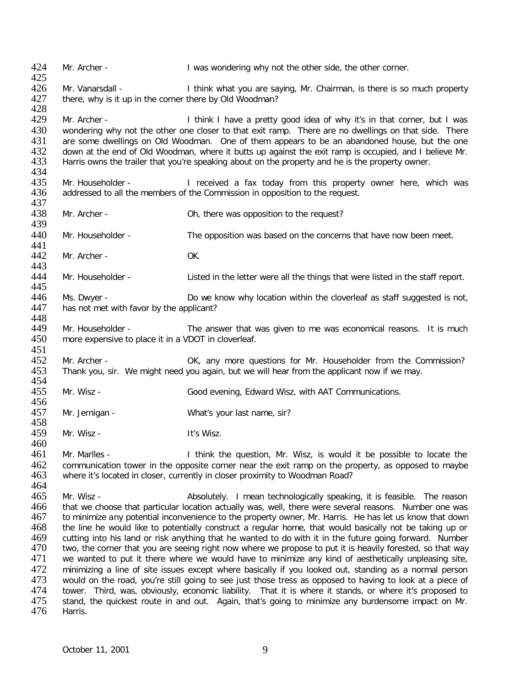424 Mr. Archer - I was wondering why not the other side, the other corner. 425<br>426 Mr. Vanarsdall - I think what you are saying, Mr. Chairman, is there is so much property 427 there, why is it up in the corner there by Old Woodman? 428 Mr. Archer - Think I have a pretty good idea of why it's in that corner, but I was 430 wondering why not the other one closer to that exit ramp. There are no dwellings on that side. There 431 are some dwellings on Old Woodman. One of them appears to be an abandoned house, but the one are some dwellings on Old Woodman. One of them appears to be an abandoned house, but the one 432 down at the end of Old Woodman, where it butts up against the exit ramp is occupied, and I believe Mr.<br>433 Harris owns the trailer that vou're speaking about on the property and he is the property owner. Harris owns the trailer that you're speaking about on the property and he is the property owner. 434<br>435 435 Mr. Householder - I received a fax today from this property owner here, which was 436 addressed to all the members of the Commission in opposition to the request. addressed to all the members of the Commission in opposition to the request. 437<br>438 Mr. Archer - Ch, there was opposition to the request? 439 440 Mr. Householder - The opposition was based on the concerns that have now been meet. 441<br>442 Mr. Archer - OK. 443<br>444 Mr. Householder - Listed in the letter were all the things that were listed in the staff report. 445<br>446 446 Ms. Dwyer - Do we know why location within the cloverleaf as staff suggested is not,<br>447 has not met with favor by the applicant? has not met with favor by the applicant? 448<br>449 449 Mr. Householder - The answer that was given to me was economical reasons. It is much 450 more expensive to place it in a VDOT in cloverleaf. more expensive to place it in a VDOT in cloverleaf. 451<br>452 452 Mr. Archer - OK, any more questions for Mr. Householder from the Commission?<br>453 Thank you, sir. We might need you again, but we will hear from the applicant now if we may. Thank you, sir. We might need you again, but we will hear from the applicant now if we may. 454<br>455 Mr. Wisz - Good evening, Edward Wisz, with AAT Communications. 456 457 Mr. Jernigan - What's your last name, sir? 458<br>459 Mr. Wisz - It's Wisz. 460<br>461 Mr. Marlles - Think the question, Mr. Wisz, is would it be possible to locate the 462 communication tower in the opposite corner near the exit ramp on the property, as opposed to maybe 463 where it's located in closer, currently in closer proximity to Woodman Road? 464<br>465 465 Mr. Wisz - Absolutely. I mean technologically speaking, it is feasible. The reason<br>466 that we choose that particular location actually was, well, there were several reasons. Number one was that we choose that particular location actually was, well, there were several reasons. Number one was 467 to minimize any potential inconvenience to the property owner, Mr. Harris. He has let us know that down 468 the line he would like to potentially construct a regular home, that would basically not be taking up or<br>469 cutting into his land or risk anything that he wanted to do with it in the future going forward. Number 469 cutting into his land or risk anything that he wanted to do with it in the future going forward. Number<br>470 two, the corner that you are seeing right now where we propose to put it is heavily forested, so that way 470 two, the corner that you are seeing right now where we propose to put it is heavily forested, so that way<br>471 we wanted to put it there where we would have to minimize any kind of aesthetically unpleasing site. we wanted to put it there where we would have to minimize any kind of aesthetically unpleasing site, 472 minimizing a line of site issues except where basically if you looked out, standing as a normal person<br>473 would on the road, vou're still going to see just those tress as opposed to having to look at a piece of 473 would on the road, you're still going to see just those tress as opposed to having to look at a piece of 474 tower. Third, was, obviously, economic liability. That it is where it stands, or where it's proposed to 474 tower. Third, was, obviously, economic liability. That it is where it stands, or where it's proposed to 475 stand, the quickest route in and out. Again, that's going to minimize any burdensome impact on Mr. 475 stand, the quickest route in and out. Again, that's going to minimize any burdensome impact on Mr.<br>476 Harris. Harris.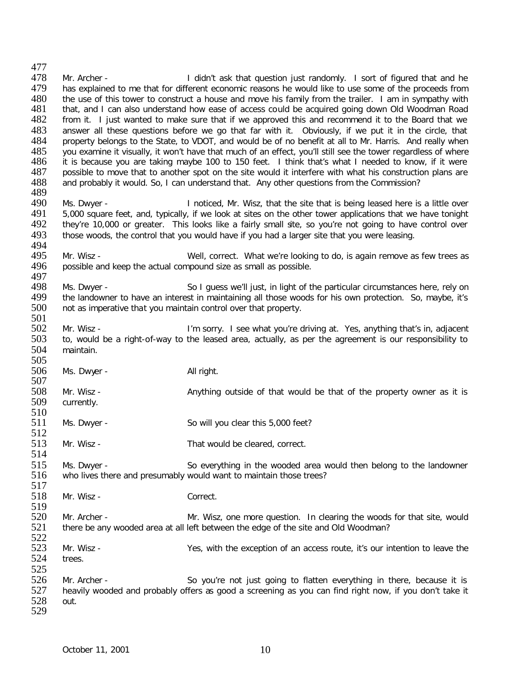477<br>478 All 178 Mr. Archer - The Music of the Unit ask that question just randomly. I sort of figured that and he<br>All 179 has explained to me that for different economic reasons he would like to use some of the proceeds from has explained to me that for different economic reasons he would like to use some of the proceeds from 480 the use of this tower to construct a house and move his family from the trailer. I am in sympathy with 481 that, and I can also understand how ease of access could be acquired going down Old Woodman Road 481 that, and I can also understand how ease of access could be acquired going down Old Woodman Road<br>482 from it. I just wanted to make sure that if we approved this and recommend it to the Board that we 482 from it. I just wanted to make sure that if we approved this and recommend it to the Board that we<br>483 answer all these questions before we go that far with it. Obviously, if we put it in the circle, that 483 answer all these questions before we go that far with it. Obviously, if we put it in the circle, that 484 property belongs to the State, to VDOT, and would be of no benefit at all to Mr. Harris. And really when property belongs to the State, to VDOT, and would be of no benefit at all to Mr. Harris. And really when 485 you examine it visually, it won't have that much of an effect, you'll still see the tower regardless of where<br>486 it is because you are taking maybe 100 to 150 feet. I think that's what I needed to know, if it were 486 it is because you are taking maybe 100 to 150 feet. I think that's what I needed to know, if it were 487 possible to move that to another spot on the site would it interfere with what his construction plans are 487 possible to move that to another spot on the site would it interfere with what his construction plans are 488 and probably it would. So, I can understand that, Any other questions from the Commission? and probably it would. So, I can understand that. Any other questions from the Commission? 489<br>490 490 Ms. Dwyer - Inoticed, Mr. Wisz, that the site that is being leased here is a little over<br>491 5,000 square feet, and, typically, if we look at sites on the other tower applications that we have tonight 491 5,000 square feet, and, typically, if we look at sites on the other tower applications that we have tonight 492 they're 10,000 or greater. This looks like a fairly small site, so you're not going to have control over 493 those woods, the control that you would have if you had a larger site that you were leasing. those woods, the control that you would have if you had a larger site that you were leasing. 494<br>495 495 Mr. Wisz - Well, correct. What we're looking to do, is again remove as few trees as 496 possible and keep the actual compound size as small as possible. possible and keep the actual compound size as small as possible. 497<br>498 498 Ms. Dwyer - So I guess we'll just, in light of the particular circumstances here, rely on<br>499 the landowner to have an interest in maintaining all those woods for his own protection. So, maybe, it's 499 the landowner to have an interest in maintaining all those woods for his own protection. So, maybe, it's 4500 not as imperative that you maintain control over that property. not as imperative that you maintain control over that property. 501<br>502 502 Mr. Wisz - I'm sorry. I see what you're driving at. Yes, anything that's in, adjacent 503 to, would be a right-of-way to the leased area, actually, as per the agreement is our responsibility to to, would be a right-of-way to the leased area, actually, as per the agreement is our responsibility to 504 maintain. 505<br>506 Ms. Dwyer - All right. 507<br>508 508 Mr. Wisz - Anything outside of that would be that of the property owner as it is solution of the property of the currently. currently. 510 511 Ms. Dwyer - So will you clear this 5,000 feet?  $\frac{512}{513}$ Mr. Wisz - That would be cleared, correct. 514 515 Ms. Dwyer - So everything in the wooded area would then belong to the landowner S16 who lives there and presumably would want to maintain those trees? who lives there and presumably would want to maintain those trees?  $\frac{517}{518}$ Mr. Wisz - Correct. 519<br>520 520 Mr. Archer - Mr. Wisz, one more question. In clearing the woods for that site, would there be any wooded area at all left between the edge of the site and Old Woodman? there be any wooded area at all left between the edge of the site and Old Woodman? 522<br>523 523 Mr. Wisz - Yes, with the exception of an access route, it's our intention to leave the 524 trees. trees. 525<br>526 526 Mr. Archer - So you're not just going to flatten everything in there, because it is<br>527 heavily wooded and probably offers as good a screening as you can find right now, if you don't take it heavily wooded and probably offers as good a screening as you can find right now, if you don't take it 528 out. 529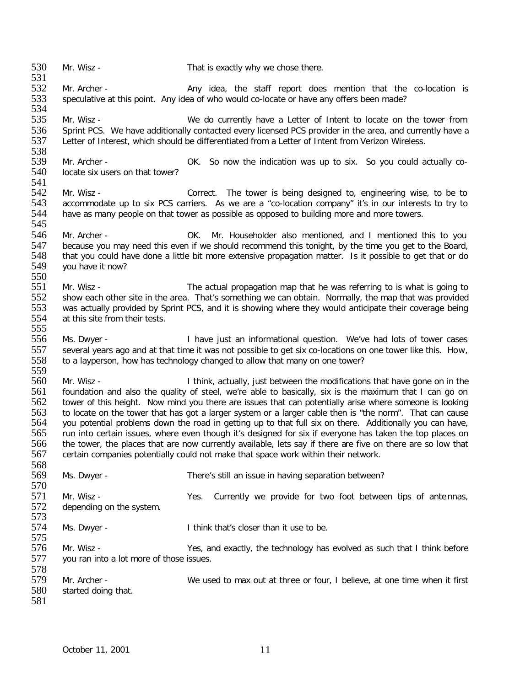534<br>535 535 Mr. Wisz - We do currently have a Letter of Intent to locate on the tower from 536 Sprint PCS. We have additionally contacted every licensed PCS provider in the area, and currently have a<br>537 Letter of Interest, which should be differentiated from a Letter of Intent from Verizon Wireless. Letter of Interest, which should be differentiated from a Letter of Intent from Verizon Wireless. 538<br>539 539 Mr. Archer - COC. So now the indication was up to six. So you could actually co-<br>540 locate six users on that tower? locate six users on that tower? 541<br>542 542 Mr. Wisz - Correct. The tower is being designed to, engineering wise, to be to<br>543 accommodate up to six PCS carriers. As we are a "co-location company" it's in our interests to try to 543 accommodate up to six PCS carriers. As we are a "co-location company" it's in our interests to try to 544 have as many people on that tower as possible as opposed to building more and more towers. have as many people on that tower as possible as opposed to building more and more towers. 545<br>546 546 Mr. Archer - COMENTIC Mr. Householder also mentioned, and I mentioned this to you<br>547 because vou may need this even if we should recommend this tonight, by the time you get to the Board. 547 because you may need this even if we should recommend this tonight, by the time you get to the Board,<br>548 that you could have done a little bit more extensive propagation matter. Is it possible to get that or do 548 that you could have done a little bit more extensive propagation matter. Is it possible to get that or do<br>549 you have it now? you have it now? 550<br>551 551 Mr. Wisz - The actual propagation map that he was referring to is what is going to 552 show each other site in the area. That's something we can obtain. Normally, the map that was provided 552 show each other site in the area. That's something we can obtain. Normally, the map that was provided 553 was actually provided by Sprint PCS, and it is showing where they would anticipate their coverage being was actually provided by Sprint PCS, and it is showing where they would anticipate their coverage being 554 at this site from their tests. 555<br>556 Ms. Dwyer - Thave just an informational question. We've had lots of tower cases 557 several years ago and at that time it was not possible to get six co-locations on one tower like this. How,<br>558 to a lavperson, how has technology changed to allow that many on one tower? to a layperson, how has technology changed to allow that many on one tower? 559 560 Mr. Wisz - I think, actually, just between the modifications that have gone on in the 561 foundation and also the quality of steel, we're able to basically, six is the maximum that I can go on 561 foundation and also the quality of steel, we're able to basically, six is the maximum that I can go on<br>562 tower of this height. Now mind you there are issues that can potentially arise where someone is looking tower of this height. Now mind you there are issues that can potentially arise where someone is looking 563 to locate on the tower that has got a larger system or a larger cable then is "the norm". That can cause 564 you potential problems down the road in getting up to that full six on there. Additionally you can have,<br>565 run into certain issues, where even though it's designed for six if everyone has taken the top places on 565 run into certain issues, where even though it's designed for six if everyone has taken the top places on<br>566 the tower, the places that are now currently available, lets say if there are five on there are so low that 566 the tower, the places that are now currently available, lets say if there are five on there are so low that 567 certain companies potentially could not make that space work within their network. certain companies potentially could not make that space work within their network. 568 Ms. Dwyer - There's still an issue in having separation between? 570<br>571 571 Mr. Wisz - Yes. Currently we provide for two foot between tips of antennas,<br>572 depending on the system. depending on the system. 573<br>574 Ms. Dwyer - Think that's closer than it use to be. 575<br>576 576 Mr. Wisz - Yes, and exactly, the technology has evolved as such that I think before you ran into a lot more of those issues. you ran into a lot more of those issues. 578 579 Mr. Archer - We used to max out at three or four, I believe, at one time when it first 580 started doing that. started doing that. 581

532 Mr. Archer - Any idea, the staff report does mention that the co-location is speculative at this point. Any idea of who would co-locate or have any offers been made? speculative at this point. Any idea of who would co-locate or have any offers been made?

530 Mr. Wisz - That is exactly why we chose there.

531<br>532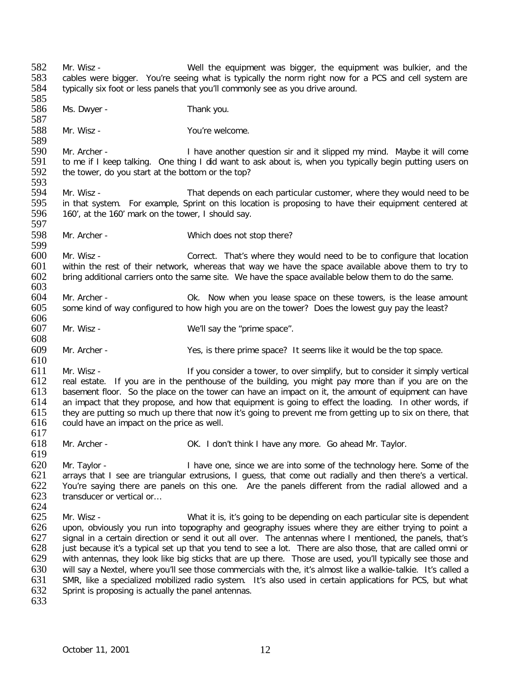582 Mr. Wisz - Well the equipment was bigger, the equipment was bulkier, and the 583 cables were bigger. You're seeing what is typically the norm right now for a PCS and cell system are 583 cables were bigger. You're seeing what is typically the norm right now for a PCS and cell system are 584 typically six foot or less panels that you'll commonly see as you drive around. typically six foot or less panels that you'll commonly see as you drive around. 585<br>586 Ms. Dwyer - Thank you. 587<br>588 Mr. Wisz - You're welcome. 589<br>590 590 Mr. Archer - I have another question sir and it slipped my mind. Maybe it will come<br>591 to me if I keep talking. One thing I did want to ask about is, when you typically begin putting users on 591 to me if I keep talking. One thing I did want to ask about is, when you typically begin putting users on 592 the tower, do you start at the bottom or the top? the tower, do you start at the bottom or the top? 593<br>594 594 Mr. Wisz - That depends on each particular customer, where they would need to be<br>595 in that system. For example, Sprint on this location is proposing to have their equipment centered at 595 in that system. For example, Sprint on this location is proposing to have their equipment centered at 596 160', at the 160' mark on the tower, I should say. 160', at the 160' mark on the tower, I should say. 597<br>598 Mr. Archer - Which does not stop there? 599 600 Mr. Wisz - Correct. That's where they would need to be to configure that location 601 within the rest of their network, whereas that way we have the space available above them to try to 601 within the rest of their network, whereas that way we have the space available above them to try to 602 bring additional carriers onto the same site. We have the space available below them to do the same. bring additional carriers onto the same site. We have the space available below them to do the same. 603 604 Mr. Archer - Ok. Now when you lease space on these towers, is the lease amount 605 some kind of way configured to how high you are on the tower? Does the lowest guy pay the least? some kind of way configured to how high you are on the tower? Does the lowest guy pay the least? 606<br>607 Mr. Wisz - We'll say the "prime space". 608 609 Mr. Archer - Yes, is there prime space? It seems like it would be the top space.  $\frac{610}{611}$ 611 Mr. Wisz - If you consider a tower, to over simplify, but to consider it simply vertical<br>612 real estate. If you are in the penthouse of the building, you might pay more than if you are on the 612 real estate. If you are in the penthouse of the building, you might pay more than if you are on the 613 basement floor. So the place on the tower can have an impact on it, the amount of equipment can have 613 basement floor. So the place on the tower can have an impact on it, the amount of equipment can have 614 an impact that they propose, and how that equipment is going to effect the loading. In other words, if an impact that they propose, and how that equipment is going to effect the loading. In other words, if 615 they are putting so much up there that now it's going to prevent me from getting up to six on there, that 616 could have an impact on the price as well.  $617$ <br> $618$ Mr. Archer - **CK. I don't think I have any more. Go ahead Mr. Taylor.** 619 620 Mr. Taylor - I have one, since we are into some of the technology here. Some of the 621 arrays that I see are triangular extrusions, I guess, that come out radially and then there's a vertical.<br>622 You're saying there are panels on this one. Are the panels different from the radial allowed and a 622 You're saying there are panels on this one. Are the panels different from the radial allowed and a<br>623 transducer or vertical or... transducer or vertical or... 624<br>625 Mr. Wisz - What it is, it's going to be depending on each particular site is dependent 626 upon, obviously you run into topography and geography issues where they are either trying to point a<br>627 signal in a certain direction or send it out all over. The antennas where I mentioned, the panels, that's 627 signal in a certain direction or send it out all over. The antennas where I mentioned, the panels, that's<br>628 just because it's a typical set up that you tend to see a lot. There are also those, that are called omni or 628 just because it's a typical set up that you tend to see a lot. There are also those, that are called omni or<br>629 with antennas, they look like big sticks that are up there. Those are used, you'll typically see those an with antennas, they look like big sticks that are up there. Those are used, you'll typically see those and 630 will say a Nextel, where you'll see those commercials with the, it's almost like a walkie-talkie. It's called a<br>631 SMR, like a specialized mobilized radio system. It's also used in certain applications for PCS, but wh 631 SMR, like a specialized mobilized radio system. It's also used in certain applications for PCS, but what 632 Sprint is proposing is actually the panel antennas. Sprint is proposing is actually the panel antennas. 633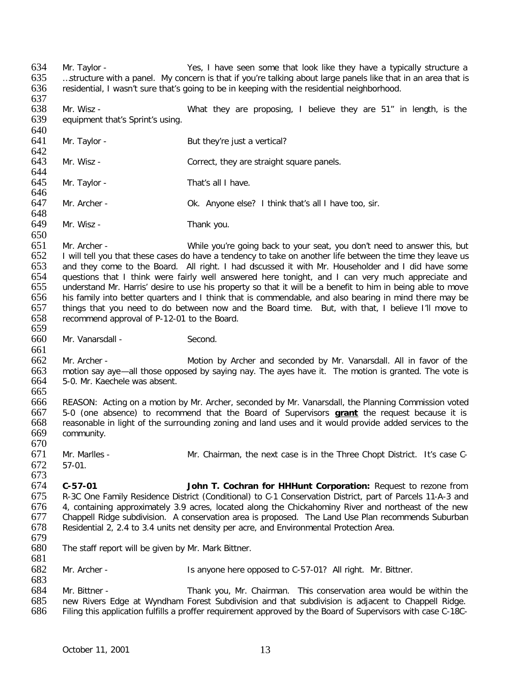637<br>638 638 Mr. Wisz - What they are proposing, I believe they are 51" in length, is the equipment that's Sprint's using. equipment that's Sprint's using. 640<br>641 Mr. Taylor - But they're just a vertical? 642<br>643 Mr. Wisz - Correct, they are straight square panels. 644<br>645 Mr. Taylor - That's all I have. 646 647 Mr. Archer - Ok. Anyone else? I think that's all I have too, sir. 648<br>649 Mr. Wisz - Thank you. 650<br>651 Mr. Archer - While you're going back to your seat, you don't need to answer this, but 652 I will tell you that these cases do have a tendency to take on another life between the time they leave us<br>653 and they come to the Board. All right. I had dscussed it with Mr. Householder and I did have some and they come to the Board. All right. I had dscussed it with Mr. Householder and I did have some 654 questions that I think were fairly well answered here tonight, and I can very much appreciate and 655 understand Mr. Harris' desire to use his property so that it will be a benefit to him in being able to move understand Mr. Harris' desire to use his property so that it will be a benefit to him in being able to move 656 his family into better quarters and I think that is commendable, and also bearing in mind there may be 657 things that you need to do between now and the Board time. But, with that, I believe I'll move to 658 recommend approval of P-12-01 to the Board. 659<br>660 Mr. Vanarsdall - Second. 661<br>662 662 Mr. Archer - Motion by Archer and seconded by Mr. Vanarsdall. All in favor of the 663 motion say ave - all those opposed by saying nay. The aves have it. The motion is granted. The vote is 663 motion say aye—all those opposed by saying nay. The ayes have it. The motion is granted. The vote is 664 5-0. Mr. Kaechele was absent. 5-0. Mr. Kaechele was absent. 665 666 REASON: Acting on a motion by Mr. Archer, seconded by Mr. Vanarsdall, the Planning Commission voted 667 5-0 (one absence) to recommend that the Board of Supervisors **grant** the request because it is 668 reasonable in light of the surrounding zoning and land uses and it would provide added services to the community. 670<br>671 Mr. Marlles - Mr. Chairman, the next case is in the Three Chopt District. It's case C-672 57-01. 673<br>674 674 **C-57-01 John T. Cochran for HHHunt Corporation:** Request to rezone from 675 R-3C One Family Residence District (Conditional) to C-1 Conservation District, part of Parcels 11-A-3 and<br>676 4. containing approximately 3.9 acres, located along the Chickahominy River and northeast of the new 676 4, containing approximately 3.9 acres, located along the Chickahominy River and northeast of the new 677 Chappell Ridge subdivision. A conservation area is proposed. The Land Use Plan recommends Suburban 678 Residential 2, 2.4 to 3.4 units net density per acre, and Environmental Protection Area. 679 The staff report will be given by Mr. Mark Bittner. 681 682 Mr. Archer - Is anyone here opposed to C-57-01? All right. Mr. Bittner. 683<br>684 684 Mr. Bittner - Thank you, Mr. Chairman. This conservation area would be within the 685 new Rivers Edge at Wyndham Forest Subdivision and that subdivision is adiacent to Chappell Ridge. 685 new Rivers Edge at Wyndham Forest Subdivision and that subdivision is adjacent to Chappell Ridge.<br>686 Filing this application fulfills a proffer requirement approved by the Board of Supervisors with case C-18C-Filing this application fulfills a proffer requirement approved by the Board of Supervisors with case C-18C-

634 Mr. Taylor - Yes, I have seen some that look like they have a typically structure a<br>635 ...structure with a panel. My concern is that if you're talking about large panels like that in an area that is 635 …structure with a panel. My concern is that if you're talking about large panels like that in an area that is 636 residential. I wasn't sure that's going to be in keeping with the residential neighborhood.

residential, I wasn't sure that's going to be in keeping with the residential neighborhood.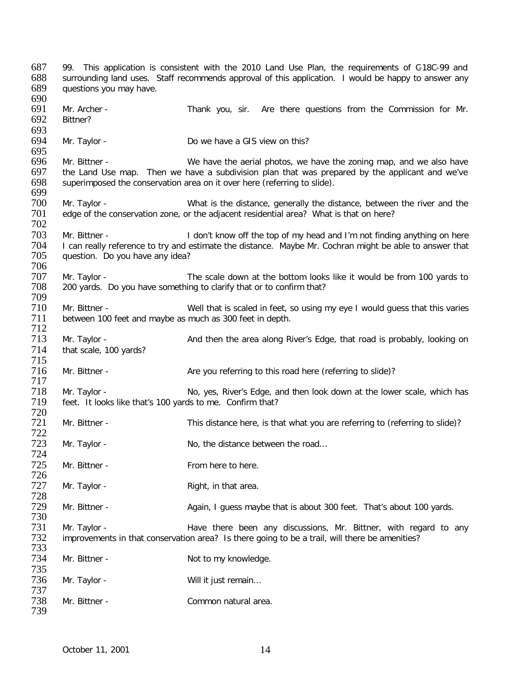687 99. This application is consistent with the 2010 Land Use Plan, the requirements of C-18C-99 and 688 surrounding land uses. Staff recommends approval of this application. I would be happy to answer any 689 questions vou may have. questions you may have. 690<br>691 691 Mr. Archer - Thank you, sir. Are there questions from the Commission for Mr.<br>692 Bittner? Bittner? 693<br>694 Mr. Taylor - Do we have a GIS view on this? 695<br>696 696 Mr. Bittner - We have the aerial photos, we have the zoning map, and we also have 697 the Land Use map. Then we have a subdivision plan that was prepared by the applicant and we've 697 the Land Use map. Then we have a subdivision plan that was prepared by the applicant and we've  $698$  superimposed the conservation area on it over here (referring to slide). superimposed the conservation area on it over here (referring to slide). 699 700 Mr. Taylor - What is the distance, generally the distance, between the river and the 701 edge of the conservation zone, or the adjacent residential area? What is that on here? edge of the conservation zone, or the adjacent residential area? What is that on here? 702<br>703 703 Mr. Bittner - I don't know off the top of my head and I'm not finding anything on here<br>704 T can really reference to try and estimate the distance. Maybe Mr. Cochran might be able to answer that 704 I can really reference to try and estimate the distance. Maybe Mr. Cochran might be able to answer that 705 unestion. Do you have any idea? question. Do you have any idea? 706 707 Mr. Taylor - The scale down at the bottom looks like it would be from 100 yards to<br>708 200 vards. Do you have something to clarify that or to confirm that? 200 yards. Do you have something to clarify that or to confirm that? 709 Mr. Bittner - Well that is scaled in feet, so using my eye I would guess that this varies 711 between 100 feet and maybe as much as 300 feet in depth. 712<br>713 Mr. Taylor - And then the area along River's Edge, that road is probably, looking on 714 that scale, 100 yards? 715<br>716 Mr. Bittner - Are you referring to this road here (referring to slide)? 717 718 Mr. Taylor - No, yes, River's Edge, and then look down at the lower scale, which has<br>719 feet. It looks like that's 100 vards to me. Confirm that? feet. It looks like that's 100 yards to me. Confirm that? 720 Mr. Bittner - This distance here, is that what you are referring to (referring to slide)? 722 Mr. Taylor - No, the distance between the road... 724 725 Mr. Bittner - From here to here. 726<br>727 Mr. Taylor - The Right, in that area. 728 Mr. Bittner - Again, I guess maybe that is about 300 feet. That's about 100 yards. 730 731 Mr. Taylor - The State of there been any discussions, Mr. Bittner, with regard to any<br>732 improvements in that conservation area? Is there going to be a trail, will there be amenities? improvements in that conservation area? Is there going to be a trail, will there be amenities? 733 Mr. Bittner - Not to my knowledge. 735 Mr. Taylor - Will it just remain... 737 Mr. Bittner - The Common natural area. 739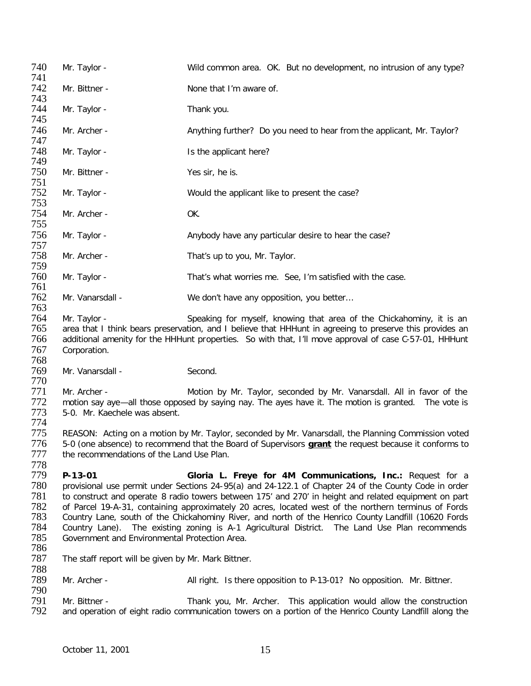| 740 | Mr. Taylor -     | Wild common area. OK. But no development, no intrusion of any type?   |
|-----|------------------|-----------------------------------------------------------------------|
| 741 |                  |                                                                       |
| 742 | Mr. Bittner -    | None that I'm aware of.                                               |
| 743 |                  |                                                                       |
| 744 | Mr. Taylor -     | Thank you.                                                            |
| 745 |                  |                                                                       |
| 746 | Mr. Archer -     | Anything further? Do you need to hear from the applicant, Mr. Taylor? |
| 747 |                  |                                                                       |
| 748 | Mr. Taylor -     | Is the applicant here?                                                |
| 749 |                  |                                                                       |
| 750 | Mr. Bittner -    | Yes sir, he is.                                                       |
| 751 |                  |                                                                       |
| 752 | Mr. Taylor -     | Would the applicant like to present the case?                         |
| 753 |                  |                                                                       |
| 754 | Mr. Archer -     | OK.                                                                   |
| 755 |                  |                                                                       |
| 756 | Mr. Taylor -     | Anybody have any particular desire to hear the case?                  |
| 757 |                  |                                                                       |
| 758 | Mr. Archer -     | That's up to you, Mr. Taylor.                                         |
| 759 |                  |                                                                       |
| 760 | Mr. Taylor -     | That's what worries me. See, I'm satisfied with the case.             |
| 761 |                  |                                                                       |
| 762 | Mr. Vanarsdall - | We don't have any opposition, you better                              |
| 763 |                  |                                                                       |

764 Mr. Taylor - Speaking for myself, knowing that area of the Chickahominy, it is an 765 area that I think bears preservation, and I believe that HHHunt in agreeing to preserve this provides an 765 area that I think bears preservation, and I believe that HHHunt in agreeing to preserve this provides an<br>766 additional amenity for the HHHunt properties. So with that, I'll move approval of case C-57-01, HHHunt additional amenity for the HHHunt properties. So with that, I'll move approval of case C-57-01, HHHunt Corporation.

 Mr. Vanarsdall - Second.

770<br>771 771 Mr. Archer - **Motion by Mr. Taylor, seconded by Mr. Vanarsdall.** All in favor of the 772 motion say ave—all those opposed by saying nay. The aves have it. The motion is granted. The vote is 772 motion say aye—all those opposed by saying nay. The ayes have it. The motion is granted. The vote is 773 5-0. Mr. Kaechele was absent. 5-0. Mr. Kaechele was absent.

 775 REASON: Acting on a motion by Mr. Taylor, seconded by Mr. Vanarsdall, the Planning Commission voted<br>776 5-0 (one absence) to recommend that the Board of Supervisors **grant** the request because it conforms to 5-0 (one absence) to recommend that the Board of Supervisors **grant** the request because it conforms to the recommendations of the Land Use Plan.

- **P-13-01 Gloria L. Freye for 4M Communications, Inc.:** Request for a 780 provisional use permit under Sections 24-95(a) and 24-122.1 of Chapter 24 of the County Code in order<br>781 to construct and operate 8 radio towers between 175' and 270' in height and related equipment on part to construct and operate 8 radio towers between 175' and 270' in height and related equipment on part of Parcel 19-A-31, containing approximately 20 acres, located west of the northern terminus of Fords Country Lane, south of the Chickahominy River, and north of the Henrico County Landfill (10620 Fords 784 Country Lane). The existing zoning is A-1 Agricultural District. The Land Use Plan recommends<br>785 Government and Environmental Protection Area. Government and Environmental Protection Area.
- The staff report will be given by Mr. Mark Bittner.
- Mr. Archer - All right. Is there opposition to P-13-01? No opposition. Mr. Bittner.
- 791 Mr. Bittner - Thank you, Mr. Archer. This application would allow the construction<br>792 and operation of eight radio communication towers on a portion of the Henrico County Landfill along the and operation of eight radio communication towers on a portion of the Henrico County Landfill along the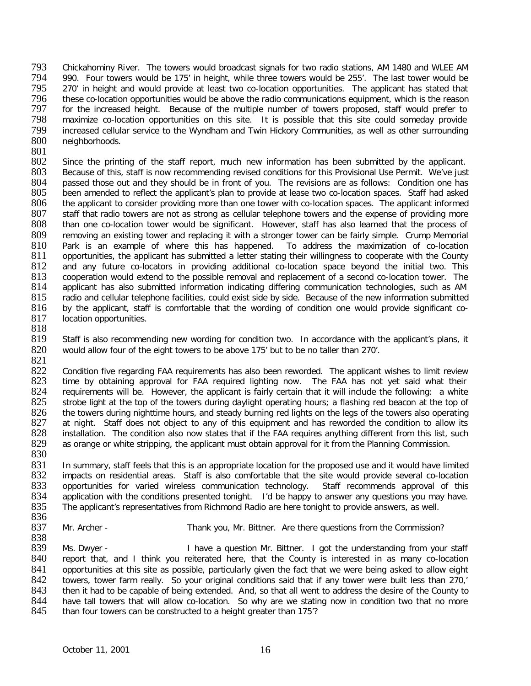793 Chickahominy River. The towers would broadcast signals for two radio stations, AM 1480 and WLEE AM<br>794 990. Four towers would be 175' in height, while three towers would be 255'. The last tower would be 794 990. Four towers would be 175' in height, while three towers would be 255'. The last tower would be 795 270' in height and would provide at least two co-location opportunities. The applicant has stated that 795 270' in height and would provide at least two co-location opportunities. The applicant has stated that 796 these co-location opportunities would be above the radio communications equipment, which is the reason 796 these co-location opportunities would be above the radio communications equipment, which is the reason<br>797 for the increased height. Because of the multiple number of towers proposed, staff would prefer to 797 for the increased height. Because of the multiple number of towers proposed, staff would prefer to<br>798 maximize co-location opportunities on this site. It is possible that this site could someday provide 798 maximize co-location opportunities on this site. It is possible that this site could someday provide<br>799 increased cellular service to the Wyndham and Twin Hickory Communities, as well as other surrounding 799 increased cellular service to the Wyndham and Twin Hickory Communities, as well as other surrounding neighborhoods.

 $\frac{801}{802}$ 

802 Since the printing of the staff report, much new information has been submitted by the applicant.<br>803 Because of this, staff is now recommending revised conditions for this Provisional Use Permit. We've just 803 Because of this, staff is now recommending revised conditions for this Provisional Use Permit. We've just 804 passed those out and they should be in front of you. The revisions are as follows: Condition one has 804 passed those out and they should be in front of you. The revisions are as follows: Condition one has 805 been amended to reflect the applicant's plan to provide at lease two co-location spaces. Staff had asked 805 been amended to reflect the applicant's plan to provide at lease two co-location spaces. Staff had asked 806 the applicant to consider providing more than one tower with co-location spaces. The applicant informed 806 the applicant to consider providing more than one tower with co-location spaces. The applicant informed<br>807 staff that radio towers are not as strong as cellular telephone towers and the expense of providing more 807 staff that radio towers are not as strong as cellular telephone towers and the expense of providing more<br>808 than one co-location tower would be significant. However, staff has also learned that the process of 808 than one co-location tower would be significant. However, staff has also learned that the process of 809 removing an existing tower and replacing it with a stronger tower can be fairly simple. Crump Memorial 809 removing an existing tower and replacing it with a stronger tower can be fairly simple. Crump Memorial 810 Park is an example of where this has happened. To address the maximization of co-location 810 Park is an example of where this has happened. To address the maximization of co-location<br>811 opportunities, the applicant has submitted a letter stating their willingness to cooperate with the County 811 opportunities, the applicant has submitted a letter stating their willingness to cooperate with the County<br>812 and any future co-locators in providing additional co-location space bevond the initial two. This 812 and any future co-locators in providing additional co-location space beyond the initial two. This 813 cooperation would extend to the possible removal and replacement of a second co-location tower. The 813 cooperation would extend to the possible removal and replacement of a second co-location tower. The 814 applicant has also submitted information indicating differing communication technologies, such as AM<br>815 radio and cellular telephone facilities, could exist side by side. Because of the new information submitted 815 radio and cellular telephone facilities, could exist side by side. Because of the new information submitted<br>816 by the applicant, staff is comfortable that the wording of condition one would provide significant coby the applicant, staff is comfortable that the wording of condition one would provide significant co-817 location opportunities.

818<br>819

Staff is also recommending new wording for condition two. In accordance with the applicant's plans, it 820 would allow four of the eight towers to be above 175' but to be no taller than 270'.

821 822 Condition five regarding FAA requirements has also been reworded. The applicant wishes to limit review<br>823 time by obtaining approval for FAA required lighting now. The FAA has not yet said what their 823 time by obtaining approval for FAA required lighting now. The FAA has not yet said what their<br>824 Frequirements will be. However, the applicant is fairly certain that it will include the following: a white 824 requirements will be. However, the applicant is fairly certain that it will include the following: a white<br>825 strobe light at the top of the towers during davlight operating hours: a flashing red beacon at the top of 825 strobe light at the top of the towers during daylight operating hours; a flashing red beacon at the top of 826 the towers during nighttime hours, and steady burning red lights on the legs of the towers also operating 826 the towers during nighttime hours, and steady burning red lights on the legs of the towers also operating<br>827 at night. Staff does not object to any of this equipment and has reworded the condition to allow its 827 at night. Staff does not object to any of this equipment and has reworded the condition to allow its 828 installation. The condition also now states that if the FAA requires anything different from this list, such 828 installation. The condition also now states that if the FAA requires anything different from this list, such as orange or white stripping, the applicant must obtain approval for it from the Planning Commission. as orange or white stripping, the applicant must obtain approval for it from the Planning Commission. 830

831 In summary, staff feels that this is an appropriate location for the proposed use and it would have limited<br>832 impacts on residential areas. Staff is also comfortable that the site would provide several co-location 832 impacts on residential areas. Staff is also comfortable that the site would provide several co-location<br>833 opportunities for varied wireless communication technology. Staff recommends approval of this 833 opportunities for varied wireless communication technology.<br>834 application with the conditions presented tonight. I'd be happy 834 application with the conditions presented tonight. I'd be happy to answer any questions you may have.<br>835 The applicant's representatives from Richmond Radio are here tonight to provide answers, as well. The applicant's representatives from Richmond Radio are here tonight to provide answers, as well.

836<br>837

Mr. Archer - Thank you, Mr. Bittner. Are there questions from the Commission?

838<br>839 839 Ms. Dwyer - I have a question Mr. Bittner. I got the understanding from your staff 840 report that, and I think you reiterated here, that the County is interested in as many co-location report that, and I think you reiterated here, that the County is interested in as many co-location 841 opportunities at this site as possible, particularly given the fact that we were being asked to allow eight<br>842 towers, tower farm really. So your original conditions said that if any tower were built less than 270. 842 towers, tower farm really. So your original conditions said that if any tower were built less than 270,'<br>843 then it had to be capable of being extended. And, so that all went to address the desire of the County to 843 then it had to be capable of being extended. And, so that all went to address the desire of the County to <br>844 have tall towers that will allow co-location. So why are we stating now in condition two that no more 844 have tall towers that will allow co-location. So why are we stating now in condition two that no more 845 than four towers can be constructed to a height greater than 175? than four towers can be constructed to a height greater than 175'?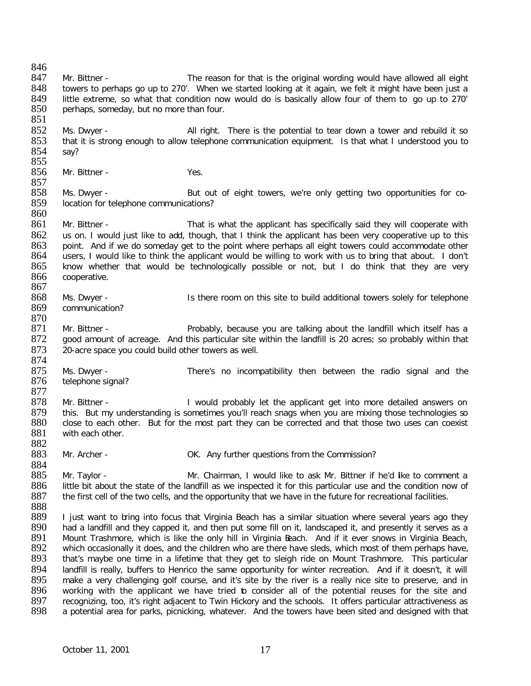846<br>847 847 Mr. Bittner - The reason for that is the original wording would have allowed all eight 848 towers to perhaps go up to 270'. When we started looking at it again, we felt it might have been just a towers to perhaps go up to 270'. When we started looking at it again, we felt it might have been just a 849 little extreme, so what that condition now would do is basically allow four of them to go up to 270'<br>850 perhaps, someday, but no more than four. perhaps, someday, but no more than four. 851 852 Ms. Dwyer - <br>853 that it is strong enough to allow telephone communication equipment. Is that what I understood you to that it is strong enough to allow telephone communication equipment. Is that what I understood you to 854 say? 855<br>856 Mr. Bittner - Yes. 857<br>858 858 Ms. Dwyer - But out of eight towers, we're only getting two opportunities for co-<br>859 location for telephone communications? location for telephone communications? 860<br>861 Mr. Bittner - That is what the applicant has specifically said they will cooperate with 862 us on. I would just like to add, though, that I think the applicant has been very cooperative up to this 863 point. And if we do somedav get to the point where perhaps all eight towers could accommodate other point. And if we do someday get to the point where perhaps all eight towers could accommodate other 864 users, I would like to think the applicant would be willing to work with us to bring that about. I don't 865 know whether that would be technologically possible or not, but I do think that they are very 865 know whether that would be technologically possible or not, but I do think that they are very 866 cooperative. cooperative. 867 868 Ms. Dwyer - Is there room on this site to build additional towers solely for telephone 869 communication? communication? 870<br>871 871 Mr. Bittner - **Example 1** Probably, because you are talking about the landfill which itself has a 872 aood amount of acreage. And this particular site within the landfill is 20 acres; so probably within that good amount of acreage. And this particular site within the landfill is 20 acres; so probably within that 873 20-acre space you could build other towers as well. 874<br>875 875 Ms. Dwyer - There's no incompatibility then between the radio signal and the 876 telephone signal? telephone signal? 877 878 Mr. Bittner - I would probably let the applicant get into more detailed answers on<br>879 this. But my understanding is sometimes you'll reach snags when you are mixing those technologies so this. But my understanding is sometimes you'll reach snags when you are mixing those technologies so 880 close to each other. But for the most part they can be corrected and that those two uses can coexist 881 with each other. with each other. 882<br>883 Mr. Archer - CR. Any further questions from the Commission? 884<br>885 885 Mr. Taylor - Mr. Chairman, I would like to ask Mr. Bittner if he'd like to comment a<br>886 little bit about the state of the landfill as we inspected it for this particular use and the condition now of 886 little bit about the state of the landfill as we inspected it for this particular use and the condition now of 887 the first cell of the two cells, and the opportunity that we have in the future for recreational facili the first cell of the two cells, and the opportunity that we have in the future for recreational facilities. 888 889 I just want to bring into focus that Virginia Beach has a similar situation where several years ago they<br>890 had a landfill and they capped it, and then put some fill on it, landscaped it, and presently it serves as a 890 had a landfill and they capped it, and then put some fill on it, landscaped it, and presently it serves as a<br>891 Mount Trashmore, which is like the only hill in Virginia Beach. And if it ever snows in Virginia Beach. 891 Mount Trashmore, which is like the only hill in Virginia Beach. And if it ever snows in Virginia Beach, 892 which occasionally it does, and the children who are there have sleds, which most of them perhaps have, 892 which occasionally it does, and the children who are there have sleds, which most of them perhaps have, 893 that's maybe one time in a lifetime that they get to sleigh ride on Mount Trashmore. This particular that's maybe one time in a lifetime that they get to sleigh ride on Mount Trashmore. This particular 894 landfill is really, buffers to Henrico the same opportunity for winter recreation. And if it doesn't, it will<br>895 make a very challenging golf course, and it's site by the river is a really nice site to preserve, and i 895 make a very challenging golf course, and it's site by the river is a really nice site to preserve, and in<br>896 working with the applicant we have tried to consider all of the potential reuses for the site and 896 working with the applicant we have tried to consider all of the potential reuses for the site and 897 recognizing, too, it's right adjacent to Twin Hickory and the schools. It offers particular attractiveness as 897 recognizing, too, it's right adjacent to Twin Hickory and the schools. It offers particular attractiveness as<br>898 a potential area for parks, picnicking, whatever. And the towers have been sited and designed with that a potential area for parks, picnicking, whatever. And the towers have been sited and designed with that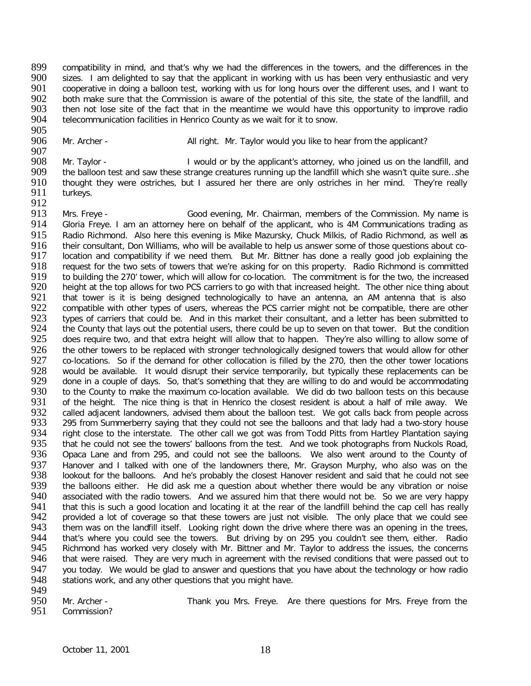899 compatibility in mind, and that's why we had the differences in the towers, and the differences in the 900 sizes. I am delighted to say that the applicant in working with us has been very enthusiastic and very 900 sizes. I am delighted to say that the applicant in working with us has been very enthusiastic and very 901 cooperative in doing a balloon test, working with us for long hours over the different uses, and I want to 901 cooperative in doing a balloon test, working with us for long hours over the different uses, and I want to<br>902 both make sure that the Commission is aware of the potential of this site, the state of the landfill, and 902 both make sure that the Commission is aware of the potential of this site, the state of the landfill, and<br>903 then not lose site of the fact that in the meantime we would have this opportunity to improve radio 903 then not lose site of the fact that in the meantime we would have this opportunity to improve radio<br>904 telecommunication facilities in Henrico County as we wait for it to snow. telecommunication facilities in Henrico County as we wait for it to snow.

905<br>906

Mr. Archer - All right. Mr. Taylor would you like to hear from the applicant?

907<br>908 908 Mr. Taylor - I would or by the applicant's attorney, who joined us on the landfill, and<br>909 the balloon test and saw these strange creatures running up the landfill which she wasn't quite sure...she 909 the balloon test and saw these strange creatures running up the landfill which she wasn't quite sure...she<br>910 thought they were ostriches, but I assured her there are only ostriches in her mind. They're really 910 thought they were ostriches, but I assured her there are only ostriches in her mind. They're really 911 turkeys. turkeys.

912<br>913 913 Mrs. Freye - Good evening, Mr. Chairman, members of the Commission. My name is 914 Gloria Freye. I am an attorney here on behalf of the applicant, who is 4M Communications trading as Gloria Freye. I am an attorney here on behalf of the applicant, who is 4M Communications trading as 915 Radio Richmond. Also here this evening is Mike Mazursky, Chuck Milkis, of Radio Richmond, as well as <br>916 their consultant. Don Williams, who will be available to help us answer some of those questions about co-916 their consultant, Don Williams, who will be available to help us answer some of those questions about co-<br>917 location and compatibility if we need them. But Mr. Bittner has done a really good job explaining the 917 location and compatibility if we need them. But Mr. Bittner has done a really good job explaining the 918 request for the two sets of towers that we're asking for on this property. Radio Richmond is committed 918 request for the two sets of towers that we're asking for on this property. Radio Richmond is committed 919 to building the 270' tower, which will allow for co-location. The commitment is for the two, the increased 919 to building the 270' tower, which will allow for co-location. The commitment is for the two, the increased<br>920 height at the top allows for two PCS carriers to go with that increased height. The other nice thing about 920 height at the top allows for two PCS carriers to go with that increased height. The other nice thing about<br>921 that tower is it is being designed technologically to have an antenna, an AM antenna that is also 921 that tower is it is being designed technologically to have an antenna, an AM antenna that is also<br>922 compatible with other types of users, whereas the PCS carrier might not be compatible, there are other 922 compatible with other types of users, whereas the PCS carrier might not be compatible, there are other<br>923 types of carriers that could be. And in this market their consultant, and a letter has been submitted to 923 types of carriers that could be. And in this market their consultant, and a letter has been submitted to 924 the County that lays out the potential users, there could be up to seven on that tower. But the condition 924 the County that lays out the potential users, there could be up to seven on that tower. But the condition<br>925 does require two, and that extra height will allow that to happen. They're also willing to allow some of does require two, and that extra height will allow that to happen. They're also willing to allow some of 926 the other towers to be replaced with stronger technologically designed towers that would allow for other<br>927 co-locations. So if the demand for other collocation is filled by the 270, then the other tower locations 927 co-locations. So if the demand for other collocation is filled by the 270, then the other tower locations<br>928 would be available. It would disrupt their service temporarily, but typically these replacements can be 928 would be available. It would disrupt their service temporarily, but typically these replacements can be 929 done in a couple of days. So, that's something that they are willing to do and would be accommodating 929 done in a couple of days. So, that's something that they are willing to do and would be accommodating 930 to the County to make the maximum co-location available. We did do two balloon tests on this because 930 to the County to make the maximum co-location available. We did do two balloon tests on this because<br>931 of the height. The nice thing is that in Henrico the closest resident is about a half of mile away. We 931 of the height. The nice thing is that in Henrico the closest resident is about a half of mile away. We<br>932 called adiacent landowners, advised them about the balloon test. We got calls back from people across 932 called adjacent landowners, advised them about the balloon test. We got calls back from people across<br>933 295 from Summerberry saving that they could not see the balloons and that lady had a two-story house 933 295 from Summerberry saying that they could not see the balloons and that lady had a two-story house<br>934 right close to the interstate. The other call we got was from Todd Pitts from Hartley Plantation saying 934 right close to the interstate. The other call we got was from Todd Pitts from Hartley Plantation saying<br>935 that he could not see the towers' balloons from the test. And we took photographs from Nuckols Road. 935 that he could not see the towers' balloons from the test. And we took photographs from Nuckols Road, 936 Opaca Lane and from 295, and could not see the balloons. We also went around to the County of 936 Opaca Lane and from 295, and could not see the balloons. We also went around to the County of 937 Hanover and I talked with one of the landowners there, Mr. Grayson Murphy, who also was on the 938 Iookout for the balloons. And he's probably the closest Hanover resident and said that he could not see 938 lookout for the balloons. And he's probably the closest Hanover resident and said that he could not see<br>939 the balloons either. He did ask me a question about whether there would be any vibration or noise 939 the balloons either. He did ask me a question about whether there would be any vibration or noise<br>940 associated with the radio towers. And we assured him that there would not be. So we are very happy 940 associated with the radio towers. And we assured him that there would not be. So we are very happy<br>941 that this is such a good location and locating it at the rear of the landfill behind the cap cell has really 941 that this is such a good location and locating it at the rear of the landfill behind the cap cell has really<br>942 provided a lot of coverage so that these towers are just not visible. The only place that we could see 942 provided a lot of coverage so that these towers are just not visible. The only place that we could see<br>943 them was on the landfill itself. Looking right down the drive where there was an opening in the trees. 943 them was on the landfill itself. Looking right down the drive where there was an opening in the trees, 944 that's where you could see the towers. But driving by on 295 you couldn't see them, either. Radio 944 that's where you could see the towers. But driving by on 295 you couldn't see them, either. Radio<br>945 Richmond has worked very closely with Mr. Bittner and Mr. Taylor to address the issues, the concerns 945 Richmond has worked very closely with Mr. Bittner and Mr. Taylor to address the issues, the concerns<br>946 that were raised. They are very much in agreement with the revised conditions that were passed out to that were raised. They are very much in agreement with the revised conditions that were passed out to 947 you today. We would be glad to answer and questions that you have about the technology or how radio<br>948 stations work, and any other questions that you might have. stations work, and any other questions that you might have.

949<br>950

950 Mr. Archer - Thank you Mrs. Freye. Are there questions for Mrs. Freye from the 951 Commission?

Commission?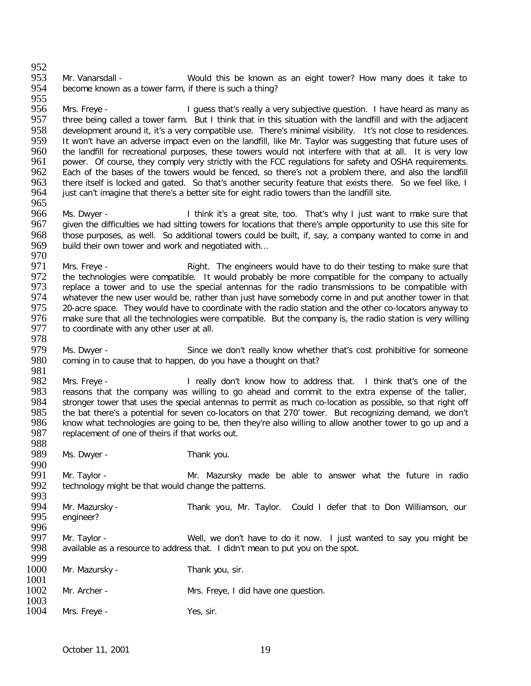952<br>953 953 Mr. Vanarsdall - Would this be known as an eight tower? How many does it take to 954 become known as a tower farm, if there is such a thing? become known as a tower farm, if there is such a thing?

955<br>956 956 Mrs. Freye - I guess that's really a very subjective question. I have heard as many as 957 three being called a tower farm. But I think that in this situation with the landfill and with the adjacent three being called a tower farm. But I think that in this situation with the landfill and with the adjacent 958 development around it, it's a very compatible use. There's minimal visibility. It's not close to residences.<br>959 It won't have an adverse impact even on the landfill, like Mr. Tavlor was suggesting that future uses of 959 It won't have an adverse impact even on the landfill, like Mr. Taylor was suggesting that future uses of 960 the landfill for recreational purposes, these towers would not interfere with that at all. It is very low 960 the landfill for recreational purposes, these towers would not interfere with that at all. It is very low<br>961 power. Of course, they comply very strictly with the FCC regulations for safety and OSHA requirements. 961 power. Of course, they comply very strictly with the FCC regulations for safety and OSHA requirements.<br>962 Each of the bases of the towers would be fenced, so there's not a problem there, and also the landfill 962 Each of the bases of the towers would be fenced, so there's not a problem there, and also the landfill<br>963 there itself is locked and gated. So that's another security feature that exists there. So we feel like, I 963 there itself is locked and gated. So that's another security feature that exists there. So we feel like, I<br>964 iust can't imagine that there's a better site for eight radio towers than the landfill site. just can't imagine that there's a better site for eight radio towers than the landfill site.

- 965<br>966 966 Ms. Dwyer - I think it's a great site, too. That's why I just want to make sure that<br>967 aiven the difficulties we had sitting towers for locations that there's ample opportunity to use this site for given the difficulties we had sitting towers for locations that there's ample opportunity to use this site for 968 those purposes, as well. So additional towers could be built, if, say, a company wanted to come in and 969 build their own tower and work and negotiated with... build their own tower and work and negotiated with...
- 970<br>971 971 Mrs. Freye - The Anght. The engineers would have to do their testing to make sure that 972 the technologies were compatible. It would probably be more compatible for the company to actually 972 the technologies were compatible. It would probably be more compatible for the company to actually 973 replace a tower and to use the special antennas for the radio transmissions to be compatible with 973 replace a tower and to use the special antennas for the radio transmissions to be compatible with 974 whatever the new user would be, rather than just have somebody come in and put another tower in that 974 whatever the new user would be, rather than just have somebody come in and put another tower in that 975 20-<br>975 20-acre space. They would have to coordinate with the radio station and the other co-locators anyway to 975 20-acre space. They would have to coordinate with the radio station and the other co-locators anyway to 976 make sure that all the technologies were compatible. But the company is, the radio station is very willing 976 make sure that all the technologies were compatible. But the company is, the radio station is very willing 977 to coordinate with any other user at all. to coordinate with any other user at all.
- 978<br>979 979 Ms. Dwyer - Since we don't really know whether that's cost prohibitive for someone 980 coming in to cause that to happen, do you have a thought on that? coming in to cause that to happen, do you have a thought on that?
- 981<br>982 982 Mrs. Freye - I really don't know how to address that. I think that's one of the 983 reasons that the company was willing to go ahead and commit to the extra expense of the taller. 983 Freasons that the company was willing to go ahead and commit to the extra expense of the taller, 984 Stronger tower that uses the special antennas to permit as much co-location as possible, so that right off 984 stronger tower that uses the special antennas to permit as much co-location as possible, so that right off<br>985 the bat there's a potential for seven co-locators on that 270' tower. But recognizing demand, we don't 985 the bat there's a potential for seven co-locators on that 270' tower. But recognizing demand, we don't 986 know what technologies are going to be, then they're also willing to allow another tower to go up and a 986 know what technologies are going to be, then they're also willing to allow another tower to go up and a 987 replacement of one of theirs if that works out. replacement of one of theirs if that works out.
- 988<br>989 Ms. Dwyer - Thank you.
- 990<br>991 991 Mr. Taylor - Mr. Mazursky made be able to answer what the future in radio<br>992 technology might be that would change the patterns. technology might be that would change the patterns.
- 993<br>994 994 Mr. Mazursky - Thank you, Mr. Taylor. Could I defer that to Don Williamson, our <a>
995 engineer? engineer?
- 996<br>997 997 Mr. Taylor - Well, we don't have to do it now. I just wanted to say you might be a vailable as a resource to address that. I didn't mean to put you on the spot. available as a resource to address that. I didn't mean to put you on the spot. 999

| 1000<br>1001 | Mr. Mazursky - | Thank you, sir.                      |
|--------------|----------------|--------------------------------------|
| 1002         | Mr. Archer -   | Mrs. Freye, I did have one question. |
| 1003<br>1004 | Mrs. Freye -   | Yes, sir.                            |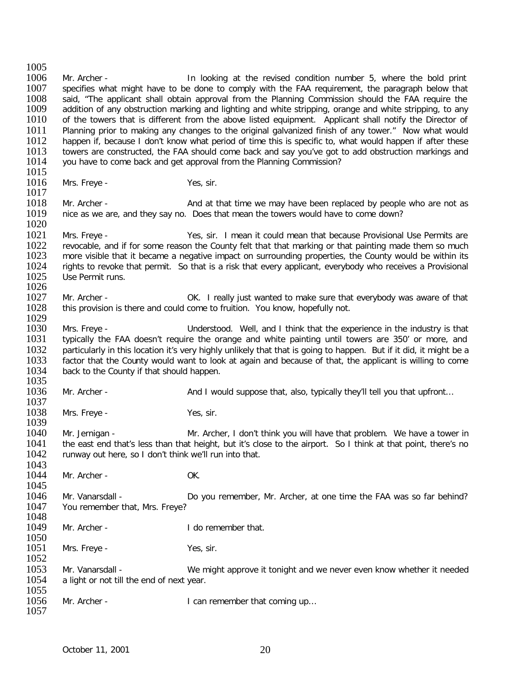1005<br>1006 1006 Mr. Archer - In looking at the revised condition number 5, where the bold print<br>1007 specifies what might have to be done to comply with the FAA requirement, the paragraph below that 1007 specifies what might have to be done to comply with the FAA requirement, the paragraph below that 1008 said. "The applicant shall obtain approval from the Planning Commission should the FAA require the 1008 said, "The applicant shall obtain approval from the Planning Commission should the FAA require the 1009 addition of any state in marking and lighting and intertional and the FAA require the 1009 addition of any 1009 addition of any obstruction marking and lighting and white stripping, orange and white stripping, to any<br>1010 of the towers that is different from the above listed equipment. Applicant shall notify the Director of 1010 of the towers that is different from the above listed equipment. Applicant shall notify the Director of 1011 Planning prior to making any changes to the original galvanized finish of any tower." Now what would 1011 Planning prior to making any changes to the original galvanized finish of any tower." Now what would<br>1012 happen if, because I don't know what period of time this is specific to, what would happen if after these 1012 happen if, because I don't know what period of time this is specific to, what would happen if after these<br>1013 towers are constructed, the FAA should come back and say you've got to add obstruction markings and 1013 towers are constructed, the FAA should come back and say you've got to add obstruction markings and 1014 vou have to come back and get approval from the Planning Commission? you have to come back and get approval from the Planning Commission?  $\frac{1015}{1016}$ Mrs. Freye - Yes, sir. 1017<br>1018 1018 Mr. Archer - **And at that time we may have been replaced by people who are not as** 1019 nice as we are, and they say no. Does that mean the towers would have to come down? nice as we are, and they say no. Does that mean the towers would have to come down?

 $\frac{1020}{1021}$ 1021 Mrs. Freye - Yes, sir. I mean it could mean that because Provisional Use Permits are 1022 Frevocable, and if for some reason the County felt that that marking or that painting made them so much<br>1023 From that it became a negative impact on surrounding properties, the County would be within its 1023 more visible that it became a negative impact on surrounding properties, the County would be within its<br>1024 in rights to revoke that permit. So that is a risk that every applicant, everybody who receives a Provisiona 1024 rights to revoke that permit. So that is a risk that every applicant, everybody who receives a Provisional 1025 Use Permit runs. Use Permit runs.

- 1026<br>1027 1027 Mr. Archer - COK. I really just wanted to make sure that everybody was aware of that 1028 this provision is there and could come to fruition. You know, hopefully not. this provision is there and could come to fruition. You know, hopefully not.
- 1029<br>1030 1030 Mrs. Freye - The State of Understood. Well, and I think that the experience in the industry is that UNSI that<br>1031 The industry is that the state of the orange and white painting until towers are 350' or more, and 1031 typically the FAA doesn't require the orange and white painting until towers are 350' or more, and<br>1032 particularly in this location it's very highly unlikely that that is going to happen. But if it did, it might be 1032 particularly in this location it's very highly unlikely that that is going to happen. But if it did, it might be a<br>1033 factor that the County would want to look at again and because of that, the applicant is willing 1033 factor that the County would want to look at again and because of that, the applicant is willing to come<br>1034 back to the County if that should happen. back to the County if that should happen.
- 1035<br>1036 1036 Mr. Archer - And I would suppose that, also, typically they'll tell you that upfront…
- 1037<br>1038 Mrs. Freye - Yes, sir.
- 1039<br>1040 1040 Mr. Jernigan - Mr. Archer, I don't think you will have that problem. We have a tower in 1041 the east end that's less than that height, but it's close to the airport. So I think at that point, there's no 1041 the east end that's less than that height, but it's close to the airport. So I think at that point, there's no<br>1042 runway out here, so I don't think we'll run into that. runway out here, so I don't think we'll run into that.
- 1043<br>1044 Mr. Archer - OK.
- 1045<br>1046 1046 Mr. Vanarsdall - Do you remember, Mr. Archer, at one time the FAA was so far behind?<br>1047 You remember that. Mrs. Freve? You remember that, Mrs. Freye?
- 1048<br>1049 Mr. Archer - The Contract Hat I do remember that.
- $\frac{1050}{1051}$ Mrs. Freye - Yes, sir. 1052
- 1053 Mr. Vanarsdall We might approve it tonight and we never even know whether it needed<br>1054 a light or not till the end of next year. a light or not till the end of next year.
- 1055<br>1056 Mr. Archer - I can remember that coming up...

1057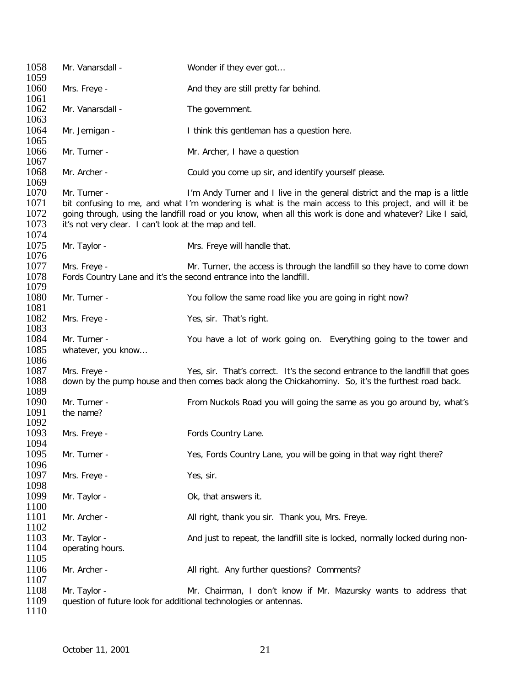| 1058<br>1059 | Mr. Vanarsdall -                                                 | Wonder if they ever got                                                                                   |
|--------------|------------------------------------------------------------------|-----------------------------------------------------------------------------------------------------------|
| 1060<br>1061 | Mrs. Freye -                                                     | And they are still pretty far behind.                                                                     |
| 1062<br>1063 | Mr. Vanarsdall -                                                 | The government.                                                                                           |
| 1064<br>1065 | Mr. Jernigan -                                                   | I think this gentleman has a question here.                                                               |
| 1066<br>1067 | Mr. Turner -                                                     | Mr. Archer, I have a question                                                                             |
| 1068<br>1069 | Mr. Archer -                                                     | Could you come up sir, and identify yourself please.                                                      |
| 1070         | Mr. Turner -                                                     | I'm Andy Turner and I live in the general district and the map is a little                                |
|              |                                                                  |                                                                                                           |
| 1071         |                                                                  | bit confusing to me, and what I'm wondering is what is the main access to this project, and will it be    |
| 1072         |                                                                  | going through, using the landfill road or you know, when all this work is done and whatever? Like I said, |
| 1073         | it's not very clear. I can't look at the map and tell.           |                                                                                                           |
| 1074         |                                                                  |                                                                                                           |
| 1075         | Mr. Taylor -                                                     | Mrs. Freye will handle that.                                                                              |
| 1076         |                                                                  |                                                                                                           |
|              |                                                                  |                                                                                                           |
| 1077         | Mrs. Freye -                                                     | Mr. Turner, the access is through the landfill so they have to come down                                  |
| 1078         |                                                                  | Fords Country Lane and it's the second entrance into the landfill.                                        |
| 1079         |                                                                  |                                                                                                           |
| 1080         | Mr. Turner -                                                     | You follow the same road like you are going in right now?                                                 |
| 1081         |                                                                  |                                                                                                           |
| 1082         |                                                                  |                                                                                                           |
|              | Mrs. Freye -                                                     | Yes, sir. That's right.                                                                                   |
| 1083         |                                                                  |                                                                                                           |
| 1084         | Mr. Turner -                                                     | You have a lot of work going on. Everything going to the tower and                                        |
| 1085         | whatever, you know                                               |                                                                                                           |
| 1086         |                                                                  |                                                                                                           |
| 1087         | Mrs. Freye -                                                     | Yes, sir. That's correct. It's the second entrance to the landfill that goes                              |
| 1088         |                                                                  | down by the pump house and then comes back along the Chickahominy. So, it's the furthest road back.       |
| 1089         |                                                                  |                                                                                                           |
|              |                                                                  |                                                                                                           |
| 1090         | Mr. Turner -                                                     | From Nuckols Road you will going the same as you go around by, what's                                     |
| 1091         | the name?                                                        |                                                                                                           |
| 1092         |                                                                  |                                                                                                           |
| 1093         | Mrs. Freye -                                                     | Fords Country Lane.                                                                                       |
| 1094         |                                                                  |                                                                                                           |
| 1095         | Mr. Turner -                                                     | Yes, Fords Country Lane, you will be going in that way right there?                                       |
|              |                                                                  |                                                                                                           |
| 1096         |                                                                  |                                                                                                           |
| 1097         | Mrs. Freye -                                                     | Yes, sir.                                                                                                 |
| 1098         |                                                                  |                                                                                                           |
| 1099         | Mr. Taylor -                                                     | Ok, that answers it.                                                                                      |
| 1100         |                                                                  |                                                                                                           |
| 1101         | Mr. Archer -                                                     | All right, thank you sir. Thank you, Mrs. Freye.                                                          |
| 1102         |                                                                  |                                                                                                           |
|              |                                                                  |                                                                                                           |
| 1103         | Mr. Taylor -                                                     | And just to repeat, the landfill site is locked, normally locked during non-                              |
| 1104         | operating hours.                                                 |                                                                                                           |
| 1105         |                                                                  |                                                                                                           |
| 1106         | Mr. Archer -                                                     | All right. Any further questions? Comments?                                                               |
| 1107         |                                                                  |                                                                                                           |
| 1108         | Mr. Taylor -                                                     | Mr. Chairman, I don't know if Mr. Mazursky wants to address that                                          |
|              |                                                                  |                                                                                                           |
| 1109         | question of future look for additional technologies or antennas. |                                                                                                           |
| 1110         |                                                                  |                                                                                                           |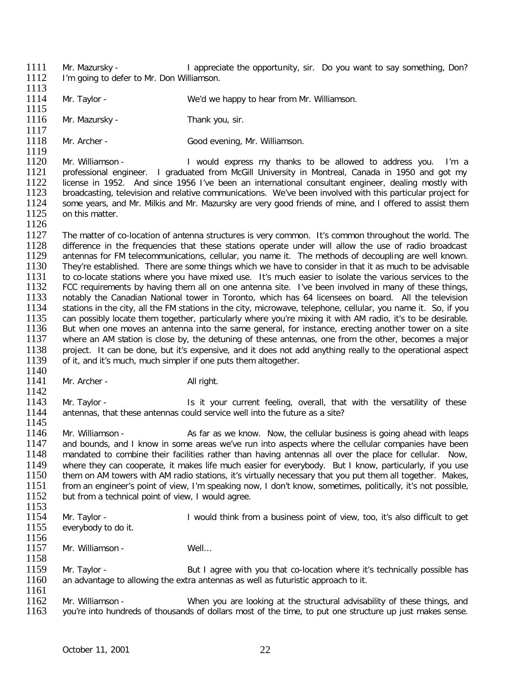- 1111 Mr. Mazursky I appreciate the opportunity, sir. Do you want to say something, Don?<br>1112 I'm going to defer to Mr. Don Williamson. I'm going to defer to Mr. Don Williamson.
- 1113<br>1114 Mr. Taylor - We'd we happy to hear from Mr. Williamson.
- 1115<br>1116 Mr. Mazursky - Thank you, sir.
- $\frac{1117}{1118}$ Mr. Archer - Good evening, Mr. Williamson.

1119<br>1120 1120 Mr. Williamson - I would express my thanks to be allowed to address you. I'm a<br>1121 professional engineer. I graduated from McGill University in Montreal. Canada in 1950 and got my 1121 professional engineer. I graduated from McGill University in Montreal, Canada in 1950 and got my<br>1122 license in 1952. And since 1956 I've been an international consultant engineer, dealing mostly with 1122 license in 1952. And since 1956 I've been an international consultant engineer, dealing mostly with 1123 broadcasting television and relative communications. We've been involved with this particular project for 1123 broadcasting, television and relative communications. We've been involved with this particular project for<br>1124 some vears, and Mr. Milkis and Mr. Mazursky are very good friends of mine, and Loffered to assist them 1124 some years, and Mr. Milkis and Mr. Mazursky are very good friends of mine, and I offered to assist them<br>1125 on this matter. on this matter.

- 1126<br>1127 1127 The matter of co-location of antenna structures is very common. It's common throughout the world. The 128 difference in the frequencies that these stations operate under will allow the use of radio broadcast 1128 difference in the frequencies that these stations operate under will allow the use of radio broadcast 1129 antennas for FM telecommunications, cellular, vou name it. The methods of decoupling are well known. 1129 antennas for FM telecommunications, cellular, you name it. The methods of decoupling are well known.<br>1130 They're established. There are some things which we have to consider in that it as much to be advisable 1130 They're established. There are some things which we have to consider in that it as much to be advisable 1131 to co-locate stations where you have mixed use. It's much easier to isolate the various services to the 1131 to co-locate stations where you have mixed use. It's much easier to isolate the various services to the 1132 FCC requirements by having them all on one antenna site. I've been involved in many of these things. 1132 FCC requirements by having them all on one antenna site. I've been involved in many of these things, 1133 notably the Canadian National tower in Toronto, which has 64 licensees on board. All the television 1133 notably the Canadian National tower in Toronto, which has 64 licensees on board. All the television<br>1134 stations in the city, all the FM stations in the city, microwave, telephone, cellular, vou name it. So, if you stations in the city, all the FM stations in the city, microwave, telephone, cellular, you name it. So, if you 1135 can possibly locate them together, particularly where you're mixing it with AM radio, it's to be desirable.<br>1136 But when one moves an antenna into the same general, for instance, erecting another tower on a site 1136 But when one moves an antenna into the same general, for instance, erecting another tower on a site<br>1137 where an AM station is close by, the detuning of these antennas, one from the other, becomes a maior where an AM station is close by, the detuning of these antennas, one from the other, becomes a major 1138 project. It can be done, but it's expensive, and it does not add anything really to the operational aspect 1139 of it. and it's much, much simpler if one puts them altogether. of it, and it's much, much simpler if one puts them altogether.
- 1140<br>1141 Mr. Archer - All right.
- $\frac{1142}{1143}$ 1143 Mr. Taylor - Is it your current feeling, overall, that with the versatility of these<br>1144 antennas, that these antennas could service well into the future as a site? antennas, that these antennas could service well into the future as a site?
- 1145<br>1146 1146 Mr. Williamson - <br>1147 and bounds, and I know in some areas we've run into aspects where the cellular companies have been 1147 and bounds, and I know in some areas we've run into aspects where the cellular companies have been<br>1148 mandated to combine their facilities rather than having antennas all over the place for cellular. Now, mandated to combine their facilities rather than having antennas all over the place for cellular. Now, 1149 where they can cooperate, it makes life much easier for everybody. But I know, particularly, if you use 1150 them on AM towers with AM radio stations, it's virtually necessary that you put them all together. Makes, 1150 them on AM towers with AM radio stations, it's virtually necessary that you put them all together. Makes,<br>1151 from an engineer's point of view. I'm speaking now. I don't know, sometimes, politically, it's not possibl 1151 from an engineer's point of view, I'm speaking now, I don't know, sometimes, politically, it's not possible, 1152 but from a technical point of view. I would agree. but from a technical point of view, I would agree.
- $\frac{1153}{1154}$
- 1154 Mr. Taylor I would think from a business point of view, too, it's also difficult to get 1155 everybody to do it.
- everybody to do it.
- 1156<br>1157 Mr. Williamson - Well... 1158
- 1159 Mr. Taylor But I agree with you that co-location where it's technically possible has 1160 an advantage to allowing the extra antennas as well as futuristic approach to it. an advantage to allowing the extra antennas as well as futuristic approach to it.
- 1161<br>1162 1162 Mr. Williamson - The When you are looking at the structural advisability of these things, and 1163 vou're into hundreds of thousands of dollars most of the time, to put one structure up just makes sense. you're into hundreds of thousands of dollars most of the time, to put one structure up just makes sense.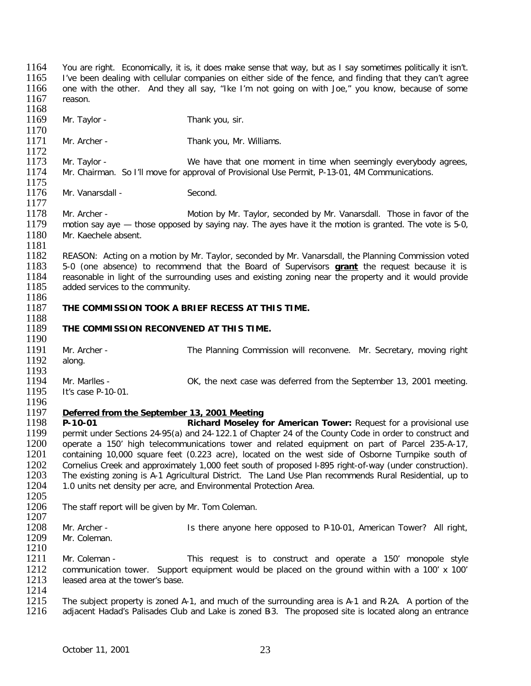1167 reason. 1168<br>1169 Mr. Taylor - Thank you, sir. 1170<br>1171 Mr. Archer - Thank you, Mr. Williams. 1172<br>1173 1173 Mr. Taylor - We have that one moment in time when seemingly everybody agrees,<br>1174 Mr. Chairman. So I'll move for approval of Provisional Use Permit. P-13-01. 4M Communications. Mr. Chairman. So I'll move for approval of Provisional Use Permit, P-13-01, 4M Communications. 1175<br>1176 Mr. Vanarsdall - Second. 1177<br>1178 1178 Mr. Archer - Motion by Mr. Taylor, seconded by Mr. Vanarsdall. Those in favor of the 1179 motion say ave  $-$  those opposed by saving nay. The aves have it the motion is granted. The vote is 5-0. 1179 motion say aye — those opposed by saying nay. The ayes have it the motion is granted. The vote is 5-0, 1180 Mr. Kaechele absent. Mr. Kaechele absent. 1181<br>1182 1182 REASON: Acting on a motion by Mr. Taylor, seconded by Mr. Vanarsdall, the Planning Commission voted 1183 5-0 (one absence) to recommend that the Board of Supervisors **grant** the request because it is 1183 5-0 (one absence) to recommend that the Board of Supervisors **grant** the request because it is 1184 reasonable in light of the surrounding uses and existing zoning near the property and it would provide 1185 added services to the community. added services to the community. 1186<br>1187 THE COMMISSION TOOK A BRIEF RECESS AT THIS TIME. 1188<br>1189 **THE COMMISSION RECONVENED AT THIS TIME.** 1190<br>1191 1191 Mr. Archer - The Planning Commission will reconvene. Mr. Secretary, moving right 1192 along. along. 1193<br>1194 1194 Mr. Marlles - OK, the next case was deferred from the September 13, 2001 meeting.<br>1195 It's case P-10-01. It's case P-10-01. 1196<br>1197 1197 *Deferred from the September 13, 2001 Meeting* 1198 **P-10-01 Richard Moseley for American Tower:** Request for a provisional use 1199 permit under Sections 24-95(a) and 24-122.1 of Chapter 24 of the County Code in order to construct and 1200 operate a 150' high telecommunications tower and related equipment on part of Parcel 235-A-17. 1200 operate a 150' high telecommunications tower and related equipment on part of Parcel 235-A-17,<br>1201 containing 10.000 square feet (0.223 acre), located on the west side of Osborne Turnpike south of containing 10,000 square feet (0.223 acre), located on the west side of Osborne Turnpike south of 1202 Cornelius Creek and approximately 1,000 feet south of proposed I-895 right-of-way (under construction).<br>1203 The existing zoning is A-1 Agricultural District. The Land Use Plan recommends Rural Residential, up to 1203 The existing zoning is A-1 Agricultural District. The Land Use Plan recommends Rural Residential, up to 1204 1.0 units net density per acre, and Environmental Protection Area. 1.0 units net density per acre, and Environmental Protection Area. 1205<br>1206 The staff report will be given by Mr. Tom Coleman. 1207<br>1208 1208 Mr. Archer - Is there anyone here opposed to P-10-01, American Tower? All right, 1209 Mr. Coleman. Mr. Coleman.  $\frac{1210}{1211}$ Mr. Coleman - This request is to construct and operate a 150' monopole style 1212 communication tower. Support equipment would be placed on the ground within with a 100' x 100'<br>1213 leased area at the tower's base. leased area at the tower's base.  $\frac{1214}{1215}$ 1215 The subject property is zoned A-1, and much of the surrounding area is A-1 and R-2A. A portion of the 1216 adiacent Hadad's Palisades Club and Lake is zoned B3. The proposed site is located along an entrance adjacent Hadad's Palisades Club and Lake is zoned B3. The proposed site is located along an entrance

1164 You are right. Economically, it is, it does make sense that way, but as I say sometimes politically it isn't.<br>1165 I've been dealing with cellular companies on either side of the fence, and finding that they can't agr 1165 I've been dealing with cellular companies on either side of the fence, and finding that they can't agree<br>1166 one with the other. And they all say, "Ike I'm not going on with Joe," you know, because of some

one with the other. And they all say, "Ike I'm not going on with Joe," you know, because of some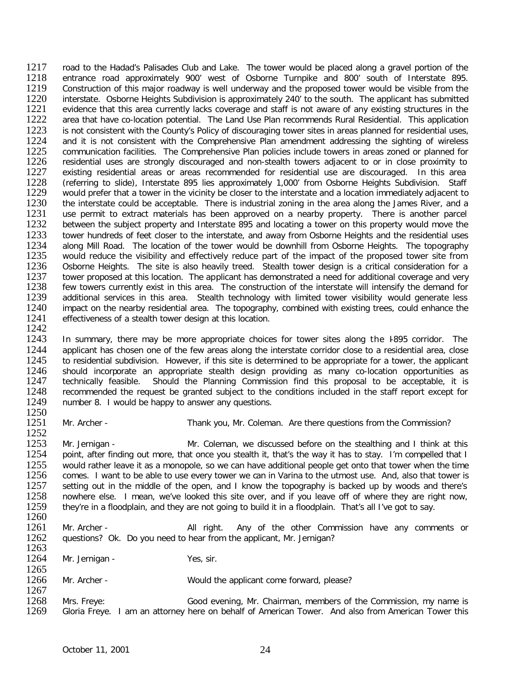1217 road to the Hadad's Palisades Club and Lake. The tower would be placed along a gravel portion of the 1218 entrance road approximately 900' west of Osborne Turnpike and 800' south of Interstate 895. 1218 entrance road approximately 900' west of Osborne Turnpike and 800' south of Interstate 895.<br>1219 Construction of this maior roadway is well underway and the proposed tower would be visible from the Construction of this major roadway is well underway and the proposed tower would be visible from the 1220 interstate. Osborne Heights Subdivision is approximately 240' to the south. The applicant has submitted 1221 evidence that this area currently lacks coverage and staff is not aware of any existing structures in the 1221 evidence that this area currently lacks coverage and staff is not aware of any existing structures in the<br>1222 area that have co-location potential. The Land Use Plan recommends Rural Residential. This application 1222 area that have co-location potential. The Land Use Plan recommends Rural Residential. This application 1223 is not consistent with the County's Policy of discouraging tower sites in areas planned for residential uses. 1223 is not consistent with the County's Policy of discouraging tower sites in areas planned for residential uses,<br>1224 and it is not consistent with the Comprehensive Plan amendment addressing the sighting of wireless 1224 and it is not consistent with the Comprehensive Plan amendment addressing the sighting of wireless 1225 communication facilities. The Comprehensive Plan policies include towers in areas zoned or planned for 1225 communication facilities. The Comprehensive Plan policies include towers in areas zoned or planned for<br>1226 residential uses are strongly discouraged and non-stealth towers adiacent to or in close proximity to 1226 residential uses are strongly discouraged and non-stealth towers adjacent to or in close proximity to 1227 existing residential areas or areas recommended for residential use are discouraged. In this area 1227 existing residential areas or areas recommended for residential use are discouraged. In this area<br>1228 (referring to slide), Interstate 895 lies approximately 1.000' from Osborne Heights Subdivision. Staff 1228 (referring to slide), Interstate 895 lies approximately 1,000' from Osborne Heights Subdivision. Staff<br>1229 would prefer that a tower in the vicinity be closer to the interstate and a location immediately adiacent to 1229 would prefer that a tower in the vicinity be closer to the interstate and a location immediately adjacent to 1230 the interstate could be acceptable. There is industrial zoning in the area along the James River, and a 1230 the interstate could be acceptable. There is industrial zoning in the area along the James River, and a<br>1231 Luse permit to extract materials has been approved on a nearby property. There is another parcel 1231 use permit to extract materials has been approved on a nearby property. There is another parcel<br>1232 between the subiect property and Interstate 895 and locating a tower on this property would move the 1232 between the subject property and Interstate 895 and locating a tower on this property would move the 1233 tower hundreds of feet closer to the interstate, and away from Osborne Heights and the residential uses 1233 tower hundreds of feet closer to the interstate, and away from Osborne Heights and the residential uses<br>1234 along Mill Road. The location of the tower would be downhill from Osborne Heights. The topography 1234 along Mill Road. The location of the tower would be downhill from Osborne Heights. The topography<br>1235 would reduce the visibility and effectively reduce part of the impact of the proposed tower site from 1235 would reduce the visibility and effectively reduce part of the impact of the proposed tower site from<br>1236 Osborne Heights. The site is also heavily treed. Stealth tower design is a critical consideration for a 1236 Osborne Heights. The site is also heavily treed. Stealth tower design is a critical consideration for a<br>1237 tower proposed at this location. The applicant has demonstrated a need for additional coverage and vervi 1237 tower proposed at this location. The applicant has demonstrated a need for additional coverage and very<br>1238 few towers currently exist in this area. The construction of the interstate will intensify the demand for 1238 few towers currently exist in this area. The construction of the interstate will intensify the demand for<br>1239 additional services in this area. Stealth technology with limited tower visibility would generate less 1239 additional services in this area. Stealth technology with limited tower visibility would generate less<br>1240 impact on the nearby residential area. The topography, combined with existing trees, could enhance the impact on the nearby residential area. The topography, combined with existing trees, could enhance the 1241 effectiveness of a stealth tower design at this location.

1242<br>1243 1243 In summary, there may be more appropriate choices for tower sites along the 1895 corridor. The 1244 applicant has chosen one of the few areas along the interstate corridor close to a residential area, close 1244 applicant has chosen one of the few areas along the interstate corridor close to a residential area, close<br>1245 to residential subdivision. However, if this site is determined to be appropriate for a tower, the applic 1245 to residential subdivision. However, if this site is determined to be appropriate for a tower, the applicant 1246 should incorporate an appropriate stealth design providing as many co-location opportunities as 1246 should incorporate an appropriate stealth design providing as many co-location opportunities as<br>1247 technically feasible. Should the Planning Commission find this proposal to be acceptable, it is 1247 technically feasible. Should the Planning Commission find this proposal to be acceptable, it is 1248 recommended the request be granted subject to the conditions included in the staff report except for 1248 recommended the request be granted subject to the conditions included in the staff report except for 1249 number 8. I would be happy to answer any questions. number 8. I would be happy to answer any questions.

 $\frac{1250}{1251}$ 

Mr. Archer - Thank you, Mr. Coleman. Are there questions from the Commission?

 $1252$ <br> $1253$ 1253 Mr. Jernigan - Mr. Coleman, we discussed before on the stealthing and I think at this 1<br>1254 point, after finding out more, that once you stealth it, that's the way it has to stay. I'm compelled that point, after finding out more, that once you stealth it, that's the way it has to stay. I'm compelled that I 1255 would rather leave it as a monopole, so we can have additional people get onto that tower when the time<br>1256 comes. I want to be able to use every tower we can in Varina to the utmost use. And, also that tower is 1256 comes. I want to be able to use every tower we can in Varina to the utmost use. And, also that tower is 1257 setting out in the middle of the open, and I know the topography is backed up by woods and there's 1257 setting out in the middle of the open, and I know the topography is backed up by woods and there's 1258 nowhere else. I mean, we've looked this site over, and if you leave off of where they are right now. 1258 nowhere else. I mean, we've looked this site over, and if you leave off of where they are right now,<br>1259 they're in a floodplain, and they are not going to build it in a floodplain. That's all I've got to say, they're in a floodplain, and they are not going to build it in a floodplain. That's all I've got to say.

1260<br>1261 1261 Mr. Archer - All right. Any of the other Commission have any comments or 1262 questions? Ok. Do you need to hear from the applicant. Mr. Jernigan? questions? Ok. Do you need to hear from the applicant, Mr. Jernigan?

1263<br>1264 Mr. Jernigan - Yes, sir.

1265<br>1266 Mr. Archer - Would the applicant come forward, please?

1267<br>1268 1268 Mrs. Freye: Good evening, Mr. Chairman, members of the Commission, my name is<br>1269 Gloria Freve. I am an attornev here on behalf of American Tower. And also from American Tower this Gloria Freye. I am an attorney here on behalf of American Tower. And also from American Tower this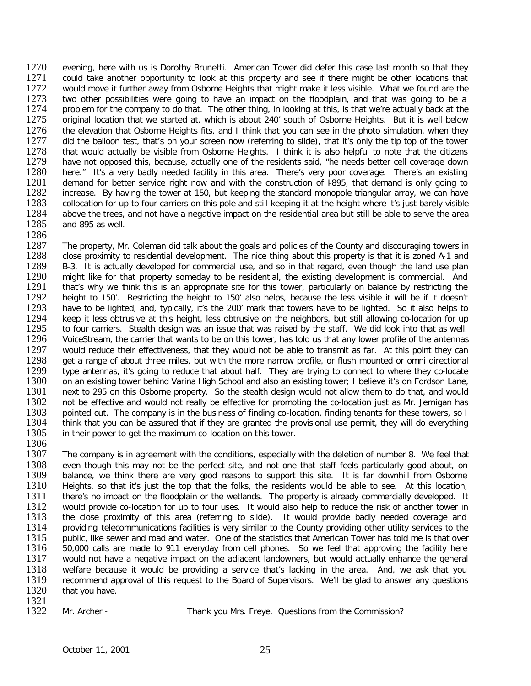1270 evening, here with us is Dorothy Brunetti. American Tower did defer this case last month so that they<br>1271 could take another opportunity to look at this property and see if there might be other locations that 1271 could take another opportunity to look at this property and see if there might be other locations that 1272 would move it further away from Osborne Heights that might make it less visible. What we found are the 1272 would move it further away from Osborne Heights that might make it less visible. What we found are the 1273 two other possibilities were going to have an impact on the floodplain, and that was going to be a 1273 two other possibilities were going to have an impact on the floodplain, and that was going to be a<br>1274 problem for the company to do that. The other thing, in looking at this, is that we're actually back at the 1274 problem for the company to do that. The other thing, in looking at this, is that we're actually back at the<br>1275 original location that we started at, which is about 240' south of Osborne Heights. But it is well below 1275 original location that we started at, which is about 240' south of Osborne Heights. But it is well below<br>1276 the elevation that Osborne Heights fits, and I think that you can see in the photo simulation, when they 1276 the elevation that Osborne Heights fits, and I think that you can see in the photo simulation, when they<br>1277 did the balloon test, that's on your screen now (referring to slide), that it's only the tip top of the tow 1277 did the balloon test, that's on your screen now (referring to slide), that it's only the tip top of the tower<br>1278 that would actually be visible from Osborne Heights. I think it is also helpful to note that the citiz 1278 that would actually be visible from Osborne Heights. I think it is also helpful to note that the citizens<br>1279 have not opposed this, because, actually one of the residents said, "he needs better cell coverage down 1279 have not opposed this, because, actually one of the residents said, "he needs better cell coverage down<br>1280 here." It's a very badly needed facility in this area. There's very poor coverage. There's an existing 1280 here." It's a very badly needed facility in this area. There's very poor coverage. There's an existing 1281 demand for better service right now and with the construction of 1895, that demand is only going to 1281 demand for better service right now and with the construction of 1895, that demand is only going to 1282 increase. By having the tower at 150, but keeping the standard monopole triangular array, we can have 1282 increase. By having the tower at 150, but keeping the standard monopole triangular array, we can have 1283 collocation for up to four carriers on this pole and still keeping it at the height where it's just barely vis 1283 collocation for up to four carriers on this pole and still keeping it at the height where it's just barely visible<br>1284 above the trees, and not have a negative impact on the residential area but still be able to serv 1284 above the trees, and not have a negative impact on the residential area but still be able to serve the area<br>1285 and 895 as well. and 895 as well.

1286<br>1287 1287 The property, Mr. Coleman did talk about the goals and policies of the County and discouraging towers in<br>1288 Close proximity to residential development. The nice thing about this property is that it is zoned A-1 and 1288 close proximity to residential development. The nice thing about this property is that it is zoned A-1 and<br>1289 B-3. It is actually developed for commercial use, and so in that regard, even though the land use plan 1289 B-3. It is actually developed for commercial use, and so in that regard, even though the land use plan<br>1290 might like for that property someday to be residential, the existing development is commercial. And 1290 might like for that property someday to be residential, the existing development is commercial. And 1291 that's why we think this is an appropriate site for this tower, particularly on balance by restricting the 1291 that's why we think this is an appropriate site for this tower, particularly on balance by restricting the 1292 height to 150'. Restricting the height to 150' also helps, because the less visible it will be if it does 1292 height to 150'. Restricting the height to 150' also helps, because the less visible it will be if it doesn't<br>1293 have to be lighted, and, typically, it's the 200' mark that towers have to be lighted. So it also helps 1293 have to be lighted, and, typically, it's the 200' mark that towers have to be lighted. So it also helps to<br>1294 beep it less obtrusive at this height, less obtrusive on the neighbors, but still allowing co-location fo 1294 keep it less obtrusive at this height, less obtrusive on the neighbors, but still allowing co-location for up<br>1295 to four carriers. Stealth design was an issue that was raised by the staff. We did look into that as w 1295 to four carriers. Stealth design was an issue that was raised by the staff. We did look into that as well.<br>1296 VoiceStream, the carrier that wants to be on this tower, has told us that any lower profile of the antenn 1296 VoiceStream, the carrier that wants to be on this tower, has told us that any lower profile of the antennas<br>1297 would reduce their effectiveness, that they would not be able to transmit as far. At this point they can 1297 would reduce their effectiveness, that they would not be able to transmit as far. At this point they can<br>1298 aet a range of about three miles, but with the more narrow profile, or flush mounted or omni directional 1298 get a range of about three miles, but with the more narrow profile, or flush mounted or omni directional<br>1299 type antennas, it's going to reduce that about half. They are trying to connect to where they co-locate 1299 type antennas, it's going to reduce that about half. They are trying to connect to where they co-locate<br>1300 on an existing tower behind Varina High School and also an existing tower: I believe it's on Fordson Lane. 1300 on an existing tower behind Varina High School and also an existing tower; I believe it's on Fordson Lane,<br>1301 next to 295 on this Osborne property. So the stealth design would not allow them to do that, and would 1301 next to 295 on this Osborne property. So the stealth design would not allow them to do that, and would 1302 not be effective and would not really be effective for promoting the co-location just as Mr. Jernigan has 1302 not be effective and would not really be effective for promoting the co-location just as Mr. Jernigan has<br>1303 pointed out. The company is in the business of finding co-location, finding tenants for these towers, so I 1303 pointed out. The company is in the business of finding co-location, finding tenants for these towers, so I<br>1304 think that you can be assured that if they are granted the provisional use permit, they will do everythin 1304 think that you can be assured that if they are granted the provisional use permit, they will do everything 1305 in their power to get the maximum co-location on this tower. in their power to get the maximum co-location on this tower.

1306<br>1307 The company is in agreement with the conditions, especially with the deletion of number 8. We feel that 1308 even though this may not be the perfect site, and not one that staff feels particularly good about, on<br>1309 balance, we think there are very cood reasons to support this site. It is far downhill from Osborne 1309 balance, we think there are very good reasons to support this site. It is far downhill from Osborne 1310 Heights, so that it's just the top that the folks, the residents would be able to see. At this location, 1310 Heights, so that it's just the top that the folks, the residents would be able to see. At this location,<br>1311 there's no impact on the floodplain or the wetlands. The property is already commercially developed. It 1311 there's no impact on the floodplain or the wetlands. The property is already commercially developed. It<br>1312 would provide co-location for up to four uses. It would also help to reduce the risk of another tower in 1312 would provide co-location for up to four uses. It would also help to reduce the risk of another tower in<br>1313 the close proximity of this area (referring to slide). It would provide badly needed coverage and 1313 the close proximity of this area (referring to slide). It would provide badly needed coverage and 1314 providing telecommunications facilities is very similar to the County providing other utility services to the 1314 providing telecommunications facilities is very similar to the County providing other utility services to the<br>1315 public, like sewer and road and water. One of the statistics that American Tower has told me is that o 1315 public, like sewer and road and water. One of the statistics that American Tower has told me is that over<br>1316 50,000 calls are made to 911 everyday from cell phones. So we feel that approving the facility here 1316 50,000 calls are made to 911 everyday from cell phones. So we feel that approving the facility here<br>1317 would not have a negative impact on the adiacent landowners, but would actually enhance the general would not have a negative impact on the adjacent landowners, but would actually enhance the general 1318 welfare because it would be providing a service that's lacking in the area. And, we ask that you<br>1319 recommend approval of this request to the Board of Supervisors. We'll be alad to answer any questions 1319 recommend approval of this request to the Board of Supervisors. We'll be glad to answer any questions 1320 that vou have. that you have.

1321<br>1322

Mr. Archer - Thank you Mrs. Freye. Questions from the Commission?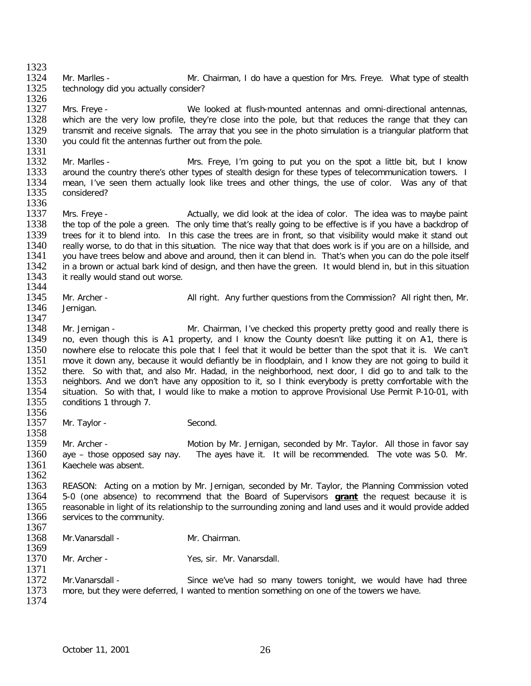1323<br>1324 1324 Mr. Marlles - Mr. Chairman, I do have a question for Mrs. Freye. What type of stealth 1325 technology did you actually consider? technology did you actually consider?

1326<br>1327 1327 Mrs. Freye - We looked at flush-mounted antennas and omni-directional antennas,<br>1328 which are the very low profile, they're close into the pole, but that reduces the range that they can 1328 which are the very low profile, they're close into the pole, but that reduces the range that they can<br>1329 transmit and receive signals. The array that you see in the photo simulation is a triangular platform that 1329 transmit and receive signals. The array that you see in the photo simulation is a triangular platform that 1330 vou could fit the antennas further out from the pole. you could fit the antennas further out from the pole.

1331<br>1332 1332 Mr. Marlles - Mrs. Freye, I'm going to put you on the spot a little bit, but I know<br>1333 around the country there's other types of stealth design for these types of telecommunication towers. I 1333 around the country there's other types of stealth design for these types of telecommunication towers. I<br>1334 mean, I've seen them actually look like trees and other things, the use of color. Was any of that 1334 mean, I've seen them actually look like trees and other things, the use of color. Was any of that 1335 considered? considered?

1336<br>1337 1337 Mrs. Freye - <br>1338 the top of the pole a green. The only time that's really going to be effective is if you have a backdrop of 1338 the top of the pole a green. The only time that's really going to be effective is if you have a backdrop of 1339 trees for it to blend into. In this case the trees are in front, so that visibility would make it stand 1339 trees for it to blend into. In this case the trees are in front, so that visibility would make it stand out<br>1340 really worse, to do that in this situation. The nice way that that does work is if you are on a hillside 1340 really worse, to do that in this situation. The nice way that that does work is if you are on a hillside, and<br>1341 vou have trees below and above and around, then it can blend in. That's when you can do the pole itsel 1341 you have trees below and above and around, then it can blend in. That's when you can do the pole itself<br>1342 in a brown or actual bark kind of design, and then have the green. It would blend in, but in this situation 1342 in a brown or actual bark kind of design, and then have the green. It would blend in, but in this situation 1343 it really would stand out worse. it really would stand out worse.

- 1344<br>1345
- 1345 Mr. Archer All right. Any further questions from the Commission? All right then, Mr. 1346 Jernigan.
- Jernigan.

1347<br>1348 1348 Mr. Jernigan - Mr. Chairman, I've checked this property pretty good and really there is<br>1349 no, even though this is A1 property, and I know the County doesn't like putting it on A1, there is 1349 no, even though this is A-1 property, and I know the County doesn't like putting it on A-1, there is 1350 nowhere else to relocate this pole that I feel that it would be better than the spot that it is. We can't 1350 nowhere else to relocate this pole that I feel that it would be better than the spot that it is. We can't<br>1351 move it down any, because it would defiantly be in floodplain, and I know they are not going to build it 1351 move it down any, because it would defiantly be in floodplain, and I know they are not going to build it <br>1352 there. So with that, and also Mr. Hadad, in the neighborhood, next door, I did go to and talk to the 1352 there. So with that, and also Mr. Hadad, in the neighborhood, next door, I did go to and talk to the 1353 neighbors. And we don't have any opposition to it, so I think everybody is pretty comfortable with the 1353 neighbors. And we don't have any opposition to it, so I think everybody is pretty comfortable with the 1354 situation. So with that, I would like to make a motion to approve Provisional Use Permit P-10-01, with 1354 situation. So with that, I would like to make a motion to approve Provisional Use Permit P-10-01, with 1355 conditions 1 through 7. conditions 1 through 7.

1356<br>1357 Mr. Taylor - Second.

1358<br>1359 1359 Mr. Archer - Motion by Mr. Jernigan, seconded by Mr. Taylor. All those in favor say<br>1360 ave – those opposed say nay. The aves have it. It will be recommended. The vote was 5-0. Mr. aye – those opposed say nay. The ayes have it. It will be recommended. The vote was 5-0. Mr. 1361 Kaechele was absent.

1362<br>1363 1363 REASON: Acting on a motion by Mr. Jernigan, seconded by Mr. Taylor, the Planning Commission voted 1364 5-0 (one absence) to recommend that the Board of Supervisors **grant** the request because it is 1364 5-0 (one absence) to recommend that the Board of Supervisors **grant** the request because it is 1365 reasonable in light of its relationship to the surrounding zoning and land uses and it would provide added<br>1366 services to the community. services to the community.

1367<br>1368 1368 Mr.Vanarsdall - Mr. Chairman.

1369<br>1370 Mr. Archer - Yes, sir. Mr. Vanarsdall.

1371<br>1372 1372 Mr.Vanarsdall - Since we've had so many towers tonight, we would have had three<br>1373 more, but they were deferred. I wanted to mention something on one of the towers we have. more, but they were deferred, I wanted to mention something on one of the towers we have. 1374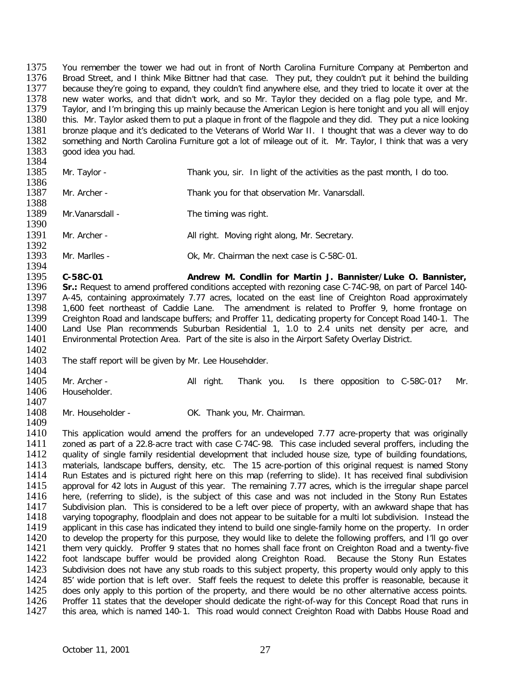1375 You remember the tower we had out in front of North Carolina Furniture Company at Pemberton and<br>1376 Broad Street, and I think Mike Bittner had that case. They put, they couldn't put it behind the building 1376 Broad Street, and I think Mike Bittner had that case. They put, they couldn't put it behind the building<br>1377 because they're going to expand, they couldn't find anywhere else, and they tried to locate it over at the because they're going to expand, they couldn't find anywhere else, and they tried to locate it over at the 1378 new water works, and that didn't work, and so Mr. Taylor they decided on a flag pole type, and Mr.<br>1379 Taylor, and I'm bringing this up mainly because the American Legion is here tonight and you all will enjoy 1379 Taylor, and I'm bringing this up mainly because the American Legion is here tonight and you all will enjoy<br>1380 this. Mr. Taylor asked them to put a plague in front of the flagpole and they did. They put a nice lookin 1380 this. Mr. Taylor asked them to put a plaque in front of the flagpole and they did. They put a nice looking<br>1381 bronze plaque and it's dedicated to the Veterans of World War II. I thought that was a clever way to do 1381 bronze plaque and it's dedicated to the Veterans of World War II. I thought that was a clever way to do 1382 something and North Carolina Furniture got a lot of mileage out of it. Mr. Taylor. I think that was a very 1382 something and North Carolina Furniture got a lot of mileage out of it. Mr. Taylor, I think that was a very<br>1383 annot idea vou had. good idea you had. 1384

| 1011<br>1385<br>1386 | Mr. Taylor -     | Thank you, sir. In light of the activities as the past month, I do too. |
|----------------------|------------------|-------------------------------------------------------------------------|
| 1387<br>1388         | Mr. Archer -     | Thank you for that observation Mr. Vanarsdall.                          |
| 1389<br>1390         | Mr. Vanarsdall - | The timing was right.                                                   |
| 1391                 | Mr. Archer -     | All right. Moving right along, Mr. Secretary.                           |
| 1392<br>1393         | Mr. Marlles -    | Ok, Mr. Chairman the next case is C-58C-01.                             |

1394<br>1395 1395 **C-58C-01 Andrew M. Condlin for Martin J. Bannister/Luke O. Bannister,**  1396 **Sr.:** Request to amend proffered conditions accepted with rezoning case C-74C-98, on part of Parcel 140-<br>1397 A-45, containing approximately 7.77 acres, located on the east line of Creighton Road approximately 1397 A-45, containing approximately 7.77 acres, located on the east line of Creighton Road approximately<br>1398 1.600 feet northeast of Caddie Lane. The amendment is related to Proffer 9, home frontage on 1398 1,600 feet northeast of Caddie Lane. The amendment is related to Proffer 9, home frontage on<br>1399 Creighton Road and landscape buffers: and Proffer 11, dedicating property for Concept Road 140-1. The 1399 Creighton Road and landscape buffers; and Proffer 11, dedicating property for Concept Road 140-1. The 1400 Land Use Plan recommends Suburban Residential 1, 1.0 to 2.4 units net density per acre, and 1400 Land Use Plan recommends Suburban Residential 1, 1.0 to 2.4 units net density per acre, and<br>1401 Environmental Protection Area. Part of the site is also in the Airport Safety Overlay District. Environmental Protection Area. Part of the site is also in the Airport Safety Overlay District.

1402<br>1403 The staff report will be given by Mr. Lee Householder.

1404<br>1405 1405 Mr. Archer - All right. Thank you. Is there opposition to C-58C-01? Mr. Householder.

1407<br>1408 Mr. Householder - **OK. Thank you, Mr. Chairman.** 

1409<br>1410 1410 This application would amend the proffers for an undeveloped 7.77 acre-property that was originally 1411 zoned as part of a 22.8-acre tract with case C-74C-98. This case included several proffers, including the 1411 zoned as part of a 22.8-acre tract with case C-74C-98. This case included several proffers, including the<br>1412 auality of single family residential development that included house size, type of building foundations, quality of single family residential development that included house size, type of building foundations, 1413 materials, landscape buffers, density, etc. The 15 acre-portion of this original request is named Stony<br>1414 Run Estates and is pictured right here on this map (referring to slide). It has received final subdivision 1414 Run Estates and is pictured right here on this map (referring to slide). It has received final subdivision<br>1415 approval for 42 lots in August of this vear. The remaining 7.77 acres, which is the irregular shape parce 1415 approval for 42 lots in August of this year. The remaining 7.77 acres, which is the irregular shape parcel<br>1416 here, (referring to slide), is the subiect of this case and was not included in the Stony Run Estates 1416 here, (referring to slide), is the subject of this case and was not included in the Stony Run Estates 1417 Subdivision plan. This is considered to be a left over piece of property, with an awkward shape that has 1417 Subdivision plan. This is considered to be a left over piece of property, with an awkward shape that has<br>1418 varying topography, floodplain and does not appear to be suitable for a multi lot subdivision. Instead the 1418 varying topography, floodplain and does not appear to be suitable for a multi lot subdivision. Instead the<br>1419 applicant in this case has indicated they intend to build one single-family home on the property. In orde 1419 applicant in this case has indicated they intend to build one single-family home on the property. In order<br>1420 to develop the property for this purpose, they would like to delete the following proffers, and I'll go o 1420 to develop the property for this purpose, they would like to delete the following proffers, and I'll go over<br>1421 them very quickly. Proffer 9 states that no homes shall face front on Creighton Road and a twenty-five 1421 them very quickly. Proffer 9 states that no homes shall face front on Creighton Road and a twenty-five<br>1422 foot landscape buffer would be provided along Creighton Road. Because the Stony Run Estates 1422 foot landscape buffer would be provided along Creighton Road. Because the Stony Run Estates<br>1423 Subdivision does not have any stub roads to this subject property, this property would only apply to this 1423 Subdivision does not have any stub roads to this subject property, this property would only apply to this<br>1424 85' wide portion that is left over. Staff feels the request to delete this proffer is reasonable, because 1424 85' wide portion that is left over. Staff feels the request to delete this proffer is reasonable, because it<br>1425 does only apply to this portion of the property, and there would be no other alternative access points. 1425 does only apply to this portion of the property, and there would be no other alternative access points.<br>1426 Proffer 11 states that the developer should dedicate the right-of-way for this Concept Road that runs in 1426 Proffer 11 states that the developer should dedicate the right-of-way for this Concept Road that runs in<br>1427 this area, which is named 140-1. This road would connect Creighton Road with Dabbs House Road and this area, which is named 140-1. This road would connect Creighton Road with Dabbs House Road and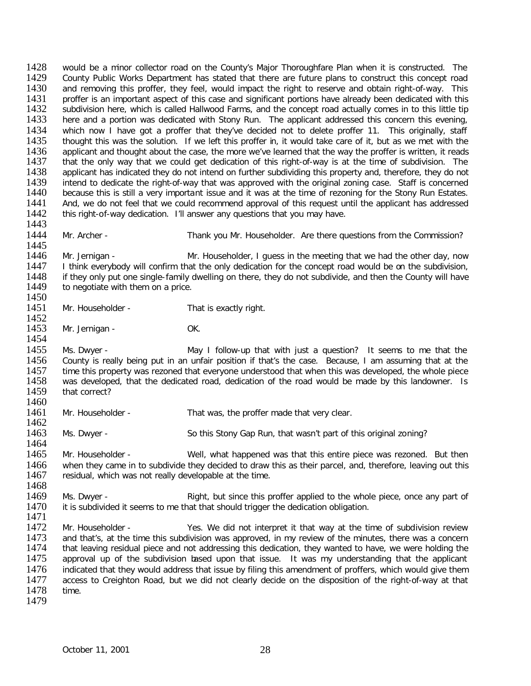1428 would be a minor collector road on the County's Major Thoroughfare Plan when it is constructed. The 1429 County Public Works Department has stated that there are future plans to construct this concept road 1429 County Public Works Department has stated that there are future plans to construct this concept road<br>1430 and removing this proffer, they feel, would impact the right to reserve and obtain right-of-way. This 1430 and removing this proffer, they feel, would impact the right to reserve and obtain right-of-way. This 1431 proffer is an important aspect of this case and significant portions have already been dedicated with this 1431 proffer is an important aspect of this case and significant portions have already been dedicated with this<br>1432 subdivision here, which is called Hallwood Farms, and the concept road actually comes in to this little t 1432 subdivision here, which is called Hallwood Farms, and the concept road actually comes in to this little tip<br>1433 here and a portion was dedicated with Stony Run. The applicant addressed this concern this evening. 1433 here and a portion was dedicated with Stony Run. The applicant addressed this concern this evening,<br>1434 which now I have got a proffer that they've decided not to delete proffer 11. This originally, staff 1434 which now I have got a proffer that they've decided not to delete proffer 11. This originally, staff<br>1435 thought this was the solution. If we left this proffer in, it would take care of it, but as we met with the 1435 thought this was the solution. If we left this proffer in, it would take care of it, but as we met with the 1436 applicant and thought about the case, the more we've learned that the way the proffer is written, it rea 1436 applicant and thought about the case, the more we've learned that the way the proffer is written, it reads<br>1437 that the only way that we could get dedication of this right-of-way is at the time of subdivision. The 1437 that the only way that we could get dedication of this right-of-way is at the time of subdivision. The 1438 applicant has indicated they do not intend on further subdividing this property and, therefore, they do not 1438 applicant has indicated they do not intend on further subdividing this property and, therefore, they do not<br>1439 intend to dedicate the right-of-way that was approved with the original zoning case. Staff is concerned 1439 intend to dedicate the right-of-way that was approved with the original zoning case. Staff is concerned 1440 because this is still a very important issue and it was at the time of rezoning for the Stony Run Estates. 1440 because this is still a very important issue and it was at the time of rezoning for the Stony Run Estates.<br>1441 And, we do not feel that we could recommend approval of this request until the applicant has addressed 1441 And, we do not feel that we could recommend approval of this request until the applicant has addressed 1442 this right-of-way dedication. I'll answer any questions that you may have. this right-of-way dedication. I'll answer any questions that you may have. 1443<br>1444 Mr. Archer - Thank you Mr. Householder. Are there questions from the Commission? 1445<br>1446 1446 Mr. Jernigan - Mr. Householder, I guess in the meeting that we had the other day, now<br>1447 I think everybody will confirm that the only dedication for the concept road would be on the subdivision, 1447 I think everybody will confirm that the only dedication for the concept road would be on the subdivision,<br>1448 if they only put one single-family dwelling on there, they do not subdivide, and then the County will have 1448 if they only put one single-family dwelling on there, they do not subdivide, and then the County will have 1449 to negotiate with them on a price. to negotiate with them on a price. 1450<br>1451 Mr. Householder - That is exactly right. 1452<br>1453 Mr. Jernigan - OK. 1454<br>1455 1455 Ms. Dwyer - May I follow-up that with just a question? It seems to me that the<br>1456 County is really being put in an unfair position if that's the case. Because. I am assuming that at the 1456 County is really being put in an unfair position if that's the case. Because, I am assuming that at the 1457 time this property was rezoned that everyone understood that when this was developed, the whole piece 1457 time this property was rezoned that everyone understood that when this was developed, the whole piece<br>1458 vas developed, that the dedicated road, dedication of the road would be made by this landowner. Is 1458 was developed, that the dedicated road, dedication of the road would be made by this landowner. Is 1459 that correct? that correct? 1460<br>1461 Mr. Householder - That was, the proffer made that very clear. 1462<br>1463 Ms. Dwyer - So this Stony Gap Run, that wasn't part of this original zoning? 1464<br>1465 Mr. Householder - Well, what happened was that this entire piece was rezoned. But then 1466 when they came in to subdivide they decided to draw this as their parcel, and, therefore, leaving out this<br>1467 residual, which was not really developable at the time. residual, which was not really developable at the time. 1468<br>1469 1469 Ms. Dwyer - Right, but since this proffer applied to the whole piece, once any part of 1470 it is subdivided it seems to me that that should trigger the dedication obligation. it is subdivided it seems to me that that should trigger the dedication obligation. 1471<br>1472 Mr. Householder - Yes. We did not interpret it that way at the time of subdivision review<br>1473 and that's, at the time this subdivision was approved, in my review of the minutes, there was a concern 1473 and that's, at the time this subdivision was approved, in my review of the minutes, there was a concern<br>1474 that leaving residual piece and not addressing this dedication, they wanted to have, we were holding the 1474 that leaving residual piece and not addressing this dedication, they wanted to have, we were holding the<br>1475 approval up of the subdivision based upon that issue. It was my understanding that the applicant approval up of the subdivision based upon that issue. It was my understanding that the applicant 1476 indicated that they would address that issue by filing this amendment of proffers, which would give them<br>1477 access to Creighton Road, but we did not clearly decide on the disposition of the right-of-way at that access to Creighton Road, but we did not clearly decide on the disposition of the right-of-way at that 1478 time. 1479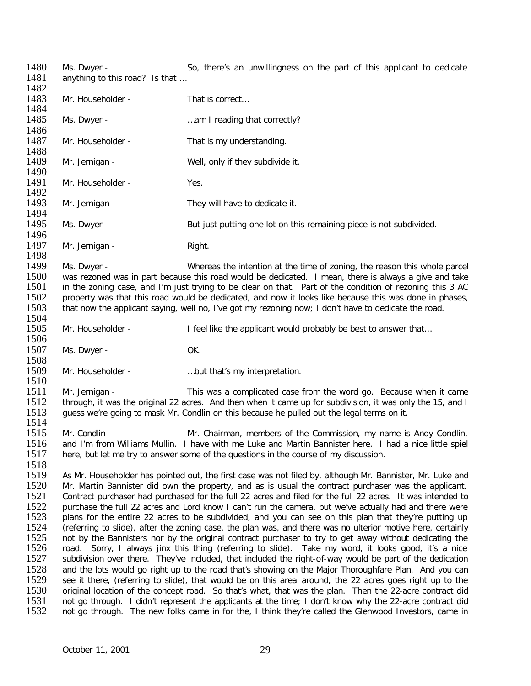1480 Ms. Dwyer - So, there's an unwillingness on the part of this applicant to dedicate<br>1481 anything to this road? Is that ... anything to this road? Is that ... 1482<br>1483 Mr. Householder - That is correct... 1484<br>1485 1485 Ms. Dwyer - …am I reading that correctly? 1486<br>1487 Mr. Householder - That is my understanding. 1488<br>1489 Mr. Jernigan - Well, only if they subdivide it. 1490<br>1491 Mr. Householder - Yes. 1492<br>1493 Mr. Jernigan - They will have to dedicate it. 1494<br>1495 Ms. Dwyer - But just putting one lot on this remaining piece is not subdivided. 1496<br>1497 Mr. Jernigan - Right. 1498<br>1499 1499 Ms. Dwyer - Whereas the intention at the time of zoning, the reason this whole parcel<br>1500 was rezoned was in part because this road would be dedicated. I mean, there is always a give and take 1500 was rezoned was in part because this road would be dedicated. I mean, there is always a give and take 1501 in the zoning case, and I'm just trying to be clear on that. Part of the condition of rezoning this 3 AC 1501 in the zoning case, and I'm just trying to be clear on that. Part of the condition of rezoning this 3 AC<br>1502 property was that this road would be dedicated, and now it looks like because this was done in phases. 1502 property was that this road would be dedicated, and now it looks like because this was done in phases, 1503 that now the applicant saving, well no, I've got my rezoning now; I don't have to dedicate the road. that now the applicant saying, well no, I've got my rezoning now; I don't have to dedicate the road. 1504<br>1505 Mr. Householder - I feel like the applicant would probably be best to answer that... 1506<br>1507 Ms. Dwyer - OK. 1508<br>1509 Mr. Householder - manufacture must be with that's my interpretation. 1510<br>1511 1511 Mr. Jernigan - This was a complicated case from the word go. Because when it came<br>1512 through, it was the original 22 acres. And then when it came up for subdivision, it was only the 15, and I 1512 through, it was the original 22 acres. And then when it came up for subdivision, it was only the 15, and I<br>1513 auess we're going to mask Mr. Condlin on this because he pulled out the legal terms on it. quess we're going to mask Mr. Condlin on this because he pulled out the legal terms on it. 1514<br>1515 1515 Mr. Condlin - Mr. Chairman, members of the Commission, my name is Andy Condlin,<br>1516 and I'm from Williams Mullin. I have with me Luke and Martin Bannister here. I had a nice little spiel 1516 and I'm from Williams Mullin. I have with me Luke and Martin Bannister here. I had a nice little spiel<br>1517 here, but let me try to answer some of the questions in the course of my discussion. here, but let me try to answer some of the questions in the course of my discussion. 1518<br>1519 1519 As Mr. Householder has pointed out, the first case was not filed by, although Mr. Bannister, Mr. Luke and<br>1520 Mr. Martin Bannister did own the property, and as is usual the contract purchaser was the applicant. 1520 Mr. Martin Bannister did own the property, and as is usual the contract purchaser was the applicant.<br>1521 Contract purchaser had purchased for the full 22 acres and filed for the full 22 acres. It was intended to 1521 Contract purchaser had purchased for the full 22 acres and filed for the full 22 acres. It was intended to<br>1522 Durchase the full 22 acres and Lord know I can't run the camera, but we've actually had and there were 1522 purchase the full 22 acres and Lord know I can't run the camera, but we've actually had and there were<br>1523 plans for the entire 22 acres to be subdivided, and you can see on this plan that they're putting up 1523 plans for the entire 22 acres to be subdivided, and you can see on this plan that they're putting up 1524 (referring to slide), after the zoning case, the plan was, and there was no ulterior motive here, certainly 1524 (referring to slide), after the zoning case, the plan was, and there was no ulterior motive here, certainly<br>1525 not by the Bannisters nor by the original contract purchaser to try to get away without dedicating the 1525 not by the Bannisters nor by the original contract purchaser to try to get away without dedicating the 15<br>1526 road. Sorry, I always jinx this thing (referring to slide). Take my word, it looks good, it's a nice 1526 road. Sorry, I always jinx this thing (referring to slide). Take my word, it looks good, it's a nice<br>1527 subdivision over there. They've included, that included the right-of-way would be part of the dedication subdivision over there. They've included, that included the right-of-way would be part of the dedication 1528 and the lots would go right up to the road that's showing on the Major Thoroughfare Plan. And you can<br>1529 see it there, (referring to slide), that would be on this area around, the 22 acres goes right up to the 1529 see it there, (referring to slide), that would be on this area around, the 22 acres goes right up to the<br>1530 original location of the concept road. So that's what, that was the plan. Then the 22-acre contract did 1530 original location of the concept road. So that's what, that was the plan. Then the 22-acre contract did<br>1531 ont go through. I didn't represent the applicants at the time: I don't know why the 22-acre contract did 1531 not go through. I didn't represent the applicants at the time; I don't know why the 22-acre contract did<br>1532 not go through. The new folks came in for the. I think they're called the Glenwood Investors, came in not go through. The new folks came in for the, I think they're called the Glenwood Investors, came in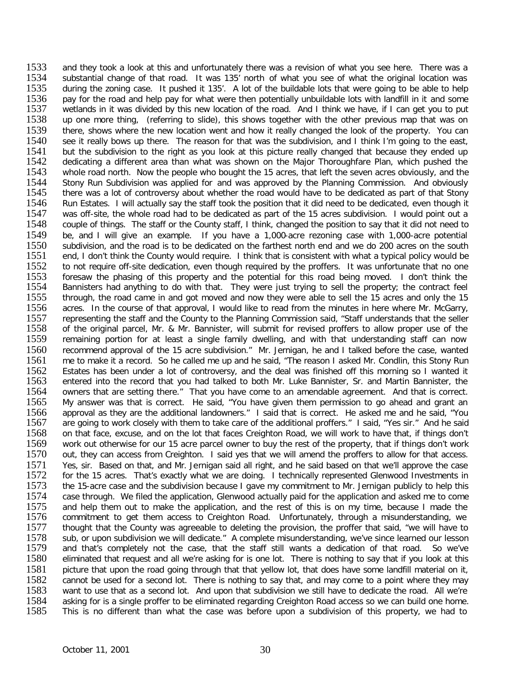1533 and they took a look at this and unfortunately there was a revision of what you see here. There was a<br>1534 substantial change of that road. It was 135' north of what you see of what the original location was 1534 substantial change of that road. It was 135' north of what you see of what the original location was<br>1535 during the zoning case. It pushed it 135'. A lot of the buildable lots that were going to be able to help during the zoning case. It pushed it 135'. A lot of the buildable lots that were going to be able to help 1536 pay for the road and help pay for what were then potentially unbuildable lots with landfill in it and some<br>1537 wetlands in it was divided by this new location of the road. And I think we have, if I can get you to put 1537 wetlands in it was divided by this new location of the road. And I think we have, if I can get you to put<br>1538 up one more thing. (referring to slide), this shows together with the other previous map that was on 1538 up one more thing, (referring to slide), this shows together with the other previous map that was on<br>1539 there, shows where the new location went and how it really changed the look of the property. You can 1539 there, shows where the new location went and how it really changed the look of the property. You can<br>1540 see it really bows up there. The reason for that was the subdivision, and I think I'm going to the east, 1540 see it really bows up there. The reason for that was the subdivision, and I think I'm going to the east,<br>1541 but the subdivision to the right as you look at this picture really changed that because they ended up 1541 but the subdivision to the right as you look at this picture really changed that because they ended up<br>1542 dedicating a different area than what was shown on the Maior Thoroughfare Plan, which pushed the 1542 dedicating a different area than what was shown on the Major Thoroughfare Plan, which pushed the 1543 whole road north. Now the people who bought the 15 acres, that left the seven acres obviously, and the 1543 whole road north. Now the people who bought the 15 acres, that left the seven acres obviously, and the 1544 Stony Run Subdivision was applied for and was approved by the Planning Commission. And obviously 1544 Stony Run Subdivision was applied for and was approved by the Planning Commission. And obviously 1545 there was a lot of controversy about whether the road would have to be dedicated as part of that Stony 1545 there was a lot of controversy about whether the road would have to be dedicated as part of that Stony<br>1546 Run Estates. I will actually say the staff took the position that it did need to be dedicated, even though it 1546 Run Estates. I will actually say the staff took the position that it did need to be dedicated, even though it<br>1547 was off-site, the whole road had to be dedicated as part of the 15 acres subdivision. I would point ou 1547 was off-site, the whole road had to be dedicated as part of the 15 acres subdivision. I would point out a<br>1548 couple of things. The staff or the County staff. I think, changed the position to say that it did not need 1548 couple of things. The staff or the County staff, I think, changed the position to say that it did not need to<br>1549 be, and I will give an example. If you have a 1,000-acre rezoning case with 1,000-acre potential 1549 be, and I will give an example. If you have a 1,000-acre rezoning case with 1,000-acre potential 1550 subdivision, and the road is to be dedicated on the farthest north end and we do 200 acres on the south 1550 subdivision, and the road is to be dedicated on the farthest north end and we do 200 acres on the south 1551 end. I don't think the County would require. I think that is consistent with what a typical policy would be 1551 end, I don't think the County would require. I think that is consistent with what a typical policy would be 1552 to not require off-site dedication, even though required by the proffers. It was unfortunate that no one 1552 to not require off-site dedication, even though required by the proffers. It was unfortunate that no one<br>1553 foresaw the phasing of this property and the potential for this road being moved. I don't think the 1553 foresaw the phasing of this property and the potential for this road being moved. I don't think the 1554 Bannisters had anything to do with that. They were just trying to sell the property: the contract feel 1554 Bannisters had anything to do with that. They were just trying to sell the property; the contract feel<br>1555 through, the road came in and got moved and now they were able to sell the 15 acres and only the 15 1555 through, the road came in and got moved and now they were able to sell the 15 acres and only the 15<br>1556 acres. In the course of that approval. I would like to read from the minutes in here where Mr. McGarry. acres. In the course of that approval, I would like to read from the minutes in here where Mr. McGarry, 1557 representing the staff and the County to the Planning Commission said, "Staff understands that the seller<br>1558 of the original parcel, Mr. & Mr. Bannister, will submit for revised proffers to allow proper use of the 1558 of the original parcel, Mr. & Mr. Bannister, will submit for revised proffers to allow proper use of the<br>1559 remaining portion for at least a single family dwelling, and with that understanding staff can now remaining portion for at least a single family dwelling, and with that understanding staff can now 1560 recommend approval of the 15 acre subdivision." Mr. Jernigan, he and I talked before the case, wanted 1561 record. So he called me up and he said. "The reason I asked Mr. Condlin, this Stony Run 1561 me to make it a record. So he called me up and he said, "The reason I asked Mr. Condlin, this Stony Run<br>1562 Estates has been under a lot of controversy, and the deal was finished off this morning so I wanted it 1562 Estates has been under a lot of controversy, and the deal was finished off this morning so I wanted it 1563 entered into the record that you had talked to both Mr. Luke Bannister, Sr. and Martin Bannister, the 1563 entered into the record that you had talked to both Mr. Luke Bannister, Sr. and Martin Bannister, the 1564 owners that are setting there." That you have come to an amendable agreement. And that is correct. 1564 owners that are setting there." That you have come to an amendable agreement. And that is correct.<br>1565 My answer was that is correct. He said, "You have given them permission to go ahead and grant an 1561 Sunders that are seemig measured in the said, "You have given them permission to go ahead and grant an<br>1566 approval as they are the additional landowners." I said that is correct. He asked me and he said, "You approval as they are the additional landowners." I said that is correct. He asked me and he said, "You 1567 are going to work closely with them to take care of the additional proffers." I said, "Yes sir." And he said<br>1568 on that face, excuse, and on the lot that faces Creighton Road, we will work to have that, if things do 1568 on that face, excuse, and on the lot that faces Creighton Road, we will work to have that, if things don't<br>1569 work out otherwise for our 15 acre parcel owner to buy the rest of the property, that if things don't wor 1569 work out otherwise for our 15 acre parcel owner to buy the rest of the property, that if things don't work<br>1570 out, they can access from Creighton. I said ves that we will amend the proffers to allow for that access. out, they can access from Creighton. I said yes that we will amend the proffers to allow for that access. 1571 Yes, sir. Based on that, and Mr. Jernigan said all right, and he said based on that we'll approve the case<br>1572 for the 15 acres. That's exactly what we are doing. I technically represented Glenwood Investments in 1572 for the 15 acres. That's exactly what we are doing. I technically represented Glenwood Investments in 1573 the 15-acre case and the subdivision because I gave my commitment to Mr. Jernigan publicly to help this 1573 the 15-acre case and the subdivision because I gave my commitment to Mr. Jernigan publicly to help this<br>1574 case through. We filed the application. Glenwood actually paid for the application and asked me to come 1574 case through. We filed the application, Glenwood actually paid for the application and asked me to come<br>1575 and help them out to make the application, and the rest of this is on my time, because I made the 1575 and help them out to make the application, and the rest of this is on my time, because I made the 1576 commitment to get them access to Creighton Road. Unfortunately, through a misunderstanding, we 1576 commitment to get them access to Creighton Road. Unfortunately, through a misunderstanding, we<br>1577 thought that the County was agreeable to deleting the provision, the proffer that said, "we will have to 1577 thought that the County was agreeable to deleting the provision, the proffer that said, "we will have to<br>1578 sub, or upon subdivision we will dedicate." A complete misunderstanding, we've since learned our lesson 1578 sub, or upon subdivision we will dedicate." A complete misunderstanding, we've since learned our lesson<br>1579 and that's completely not the case, that the staff still wants a dedication of that road. So we've 1579 and that's completely not the case, that the staff still wants a dedication of that road. So we've 1580 eliminated that request and all we're asking for is one lot. There is nothing to say that if you look at this eliminated that request and all we're asking for is one lot. There is nothing to say that if you look at this 1581 picture that upon the road going through that that yellow lot, that does have some landfill material on it,<br>1582 cannot be used for a second lot. There is nothing to say that, and may come to a point where they may 1582 cannot be used for a second lot. There is nothing to say that, and may come to a point where they may<br>1583 want to use that as a second lot. And upon that subdivision we still have to dedicate the road. All we're 1583 want to use that as a second lot. And upon that subdivision we still have to dedicate the road. All we're<br>1584 asking for is a single proffer to be eliminated regarding Creighton Road access so we can build one home. 1584 asking for is a single proffer to be eliminated regarding Creighton Road access so we can build one home.<br>1585 This is no different than what the case was before upon a subdivision of this property, we had to This is no different than what the case was before upon a subdivision of this property, we had to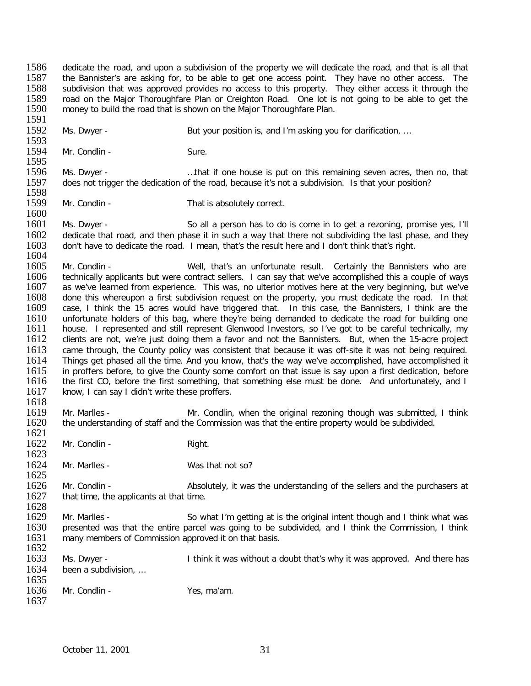1586 dedicate the road, and upon a subdivision of the property we will dedicate the road, and that is all that 1587 the Bannister's are asking for, to be able to get one access point. They have no other access. The 1587 the Bannister's are asking for, to be able to get one access point. They have no other access. The 1588 subdivision that was approved provides no access to this property. They either access it through the 1588 subdivision that was approved provides no access to this property. They either access it through the 1589 road on the Maior Thoroughfare Plan or Creighton Road. One lot is not going to be able to get the 1589 road on the Major Thoroughfare Plan or Creighton Road. One lot is not going to be able to get the 1590 money to build the road that is shown on the Major Thoroughfare Plan. money to build the road that is shown on the Major Thoroughfare Plan.

1591<br>1592 1592 Ms. Dwyer - But your position is, and I'm asking you for clarification, …

1593<br>1594 Mr. Condlin - Sure.

1595<br>1596 1596 Ms. Dwyer - ....that if one house is put on this remaining seven acres, then no, that 1597 does not trigger the dedication of the road, because it's not a subdivision. Is that your position? does not trigger the dedication of the road, because it's not a subdivision. Is that your position?

1598<br>1599 Mr. Condlin - That is absolutely correct.

1600<br>1601 1601 Ms. Dwyer - So all a person has to do is come in to get a rezoning, promise yes, I'll<br>1602 dedicate that road, and then phase it in such a way that there not subdividing the last phase, and they 1602 dedicate that road, and then phase it in such a way that there not subdividing the last phase, and they<br>1603 don't have to dedicate the road. I mean, that's the result here and I don't think that's right. don't have to dedicate the road. I mean, that's the result here and I don't think that's right.

1604<br>1605 1605 Mr. Condlin - Well, that's an unfortunate result. Certainly the Bannisters who are 1606 technically applicants but were contract sellers. I can say that we've accomplished this a couple of ways 1606 technically applicants but were contract sellers. I can say that we've accomplished this a couple of ways<br>1607 as we've learned from experience. This was, no ulterior motives here at the very beginning, but we've 1607 as we've learned from experience. This was, no ulterior motives here at the very beginning, but we've 1608 done this whereupon a first subdivision request on the property, you must dedicate the road. In that 1608 done this whereupon a first subdivision request on the property, you must dedicate the road. In that 1609 case, I think are the 1609 case, I think the 15 acres would have triggered that. In this case, the Bannisters, I think are the 1610 unfortunate holders of this bag, where the vire being demanded to dedicate the road for building one 1610 unfortunate holders of this bag, where they're being demanded to dedicate the road for building one 1611 house. I represented and still represent Glenwood Investors, so I've got to be careful technically, my 1611 house. I represented and still represent Glenwood Investors, so I've got to be careful technically, my<br>1612 clients are not, we're just doing them a favor and not the Bannisters. But, when the 15-acre project 1612 clients are not, we're just doing them a favor and not the Bannisters. But, when the 15-acre project 1613 came through, the County policy was consistent that because it was off-site it was not being required. 1613 came through, the County policy was consistent that because it was off-site it was not being required.<br>1614 Things get phased all the time. And you know, that's the way we've accomplished, have accomplished it 1614 Things get phased all the time. And you know, that's the way we've accomplished, have accomplished it 1615 in proffers before. To give the County some comfort on that issue is say upon a first dedication, before 1615 in proffers before, to give the County some comfort on that issue is say upon a first dedication, before<br>1616 the first CO, before the first something, that something else must be done. And unfortunately, and I 1616 the first CO, before the first something, that something else must be done. And unfortunately, and I<br>1617 know. I can say I didn't write these proffers. know, I can say I didn't write these proffers.

1618<br>1619 1619 Mr. Marlles - Mr. Condlin, when the original rezoning though was submitted, I think 1620 the understanding of staff and the Commission was that the entire property would be subdivided. the understanding of staff and the Commission was that the entire property would be subdivided.

1621<br>1622 Mr. Condlin - Right.

1623

1624 Mr. Marlles - Was that not so?

1625<br>1626 1626 Mr. Condlin - Absolutely, it was the understanding of the sellers and the purchasers at 1627 that time, the applicants at that time. that time, the applicants at that time.

1628<br>1629 1629 Mr. Marlles - So what I'm getting at is the original intent though and I think what was<br>1630 Dresented was that the entire parcel was going to be subdivided, and I think the Commission, I think 1630 presented was that the entire parcel was going to be subdivided, and I think the Commission, I think 1631 many members of Commission approved it on that basis. many members of Commission approved it on that basis.

1632<br>1633 Ms. Dwyer - Ithink it was without a doubt that's why it was approved. And there has 1634 been a subdivision, … 1635

| 1636 | Mr. Condlin - | Yes, ma'am. |
|------|---------------|-------------|
| 1637 |               |             |

October 11, 2001 31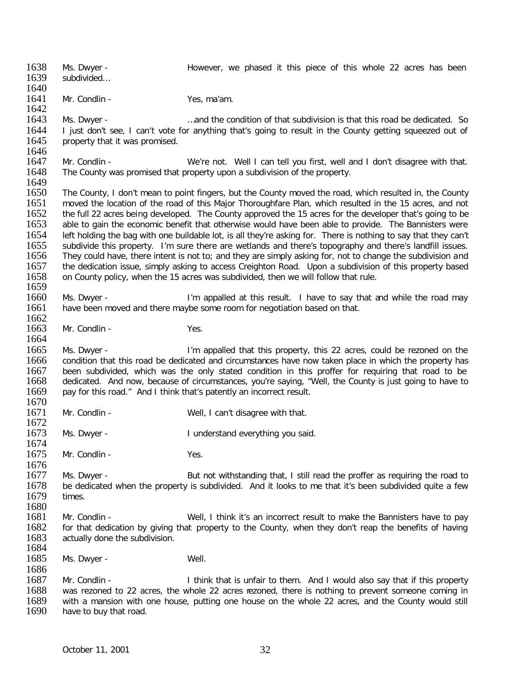1638 Ms. Dwyer - However, we phased it this piece of this whole 22 acres has been<br>1639 subdivided... subdivided... 1640<br>1641 Mr. Condlin - Yes, ma'am. 1642<br>1643 1643 Ms. Dwyer - …and the condition of that subdivision is that this road be dedicated. So<br>1644 Thiust don't see. I can't vote for anything that's going to result in the County getting squeezed out of 1644 I just don't see, I can't vote for anything that's going to result in the County getting squeezed out of 1645 property that it was promised. property that it was promised. 1646<br>1647 1647 Mr. Condlin - We're not. Well I can tell you first, well and I don't disagree with that.<br>1648 The County was promised that property upon a subdivision of the property. The County was promised that property upon a subdivision of the property. 1649<br>1650 1650 The County, I don't mean to point fingers, but the County moved the road, which resulted in, the County<br>1651 The Moved the location of the road of this Maior Thoroughfare Plan, which resulted in the 15 acres, and not 1651 moved the location of the road of this Major Thoroughfare Plan, which resulted in the 15 acres, and not<br>1652 the full 22 acres being developed. The County approved the 15 acres for the developer that's going to be 1652 the full 22 acres being developed. The County approved the 15 acres for the developer that's going to be<br>1653 able to gain the economic benefit that otherwise would have been able to provide. The Bannisters were 1653 able to gain the economic benefit that otherwise would have been able to provide. The Bannisters were<br>1654 Left holding the bag with one buildable lot, is all they're asking for. There is nothing to say that they can' 1654 left holding the bag with one buildable lot, is all they're asking for. There is nothing to say that they can't<br>1655 subdivide this property. I'm sure there are wetlands and there's topography and there's landfill iss 1655 subdivide this property. I'm sure there are wetlands and there's topography and there's landfill issues.<br>1656 They could have, there intent is not to: and they are simply asking for, not to change the subdivision and 1656 They could have, there intent is not to; and they are simply asking for, not to change the subdivision and<br>1657 the dedication issue, simply asking to access Creighton Road. Upon a subdivision of this property based 1657 the dedication issue, simply asking to access Creighton Road. Upon a subdivision of this property based 1658 on County policy, when the 15 acres was subdivided, then we will follow that rule. on County policy, when the 15 acres was subdivided, then we will follow that rule. 1659<br>1660 1660 Ms. Dwyer - I'm appalled at this result. I have to say that and while the road may<br>1661 have been moved and there mavbe some room for negotiation based on that. have been moved and there maybe some room for negotiation based on that. 1662<br>1663 Mr. Condlin - Yes. 1664 1665 Ms. Dwyer - I'm appalled that this property, this 22 acres, could be rezoned on the<br>1666 condition that this road be dedicated and circumstances have now taken place in which the property has 1666 condition that this road be dedicated and circumstances have now taken place in which the property has 16<br>1667 been subdivided, which was the only stated condition in this proffer for requiring that road to be 1667 been subdivided, which was the only stated condition in this proffer for requiring that road to be 1668 dedicated. And now, because of circumstances, you're saving, "Well, the County is just going to have to 1668 dedicated. And now, because of circumstances, you're saying, "Well, the County is just going to have to 1669 pay for this road." And I think that's patently an incorrect result. pay for this road." And I think that's patently an incorrect result. 1670<br>1671 Mr. Condlin - Well, I can't disagree with that. 1672<br>1673 Ms. Dwyer - The Mathematic Hunderstand everything you said. 1674<br>1675 Mr. Condlin - Yes. 1676<br>1677 1677 Ms. Dwyer - But not withstanding that, I still read the proffer as requiring the road to<br>1678 be dedicated when the property is subdivided. And it looks to me that it's been subdivided quite a few 1678 be dedicated when the property is subdivided. And it looks to me that it's been subdivided quite a few it a few times. 1680<br>1681 1681 Mr. Condlin - Well, I think it's an incorrect result to make the Bannisters have to pay<br>1682 for that dedication by giving that property to the County, when they don't reap the benefits of having 1682 for that dedication by giving that property to the County, when they don't reap the benefits of having 1683 actually done the subdivision. actually done the subdivision. 1684<br>1685 Ms. Dwyer - Well. 1686<br>1687 1687 Mr. Condlin - I think that is unfair to them. And I would also say that if this property<br>1688 was rezoned to 22 acres, the whole 22 acres rezoned, there is nothing to prevent someone coming in 1688 was rezoned to 22 acres, the whole 22 acres rezoned, there is nothing to prevent someone coming in 1689 with a mansion with one house, putting one house on the whole 22 acres, and the County would still 1689 with a mansion with one house, putting one house on the whole 22 acres, and the County would still 1690 have to buy that road. have to buy that road.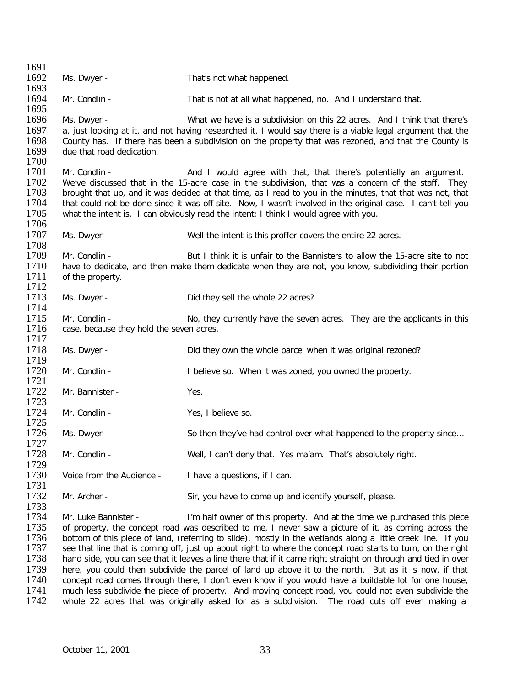1691<br>1692 Ms. Dwyer - That's not what happened. 1693<br>1694 Mr. Condlin - That is not at all what happened, no. And I understand that. 1695<br>1696 1696 Ms. Dwyer - What we have is a subdivision on this 22 acres. And I think that there's<br>1697 a. just looking at it, and not having researched it. I would say there is a viable legal argument that the 1697 a, just looking at it, and not having researched it, I would say there is a viable legal argument that the<br>1698 County has. If there has been a subdivision on the property that was rezoned, and that the County is 1698 County has. If there has been a subdivision on the property that was rezoned, and that the County is 1699 due that road dedication. due that road dedication. 1700<br>1701 1701 Mr. Condlin - **And I would agree with that, that there's potentially an argument.**<br>1702 We've discussed that in the 15-acre case in the subdivision, that was a concern of the staff. They 1702 We've discussed that in the 15-acre case in the subdivision, that was a concern of the staff. They 1703 brought that up, and it was decided at that time, as I read to you in the minutes, that that was not, that 1703 brought that up, and it was decided at that time, as I read to you in the minutes, that that was not, that 1704 that could not be done since it was off-site. Now, I wasn't involved in the original case. I can't tell y 1704 that could not be done since it was off-site. Now, I wasn't involved in the original case. I can't tell you<br>1705 what the intent is. I can obviously read the intent: I think I would agree with you. what the intent is. I can obviously read the intent; I think I would agree with you. 1706<br>1707 Ms. Dwyer - Well the intent is this proffer covers the entire 22 acres. 1708<br>1709 1709 Mr. Condlin - But I think it is unfair to the Bannisters to allow the 15-acre site to not 1710 have to dedicate, and then make them dedicate when they are not, you know, subdividing their portion 1710 have to dedicate, and then make them dedicate when they are not, you know, subdividing their portion 1711 of the property. of the property.  $\frac{1712}{1713}$ Ms. Dwyer - Did they sell the whole 22 acres? 1714 1715 Mr. Condlin - No, they currently have the seven acres. They are the applicants in this 1716 case, because they hold the seven acres. case, because they hold the seven acres. 1717<br>1718 Ms. Dwyer - The Did they own the whole parcel when it was original rezoned? 1719<br>1720 Mr. Condlin - Thelieve so. When it was zoned, you owned the property. 1721 Mr. Bannister - Yes. 1723<br>1724 Mr. Condlin - Yes, I believe so. 1725<br>1726 Ms. Dwyer - So then they've had control over what happened to the property since... 1727<br>1728 Mr. Condlin - Well, I can't deny that. Yes ma'am. That's absolutely right. 1729<br>1730 Voice from the Audience - I have a questions, if I can. 1731<br>1732 Mr. Archer - Sir, you have to come up and identify yourself, please. 1733<br>1734 1734 Mr. Luke Bannister - I'm half owner of this property. And at the time we purchased this piece<br>1735 of property, the concept road was described to me. I never saw a picture of it, as coming across the 1735 of property, the concept road was described to me, I never saw a picture of it, as coming across the 1736 bottom of this piece of land, (referring to slide), mostly in the wetlands along a little creek line. If you 1736 bottom of this piece of land, (referring to slide), mostly in the wetlands along a little creek line. If you<br>1737 see that line that is coming off, just up about right to where the concept road starts to turn, on the 1737 see that line that is coming off, just up about right to where the concept road starts to turn, on the right 1738 hand side, you can see that it leaves a line there that if it came right straight on through and tied i 1738 hand side, you can see that it leaves a line there that if it came right straight on through and tied in over<br>1739 here, you could then subdivide the parcel of land up above it to the north. But as it is now, if that 1739 here, you could then subdivide the parcel of land up above it to the north. But as it is now, if that 1740 concept road comes through there. I don't even know if you would have a buildable lot for one house. 1740 concept road comes through there, I don't even know if you would have a buildable lot for one house,<br>1741 much less subdivide the piece of property. And moving concept road, you could not even subdivide the 1741 much less subdivide the piece of property. And moving concept road, you could not even subdivide the 1742 whole 22 acres that was originally asked for as a subdivision. The road cuts off even making a whole 22 acres that was originally asked for as a subdivision. The road cuts off even making a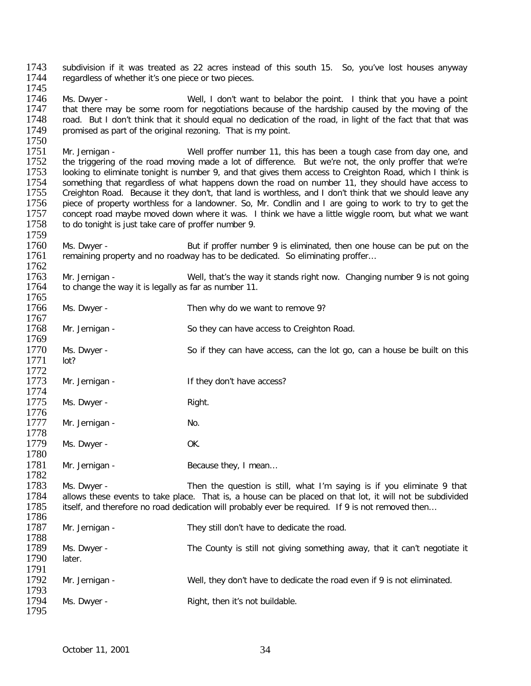1743 subdivision if it was treated as 22 acres instead of this south 15. So, you've lost houses anyway 1744 regardless of whether it's one piece or two pieces. regardless of whether it's one piece or two pieces.

1745<br>1746 1746 Ms. Dwyer - Well, I don't want to belabor the point. I think that you have a point<br>1747 that there may be some room for negotiations because of the hardship caused by the moving of the 1747 that there may be some room for negotiations because of the hardship caused by the moving of the 1748 road. But I don't think that it should equal no dedication of the road, in light of the fact that that was 1748 road. But I don't think that it should equal no dedication of the road, in light of the fact that that was<br>1749 roromised as part of the original rezoning. That is my point. promised as part of the original rezoning. That is my point.

1750<br>1751 1751 Mr. Jernigan - Well proffer number 11, this has been a tough case from day one, and<br>1752 the triggering of the road moving made a lot of difference. But we're not, the only proffer that we're 1752 the triggering of the road moving made a lot of difference. But we're not, the only proffer that we're 1753 Iooking to eliminate tonight is number 9, and that gives them access to Creighton Road, which I think is 1753 looking to eliminate tonight is number 9, and that gives them access to Creighton Road, which I think is<br>1754 something that regardless of what happens down the road on number 11, they should have access to 1754 something that regardless of what happens down the road on number 11, they should have access to 1755 Creighton Road. Because it they don't that land is worthless, and I don't think that we should leave any 1755 Creighton Road. Because it they don't, that land is worthless, and I don't think that we should leave any<br>1756 piece of property worthless for a landowner. So, Mr. Condlin and I are going to work to try to get the 1756 piece of property worthless for a landowner. So, Mr. Condlin and I are going to work to try to get the 1757 concept road maybe moved down where it was. I think we have a little wigale room, but what we want 1757 concept road maybe moved down where it was. I think we have a little wiggle room, but what we want 1758 to do tonight is just take care of proffer number 9. to do tonight is just take care of proffer number 9.

1759<br>1760 1760 Ms. Dwyer - But if proffer number 9 is eliminated, then one house can be put on the 1761 remaining property and no roadway has to be dedicated. So eliminating proffer... remaining property and no roadway has to be dedicated. So eliminating proffer...

1762<br>1763 1763 Mr. Jernigan - Well, that's the way it stands right now. Changing number 9 is not going 1764 to change the way it is legally as far as number 11. to change the way it is legally as far as number 11.

1765<br>1766 Ms. Dwyer - Then why do we want to remove 9? 1767<br>1768 Mr. Jernigan - So they can have access to Creighton Road. 1769<br>1770 Ms. Dwyer - So if they can have access, can the lot go, can a house be built on this 1771 lot? 1772<br>1773 Mr. Jernigan - If they don't have access? 1774<br>1775 Ms. Dwyer - Right. 1776<br>1777 Mr. Jernigan - No. 1778<br>1779

Ms. Dwyer - OK. 1780

1781 Mr. Jernigan - Because they, I mean...

1782<br>1783 1783 Ms. Dwyer - Then the question is still, what I'm saying is if you eliminate 9 that 1784 allows these events to take place. That is, a house can be placed on that lot, it will not be subdivided 1784 allows these events to take place. That is, a house can be placed on that lot, it will not be subdivided 1785 itself, and therefore no road dedication will probably ever be required. If 9 is not removed then... itself, and therefore no road dedication will probably ever be required. If 9 is not removed then...

1786<br>1787 Mr. Jernigan - They still don't have to dedicate the road. 1788<br>1789 Ms. Dwyer - The County is still not giving something away, that it can't negotiate it later. 1790 1791<br>1792 Mr. Jernigan - Well, they don't have to dedicate the road even if 9 is not eliminated. 1793<br>1794 Ms. Dwyer - Right, then it's not buildable. 1795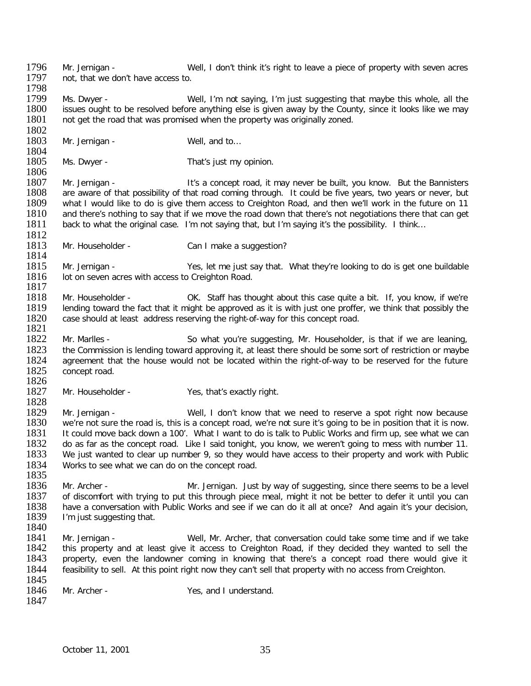1802<br>1803 Mr. Jernigan - Well, and to... 1804<br>1805 Ms. Dwyer - That's just my opinion. 1806<br>1807 1807 Mr. Jernigan - It's a concept road, it may never be built, you know. But the Bannisters<br>1808 – are aware of that possibility of that road coming through. It could be five years, two years or never, but 1808 are aware of that possibility of that road coming through. It could be five years, two years or never, but<br>1809 what I would like to do is give them access to Creighton Road, and then we'll work in the future on 11 1809 what I would like to do is give them access to Creighton Road, and then we'll work in the future on 11<br>1810 and there's nothing to say that if we move the road down that there's not negotiations there that can get 1810 and there's nothing to say that if we move the road down that there's not negotiations there that can get<br>1811 back to what the original case. I'm not saving that, but I'm saving it's the possibility. I think... back to what the original case. I'm not saying that, but I'm saying it's the possibility. I think... 1812<br>1813 Mr. Householder - Can I make a suggestion? 1814<br>1815 1815 Mr. Jernigan - Yes, let me just say that. What they're looking to do is get one buildable 1816 Iot on seven acres with access to Creighton Road. lot on seven acres with access to Creighton Road. 1817<br>1818 1818 Mr. Householder - OK. Staff has thought about this case quite a bit. If, you know, if we're 1819 Iending toward the fact that it might be approved as it is with just one proffer, we think that possibly the 1819 lending toward the fact that it might be approved as it is with just one proffer, we think that possibly the 1820 case should at least address reserving the right-of-way for this concept road. case should at least address reserving the right-of-way for this concept road. 1821<br>1822 1822 Mr. Marlles - So what you're suggesting, Mr. Householder, is that if we are leaning, 1823 the Commission is lending toward approving it, at least there should be some sort of restriction or maybe 1823 the Commission is lending toward approving it, at least there should be some sort of restriction or maybe<br>1824 aareement that the house would not be located within the right-of-way to be reserved for the future 1824 agreement that the house would not be located within the right-of-way to be reserved for the future 1825 concept road. concept road. 1826<br>1827 Mr. Householder - Yes, that's exactly right. 1828<br>1829 1829 Mr. Jernigan - Well, I don't know that we need to reserve a spot right now because<br>1830 we're not sure the road is, this is a concept road, we're not sure it's going to be in position that it is now. 1830 we're not sure the road is, this is a concept road, we're not sure it's going to be in position that it is now.<br>1831 It could move back down a 100'. What I want to do is talk to Public Works and firm up, see what we c 1831 It could move back down a 100'. What I want to do is talk to Public Works and firm up, see what we can<br>1832 do as far as the concept road. Like I said tonight, you know, we weren't going to mess with number 11. 1832 do as far as the concept road. Like I said tonight, you know, we weren't going to mess with number 11.<br>1833 We just wanted to clear up number 9, so they would have access to their property and work with Public We just wanted to clear up number 9, so they would have access to their property and work with Public 1834 Works to see what we can do on the concept road. 1835<br>1836 1836 Mr. Archer - Mr. Jernigan. Just by way of suggesting, since there seems to be a level<br>1837 of discomfort with trying to put this through piece meal, might it not be better to defer it until you can 1837 of discomfort with trying to put this through piece meal, might it not be better to defer it until you can<br>1838 have a conversation with Public Works and see if we can do it all at once? And again it's vour decision, 1838 have a conversation with Public Works and see if we can do it all at once? And again it's your decision, <br>1839 Film just suggesting that. I'm just suggesting that. 1840<br>1841 1841 Mr. Jernigan - Well, Mr. Archer, that conversation could take some time and if we take<br>1842 this property and at least give it access to Creighton Road, if they decided they wanted to sell the 1842 this property and at least give it access to Creighton Road, if they decided they wanted to sell the 1843 property, even the landowner coming in knowing that there's a concept road there would give it 1843 property, even the landowner coming in knowing that there's a concept road there would give it 1844 feasibility to sell. At this point right now they can't sell that property with no access from Creighton. feasibility to sell. At this point right now they can't sell that property with no access from Creighton. 1845<br>1846 Mr. Archer - Yes, and I understand. 1847

1796 Mr. Jernigan - Well, I don't think it's right to leave a piece of property with seven acres<br>1797 not that we don't have access to

1799 Ms. Dwyer - Well, I'm not saying, I'm just suggesting that maybe this whole, all the 1800 issues ought to be resolved before anything else is given away by the County, since it looks like we may 1800 issues ought to be resolved before anything else is given away by the County, since it looks like we may<br>1801 not get the road that was promised when the property was originally zoned.

not get the road that was promised when the property was originally zoned.

not, that we don't have access to.

1798<br>1799

October 11, 2001 35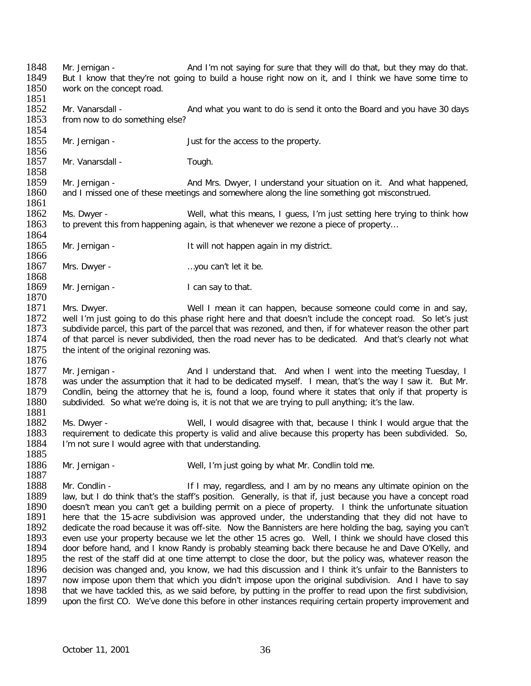1848 Mr. Jernigan - And I'm not saying for sure that they will do that, but they may do that.<br>1849 But I know that they're not going to build a house right now on it, and I think we have some time to 1849 But I know that they're not going to build a house right now on it, and I think we have some time to 1850 work on the concept road. 1851<br>1852 1852 Mr. Vanarsdall - And what you want to do is send it onto the Board and you have 30 days<br>1853 from now to do something else? from now to do something else? 1854<br>1855 Mr. Jernigan - The state of Just for the access to the property. 1856<br>1857 Mr. Vanarsdall - Tough. 1858<br>1859 1859 Mr. Jernigan - And Mrs. Dwyer, I understand your situation on it. And what happened, 1860 and I missed one of these meetings and somewhere along the line something got misconstrued. and I missed one of these meetings and somewhere along the line something got misconstrued. 1861<br>1862 1862 Ms. Dwyer - Well, what this means, I guess, I'm just setting here trying to think how<br>1863 to prevent this from happening again, is that whenever we rezone a piece of property... to prevent this from happening again, is that whenever we rezone a piece of property... 1864<br>1865 Mr. Jernigan - It will not happen again in my district. 1866<br>1867 Mrs. Dwyer - matches are more more can't let it be. 1868<br>1869 Mr. Jernigan - I can say to that. 1870<br>1871 1871 Mrs. Dwyer. Well I mean it can happen, because someone could come in and say,<br>1872 well I'm just going to do this phase right here and that doesn't include the concept road. So let's just 1872 well I'm just going to do this phase right here and that doesn't include the concept road. So let's just<br>1873 subdivide parcel, this part of the parcel that was rezoned, and then, if for whatever reason the other part 1873 subdivide parcel, this part of the parcel that was rezoned, and then, if for whatever reason the other part<br>1874 of that parcel is never subdivided, then the road never has to be dedicated. And that's clearly not what 1874 of that parcel is never subdivided, then the road never has to be dedicated. And that's clearly not what <br>1875 the intent of the original rezoning was. the intent of the original rezoning was. 1876<br>1877 1877 Mr. Jernigan - **And I understand that.** And when I went into the meeting Tuesday, I<br>1878 was under the assumption that it had to be dedicated myself. I mean, that's the way I saw it. But Mr. 1878 was under the assumption that it had to be dedicated myself. I mean, that's the way I saw it. But Mr.<br>1879 Condlin, being the attorney that he is, found a loop, found where it states that only if that property is 1879 Condlin, being the attorney that he is, found a loop, found where it states that only if that property is<br>1880 subdivided. So what we're doing is, it is not that we are trying to pull anything: it's the law. subdivided. So what we're doing is, it is not that we are trying to pull anything; it's the law. 1881 1882 Ms. Dwyer - Well, I would disagree with that, because I think I would argue that the<br>1883 Trequirement to dedicate this property is valid and alive because this property has been subdivided. So, 1883 requirement to dedicate this property is valid and alive because this property has been subdivided. So, 1884 in Tym not sure I would agree with that understanding. I'm not sure I would agree with that understanding. 1885 1886 Mr. Jernigan - Well, I'm just going by what Mr. Condlin told me. 1887<br>1888 1888 Mr. Condlin - If I may, regardless, and I am by no means any ultimate opinion on the<br>1889 Iaw, but I do think that's the staff's position. Generally, is that if, just because you have a concept road 1889 law, but I do think that's the staff's position. Generally, is that if, just because you have a concept road<br>1890 doesn't mean you can't get a building permit on a piece of property. I think the unfortunate situation 1890 doesn't mean you can't get a building permit on a piece of property. I think the unfortunate situation<br>1891 here that the 15-acre subdivision was approved under, the understanding that they did not have to 1891 here that the 15-acre subdivision was approved under, the understanding that they did not have to 1892 dedicate the road because it was off-site. Now the Bannisters are here holding the bag, saving vou can't 1892 dedicate the road because it was off-site. Now the Bannisters are here holding the bag, saying you can't<br>1893 even use your property because we let the other 15 acres go. Well. I think we should have closed this 1893 even use your property because we let the other 15 acres go. Well, I think we should have closed this 1894 door before hand, and I know Randy is probably steaming back there because he and Dave O'Kelly, and 1894 door before hand, and I know Randy is probably steaming back there because he and Dave O'Kelly, and 1895 the rest of the staff did at one time attempt to close the door, but the policy was, whatever reason the the rest of the staff did at one time attempt to close the door, but the policy was, whatever reason the 1896 decision was changed and, you know, we had this discussion and I think it's unfair to the Bannisters to 1897 now impose upon them that which you didn't impose upon them that which you didn't impose upon them that whic 1897 now impose upon them that which you didn't impose upon the original subdivision. And I have to say<br>1898 that we have tackled this, as we said before, by putting in the proffer to read upon the first subdivision, 1898 that we have tackled this, as we said before, by putting in the proffer to read upon the first subdivision,<br>1899 upon the first CO. We've done this before in other instances requiring certain property improvement and upon the first CO. We've done this before in other instances requiring certain property improvement and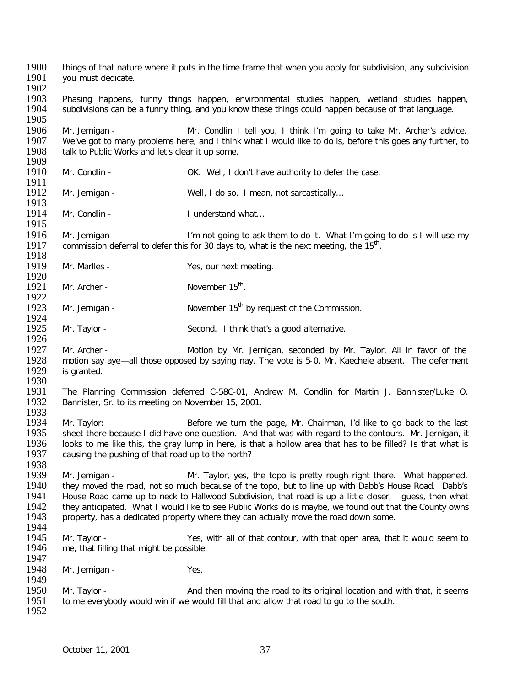1900 things of that nature where it puts in the time frame that when you apply for subdivision, any subdivision<br>1901 vou must dedicate. vou must dedicate. 1902<br>1903 1903 Phasing happens, funny things happen, environmental studies happen, wetland studies happen,<br>1904 Subdivisionscanibela funny thing, and youlknow theselthingslould happen becauselof that language. subdivisions can be a funny thing, and you know these things could happen because of that language. 1905<br>1906 1906 Mr. Jernigan - Mr. Condlin I tell you, I think I'm going to take Mr. Archer's advice.<br>1907 We've got to many problems here, and I think what I would like to do is, before this goes any further, to 1907 We've got to many problems here, and I think what I would like to do is, before this goes any further, to<br>1908 talk to Public Works and let's clear it up some. talk to Public Works and let's clear it up some. 1909<br>1910 Mr. Condlin - COK. Well, I don't have authority to defer the case. 1911<br>1912 Mr. Jernigan - Well, I do so. I mean, not sarcastically... 1913<br>1914 Mr. Condlin - I understand what... 1915<br>1916 1916 Mr. Jernigan - I'm not going to ask them to do it. What I'm going to do is I will use my<br>1917 commission deferral to defer this for 30 days to, what is the next meeting, the 15<sup>th</sup>. commission deferral to defer this for 30 days to, what is the next meeting, the  $15<sup>th</sup>$ . 1918<br>1919 Mr. Marlles - Yes, our next meeting. 1920<br>1921 Mr. Archer -  $November 15<sup>th</sup>$ . 1922<br>1923 Mr. Jernigan -  $November 15<sup>th</sup>$  by request of the Commission. 1924<br>1925 Mr. Taylor - Second. I think that's a good alternative. 1926<br>1927 1927 Mr. Archer - Motion by Mr. Jernigan, seconded by Mr. Taylor. All in favor of the<br>1928 motion say ave—all those opposed by saving nay. The vote is 5-0. Mr. Kaechele absent. The deferment 1928 motion say aye—all those opposed by saying nay. The vote is 5-0, Mr. Kaechele absent. The deferment 1929 is granted. is granted. 1930<br>1931 1931 The Planning Commission deferred C-58C-01, Andrew M. Condlin for Martin J. Bannister/Luke O.<br>1932 Bannister, Sr. to its meeting on November 15, 2001. Bannister, Sr. to its meeting on November 15, 2001. 1933<br>1934 1934 Mr. Taylor: Before we turn the page, Mr. Chairman, I'd like to go back to the last<br>1935 sheet there because I did have one question. And that was with regard to the contours. Mr. Jernigan, it 1935 sheet there because I did have one question. And that was with regard to the contours. Mr. Jernigan, it 1936 looks to me like this, the grav lump in here, is that a hollow area that has to be filled? Is that what is 1936 looks to me like this, the gray lump in here, is that a hollow area that has to be filled? Is that what is 1937 causing the pushing of that road up to the north? causing the pushing of that road up to the north? 1938<br>1939 1939 Mr. Jernigan - Mr. Taylor, yes, the topo is pretty rough right there. What happened,<br>1940 they moved the road, not so much because of the topo, but to line up with Dabb's House Road. Dabb's 1940 they moved the road, not so much because of the topo, but to line up with Dabb's House Road. Dabb's 1941 House Road came up to neck to Hallwood Subdivision, that road is up a little closer. I quess, then what 1941 House Road came up to neck to Hallwood Subdivision, that road is up a little closer, I guess, then what <br>1942 they anticipated. What I would like to see Public Works do is maybe, we found out that the County owns 1942 they anticipated. What I would like to see Public Works do is maybe, we found out that the County owns 1943 rooperty, has a dedicated property where they can actually move the road down some. property, has a dedicated property where they can actually move the road down some. 1944<br>1945 1945 Mr. Taylor - Yes, with all of that contour, with that open area, that it would seem to 1946 me. that filling that might be possible. me, that filling that might be possible. 1947 1948 Mr. Jernigan - Yes. 1949<br>1950 1950 Mr. Taylor - <br>1951 to me everybody would win if we would fill that and allow that road to go to the south. to me everybody would win if we would fill that and allow that road to go to the south. 1952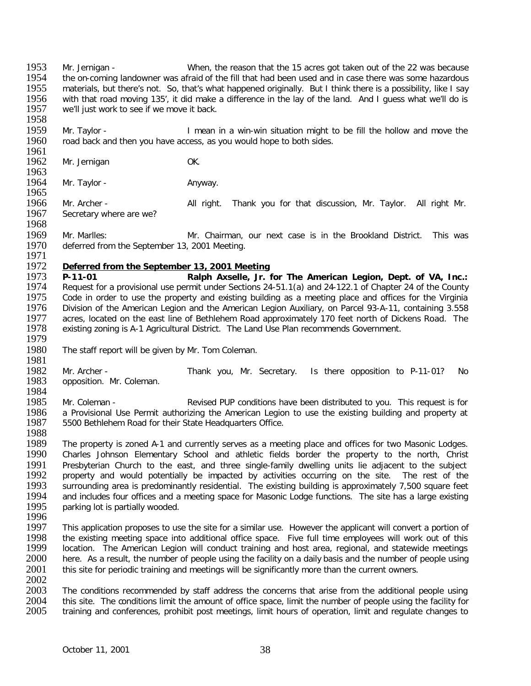1953 Mr. Jernigan - When, the reason that the 15 acres got taken out of the 22 was because<br>1954 the on-coming landowner was afraid of the fill that had been used and in case there was some hazardous 1954 the on-coming landowner was afraid of the fill that had been used and in case there was some hazardous<br>1955 Thaterials, but there's not. So, that's what happened originally. But I think there is a possibility, like I 1955 materials, but there's not. So, that's what happened originally. But I think there is a possibility, like I say<br>1956 with that road moving 135', it did make a difference in the lav of the land. And I quess what we'll 1956 with that road moving 135', it did make a difference in the lay of the land. And I guess what we'll do is<br>1957 we'll iust work to see if we move it back. we'll just work to see if we move it back.

1958<br>1959 1959 Mr. Taylor - I mean in a win-win situation might to be fill the hollow and move the 1960 road back and then you have access, as you would hope to both sides. road back and then you have access, as you would hope to both sides.

1961<br>1962 Mr. Jernigan OK.

1963<br>1964 Mr. Taylor - Anyway.

1965<br>1966 1966 Mr. Archer - All right. Thank you for that discussion, Mr. Taylor. All right Mr.<br>1967 Secretary where are we? Secretary where are we?

1968<br>1969 1969 Mr. Marlles: Mr. Chairman, our next case is in the Brookland District. This was<br>1970 deferred from the September 13, 2001 Meeting. deferred from the September 13, 2001 Meeting.

## 1971<br>1972 1972 *Deferred from the September 13, 2001 Meeting*

1973 **P-11-01 Ralph Axselle, Jr. for The American Legion, Dept. of VA, Inc.:** 1974 Request for a provisional use permit under Sections 24-51.1(a) and 24-122.1 of Chapter 24 of the County<br>1975 Code in order to use the property and existing building as a meeting place and offices for the Virginia 1975 Code in order to use the property and existing building as a meeting place and offices for the Virginia<br>1976 Division of the American Legion and the American Legion Auxiliary, on Parcel 93-A-11, containing 3.558 Division of the American Legion and the American Legion Auxiliary, on Parcel 93-A-11, containing 3.558 1977 acres, located on the east line of Bethlehem Road approximately 170 feet north of Dickens Road. The 1978<br>1978 existing zoning is A-1 Agricultural District. The Land Use Plan recommends Government. existing zoning is A-1 Agricultural District. The Land Use Plan recommends Government.

- 1979<br>1980 The staff report will be given by Mr. Tom Coleman.
- 1981<br>1982 1982 Mr. Archer - Thank you, Mr. Secretary. Is there opposition to P-11-01? No<br>1983 opposition. Mr. Coleman. opposition. Mr. Coleman.
- 1984<br>1985 1985 Mr. Coleman - The Revised PUP conditions have been distributed to you. This request is for a Provisional Use Permit authorizing the American Legion to use the existing building and property at 1986 a Provisional Use Permit authorizing the American Legion to use the existing building and property at 1987 5500 Bethlehem Road for their State Headquarters Office. 5500 Bethlehem Road for their State Headquarters Office.
- 1988<br>1989

1989 The property is zoned A-1 and currently serves as a meeting place and offices for two Masonic Lodges.<br>1990 Charles Johnson Elementary School and athletic fields border the property to the north. Christ Charles Johnson Elementary School and athletic fields border the property to the north, Christ 1991 Presbyterian Church to the east, and three single-family dwelling units lie adjacent to the subject 1992 property and would potentially be impacted by activities occurring on the site. The rest of the 1992 property and would potentially be impacted by activities occurring on the site. The rest of the 1993 surrounding area is predominantly residential. The existing building is approximately 7,500 square feet 1993 surrounding area is predominantly residential. The existing building is approximately 7,500 square feet 1994 and includes four offices and a meeting space for Masonic Lodge functions. The site has a large existing 1994 and includes four offices and a meeting space for Masonic Lodge functions. The site has a large existing 1995 parking lot is partially wooded. parking lot is partially wooded.

- 1996<br>1997
- 1997 This application proposes to use the site for a similar use. However the applicant will convert a portion of<br>1998 The existing meeting space into additional office space. Five full time emplovees will work out of this 1998 the existing meeting space into additional office space. Five full time employees will work out of this 1999 Iocation. The American Legion will conduct training and host area, regional, and statewide meetings 1999 location. The American Legion will conduct training and host area, regional, and statewide meetings 2000 here. As a result, the number of people using 2000 here. As a result, the number of people using the facility on a daily basis and the number of people using<br>2001 this site for periodic training and meetings will be significantly more than the current owners. this site for periodic training and meetings will be significantly more than the current owners.
- 2002<br>2003 2003 The conditions recommended by staff address the concerns that arise from the additional people using<br>2004 this site. The conditions limit the amount of office space. limit the number of people using the facility for 2004 this site. The conditions limit the amount of office space, limit the number of people using the facility for<br>2005 training and conferences, probibit post meetings, limit hours of operation, limit and regulate changes 2005 training and conferences, prohibit post meetings, limit hours of operation, limit and regulate changes to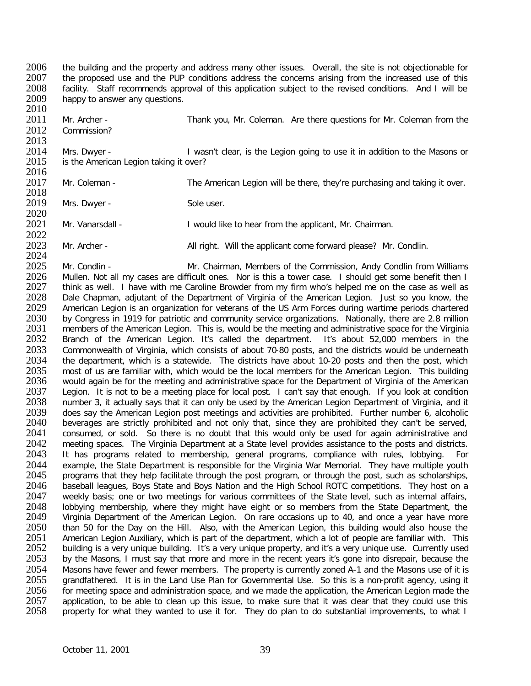2006 the building and the property and address many other issues. Overall, the site is not objectionable for<br>2007 the proposed use and the PUP conditions address the concerns arising from the increased use of this 2007 the proposed use and the PUP conditions address the concerns arising from the increased use of this 2008 facility. Staff recommends approval of this application subject to the revised conditions. And I will be 2008 facility. Staff recommends approval of this application subject to the revised conditions. And I will be 2009 happy to answer any questions. happy to answer any questions.

2010<br>2011 2011 Mr. Archer - Thank you, Mr. Coleman. Are there questions for Mr. Coleman from the 2012 Commission? Commission?

2013<br>2014 2014 Mrs. Dwyer - I wasn't clear, is the Legion going to use it in addition to the Masons or 2015 is the American Legion taking it over? is the American Legion taking it over?

2016<br>2017 Mr. Coleman - The American Legion will be there, they're purchasing and taking it over.

2018<br>2019 Mrs. Dwyer - Sole user.

2020<br>2021 Mr. Vanarsdall - **I** would like to hear from the applicant, Mr. Chairman.

2022<br>2023 Mr. Archer - All right. Will the applicant come forward please? Mr. Condlin.

2024<br>2025 2025 Mr. Condlin - Mr. Chairman, Members of the Commission, Andy Condlin from Williams<br>2026 Mullen. Not all my cases are difficult ones. Nor is this a tower case. I should get some benefit then I 2026 Mullen. Not all my cases are difficult ones. Nor is this a tower case. I should get some benefit then I<br>2027 think as well. I have with me Caroline Browder from my firm who's helped me on the case as well as 2027 think as well. I have with me Caroline Browder from my firm who's helped me on the case as well as 2028 Dale Chapman, adjutant of the Department of Virginia of the American Legion. Just so you know, the 2028 Dale Chapman, adjutant of the Department of Virginia of the American Legion. Just so you know, the 2029 American Legion is an organization for veterans of the US Arm Forces during wartime periods chartered 2029 American Legion is an organization for veterans of the US Arm Forces during wartime periods chartered<br>2030 by Congress in 1919 for patriotic and community service organizations. Nationally, there are 2.8 million 2030 by Congress in 1919 for patriotic and community service organizations. Nationally, there are 2.8 million<br>2031 members of the American Legion. This is, would be the meeting and administrative space for the Virginia 2031 members of the American Legion. This is, would be the meeting and administrative space for the Virginia<br>2032 Branch of the American Legion. It's called the department. It's about 52.000 members in the 2032 Branch of the American Legion. It's called the department. It's about 52,000 members in the 2033 Commonwealth of Virginia, which consists of about 70-80 posts, and the districts would be underneath 2033 Commonwealth of Virginia, which consists of about 70-80 posts, and the districts would be underneath<br>2034 the department, which is a statewide. The districts have about 10-20 posts and then the post, which 2034 the department, which is a statewide. The districts have about 10-20 posts and then the post, which 2035 most of us are familiar with, which would be the local members for the American Legion. This building 2035 most of us are familiar with, which would be the local members for the American Legion. This building<br>2036 would again be for the meeting and administrative space for the Department of Virginia of the American 2036 would again be for the meeting and administrative space for the Department of Virginia of the American<br>2037 Legion. It is not to be a meeting place for local post. I can't say that enough. If you look at condition 2037 Legion. It is not to be a meeting place for local post. I can't say that enough. If you look at condition<br>2038 number 3, it actually says that it can only be used by the American Legion Department of Virginia, and it 2038 number 3, it actually says that it can only be used by the American Legion Department of Virginia, and it<br>2039 does say the American Legion post meetings and activities are prohibited. Further number 6, alcoholic 2039 does say the American Legion post meetings and activities are prohibited. Further number 6, alcoholic 2040 beverages are strictly prohibited and not only that, since they are prohibited they can't be served. 2040 beverages are strictly prohibited and not only that, since they are prohibited they can't be served, 2041 consumed, or sold. So there is no doubt that this would only be used for again administrative and 2041 consumed, or sold. So there is no doubt that this would only be used for again administrative and 2042 meeting spaces. The Virginia Department at a State level provides assistance to the posts and districts. 2042 meeting spaces. The Virginia Department at a State level provides assistance to the posts and districts.<br>2043 It has programs related to membership, general programs, compliance with rules, lobbying. For It has programs related to membership, general programs, compliance with rules, lobbying. For 2044 example, the State Department is responsible for the Virginia War Memorial. They have multiple youth 2045 programs that they help facilitate through the post program, or through the post, such as scholarships. 2045 programs that they help facilitate through the post program, or through the post, such as scholarships, 2046 baseball leagues, Boys State and Boys Nation and the High School ROTC competitions. They host on a 2046 baseball leagues, Boys State and Boys Nation and the High School ROTC competitions. They host on a<br>2047 veekly basis: one or two meetings for various committees of the State level, such as internal affairs. 2047 weekly basis; one or two meetings for various committees of the State level, such as internal affairs, 2048 Iobbying membership, where they might have eight or so members from the State Department, the 2048 lobbying membership, where they might have eight or so members from the State Department, the 2049 Virginia Department of the American Legion. On rare occasions up to 40, and once a vear have more 2049 Virginia Department of the American Legion. On rare occasions up to 40, and once a year have more 2050 than 50 for the Dav on the Hill. Also, with the American Legion, this building would also house the 2050 than 50 for the Day on the Hill. Also, with the American Legion, this building would also house the 2051 American Legion Auxiliary, which is part of the department, which a lot of people are familiar with. This 2051 American Legion Auxiliary, which is part of the department, which a lot of people are familiar with. This<br>2052 building is a very unique building. It's a very unique property, and it's a very unique use. Currently use 2052 building is a very unique building. It's a very unique property, and it's a very unique use. Currently used<br>2053 by the Masons. I must say that more and more in the recent vears it's gone into disrepair, because the by the Masons, I must say that more and more in the recent years it's gone into disrepair, because the 2054 Masons have fewer and fewer members. The property is currently zoned A-1 and the Masons use of it is<br>2055 arandfathered. It is in the Land Use Plan for Governmental Use. So this is a non-profit agency, using it 2055 grandfathered. It is in the Land Use Plan for Governmental Use. So this is a non-profit agency, using it 2056 for meeting space and administration space, and we made the application, the American Legion made the 2056 for meeting space and administration space, and we made the application, the American Legion made the 2057 application, to be able to clean up this issue, to make sure that it was clear that they could use this 2057 application, to be able to clean up this issue, to make sure that it was clear that they could use this 2058 property for what they wanted to use it for. They do plan to do substantial improvements, to what I property for what they wanted to use it for. They do plan to do substantial improvements, to what I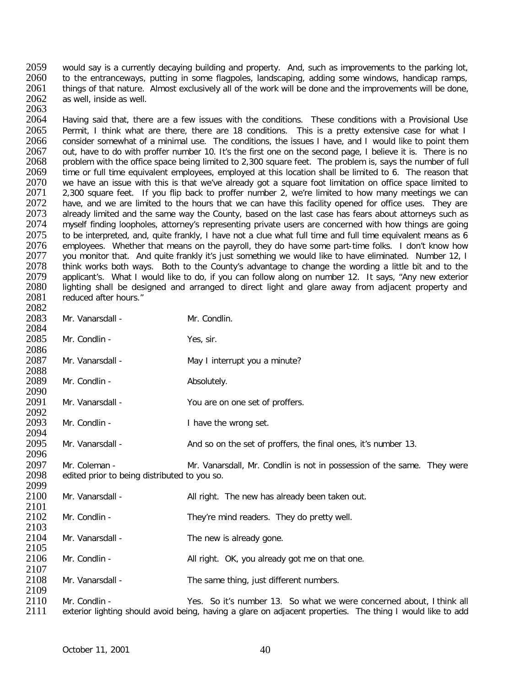2059 would say is a currently decaying building and property. And, such as improvements to the parking lot, 2060 to the entranceways, putting in some flagpoles. Jandscaping, adding some windows, handicap ramps, 2060 to the entranceways, putting in some flagpoles, landscaping, adding some windows, handicap ramps, 2061 things of that nature. Almost exclusively all of the work will be done and the improvements will be done. 2061 things of that nature. Almost exclusively all of the work will be done and the improvements will be done, <br>2062 as well, inside as well. as well, inside as well.

2063<br>2064 2064 Having said that, there are a few issues with the conditions. These conditions with a Provisional Use<br>2065 Permit. I think what are there, there are 18 conditions. This is a pretty extensive case for what I 2065 Permit, I think what are there, there are 18 conditions. This is a pretty extensive case for what I<br>2066 consider somewhat of a minimal use. The conditions, the issues I have, and I would like to point them 2066 consider somewhat of a minimal use. The conditions, the issues I have, and I would like to point them<br>2067 out, have to do with proffer number 10. It's the first one on the second page. I believe it is. There is no 2067 out, have to do with proffer number 10. It's the first one on the second page, I believe it is. There is no<br>2068 oroblem with the office space being limited to 2.300 square feet. The problem is, says the number of ful 2068 problem with the office space being limited to 2,300 square feet. The problem is, says the number of full<br>2069 time or full time equivalent employees, employed at this location shall be limited to 6. The reason that 2069 time or full time equivalent employees, employed at this location shall be limited to 6. The reason that <br>2070 we have an issue with this is that we've already got a square foot limitation on office space limited to 2070 we have an issue with this is that we've already got a square foot limitation on office space limited to 2071 2.300 square feet. If you flip back to proffer number 2, we're limited to how many meetings we can 2071 2,300 square feet. If you flip back to proffer number 2, we're limited to how many meetings we can<br>2072 have, and we are limited to the hours that we can have this facility opened for office uses. They are 2072 have, and we are limited to the hours that we can have this facility opened for office uses. They are 2073 already limited and the same way the County, based on the last case has fears about attorneys such as 2073 already limited and the same way the County, based on the last case has fears about attorneys such as <br>2074 myself finding loopholes, attorney's representing private users are concerned with how things are going 2074 myself finding loopholes, attorney's representing private users are concerned with how things are going<br>2075 to be interpreted, and, quite frankly. I have not a clue what full time and full time equivalent means as 6 2075 to be interpreted, and, quite frankly, I have not a clue what full time and full time equivalent means as 6<br>2076 employees. Whether that means on the payroll, they do have some part-time folks. I don't know how 2076 employees. Whether that means on the payroll, they do have some part-time folks. I don't know how<br>2077 vou monitor that. And quite frankly it's just something we would like to have eliminated. Number 12. I 2077 you monitor that. And quite frankly it's just something we would like to have eliminated. Number 12, I<br>2078 think works both ways. Both to the County's advantage to change the wording a little bit and to the 2078 think works both ways. Both to the County's advantage to change the wording a little bit and to the 2079 applicant's. What I would like to do, if you can follow along on number 12. It says, "Any new exterior 2079 applicant's. What I would like to do, if you can follow along on number 12. It says, "Any new exterior<br>2080 lighting shall be designed and arranged to direct light and glare away from adiacent property and 2080 Iighting shall be designed and arranged to direct light and glare away from adjacent property and 2081 reduced after hours." reduced after hours." 2082

| ----         |                                              |                                                                                                            |
|--------------|----------------------------------------------|------------------------------------------------------------------------------------------------------------|
| 2083         | Mr. Vanarsdall -                             | Mr. Condlin.                                                                                               |
| 2084         |                                              |                                                                                                            |
| 2085         | Mr. Condlin -                                | Yes, sir.                                                                                                  |
| 2086         |                                              |                                                                                                            |
| 2087         | Mr. Vanarsdall -                             | May I interrupt you a minute?                                                                              |
| 2088         |                                              |                                                                                                            |
| 2089         | Mr. Condlin -                                | Absolutely.                                                                                                |
| 2090         |                                              |                                                                                                            |
| 2091         | Mr. Vanarsdall -                             | You are on one set of proffers.                                                                            |
| 2092         |                                              |                                                                                                            |
| 2093         | Mr. Condlin -                                | I have the wrong set.                                                                                      |
| 2094         |                                              |                                                                                                            |
| 2095         | Mr. Vanarsdall -                             | And so on the set of proffers, the final ones, it's number 13.                                             |
| 2096         |                                              |                                                                                                            |
| 2097         | Mr. Coleman -                                | Mr. Vanarsdall, Mr. Condlin is not in possession of the same. They were                                    |
| 2098         | edited prior to being distributed to you so. |                                                                                                            |
| 2099         |                                              |                                                                                                            |
| 2100         | Mr. Vanarsdall -                             | All right. The new has already been taken out.                                                             |
| 2101         |                                              |                                                                                                            |
| 2102         | Mr. Condlin -                                | They're mind readers. They do pretty well.                                                                 |
| 2103<br>2104 | Mr. Vanarsdall -                             |                                                                                                            |
| 2105         |                                              | The new is already gone.                                                                                   |
| 2106         | Mr. Condlin -                                | All right. OK, you already got me on that one.                                                             |
| 2107         |                                              |                                                                                                            |
| 2108         | Mr. Vanarsdall -                             | The same thing, just different numbers.                                                                    |
| 2109         |                                              |                                                                                                            |
| 2110         | Mr. Condlin -                                | Yes. So it's number 13. So what we were concerned about, I think all                                       |
| 2111         |                                              | exterior lighting should avoid being, having a glare on adjacent properties. The thing I would like to add |
|              |                                              |                                                                                                            |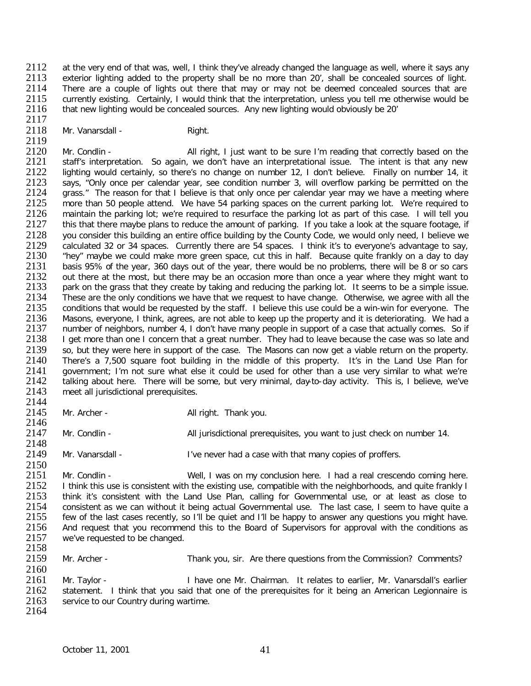2112 at the very end of that was, well, I think they've already changed the language as well, where it says any<br>2113 exterior lighting added to the property shall be no more than 20', shall be concealed sources of light. 2113 exterior lighting added to the property shall be no more than 20', shall be concealed sources of light.<br>2114 There are a couple of lights out there that may or may not be deemed concealed sources that are 2114 There are a couple of lights out there that may or may not be deemed concealed sources that are<br>2115 Currently existing. Certainly, I would think that the interpretation, unless you tell me otherwise would be 2115 currently existing. Certainly, I would think that the interpretation, unless you tell me otherwise would be<br>2116 that new lighting would be concealed sources. Any new lighting would obviously be 20' that new lighting would be concealed sources. Any new lighting would obviously be 20'

- 2117<br>2118
	- Mr. Vanarsdall Right.

2119<br>2120 2120 Mr. Condlin - All right, I just want to be sure I'm reading that correctly based on the 2121 staff's interpretation. So again, we don't have an interpretational issue. The intent is that any new 2121 staff's interpretation. So again, we don't have an interpretational issue. The intent is that any new<br>2122 lighting would certainly, so there's no change on number 12, I don't believe. Finally on number 14, it 2122 lighting would certainly, so there's no change on number 12, I don't believe. Finally on number 14, it 2123 says, "Only once per calendar vear, see condition number 3, will overflow parking be permitted on the 2123 says, "Only once per calendar year, see condition number 3, will overflow parking be permitted on the 2124 arass." The reason for that I believe is that only once per calendar vear may we have a meeting where 2124 grass." The reason for that I believe is that only once per calendar year may we have a meeting where 2125 more than 50 people attend. We have 54 parking spaces on the current parking lot. We're required to 2125 more than 50 people attend. We have 54 parking spaces on the current parking lot. We're required to 2126 maintain the parking lot: we're required to 2126 2126 maintain the parking lot; we're required to resurface the parking lot as part of this case. I will tell you<br>2127 this that there maybe plans to reduce the amount of parking. If you take a look at the square footage, i 2127 this that there maybe plans to reduce the amount of parking. If you take a look at the square footage, if<br>2128 vou consider this building an entire office building by the County Code, we would only need. I believe we 2128 you consider this building an entire office building by the County Code, we would only need, I believe we<br>2129 calculated 32 or 34 spaces. Currently there are 54 spaces. I think it's to everyone's advantage to say. 2129 calculated 32 or 34 spaces. Currently there are 54 spaces. I think it's to everyone's advantage to say,<br>2130 thev'' maybe we could make more green space, cut this in half. Because quite frankly on a day to day 2130 "hey" maybe we could make more green space, cut this in half. Because quite frankly on a day to day<br>2131 basis 95% of the vear, 360 davs out of the vear, there would be no problems, there will be 8 or so cars 2131 basis 95% of the year, 360 days out of the year, there would be no problems, there will be 8 or so cars<br>2132 out there at the most, but there may be an occasion more than once a vear where they might want to 2132 out there at the most, but there may be an occasion more than once a year where they might want to 2133 park on the grass that they create by taking and reducing the parking lot. It seems to be a simple issue. 2133 park on the grass that they create by taking and reducing the parking lot. It seems to be a simple issue.<br>2134 These are the only conditions we have that we request to have change. Otherwise, we agree with all the 2134 These are the only conditions we have that we request to have change. Otherwise, we agree with all the 2135 conditions that would be requested by the staff. I believe this use could be a win-win for everyone. The conditions that would be requested by the staff. I believe this use could be a win-win for everyone. The 2136 Masons, everyone, I think, agrees, are not able to keep up the property and it is deteriorating. We had a<br>2137 number of neighbors, number 4, I don't have many people in support of a case that actually comes. So if 2137 number of neighbors, number 4, I don't have many people in support of a case that actually comes. So if<br>2138 I get more than one I concern that a great number. They had to leave because the case was so late and 2138 I get more than one I concern that a great number. They had to leave because the case was so late and 2139 so, but they were here in support of the case. The Masons can now get a viable return on the property. 2139 so, but they were here in support of the case. The Masons can now get a viable return on the property.<br>2140 There's a 7.500 square foot building in the middle of this property. It's in the Land Use Plan for 2140 There's a 7,500 square foot building in the middle of this property. It's in the Land Use Plan for 2141 aovernment: I'm not sure what else it could be used for other than a use very similar to what we're 2141 government; I'm not sure what else it could be used for other than a use very similar to what we're 2142 talking about here. There will be some, but very minimal, day-to-day activity. This is, I believe, we've 2142 talking about here. There will be some, but very minimal, day-to-day activity. This is, I believe, we've <br>2143 meet all iurisdictional prerequisites. meet all jurisdictional prerequisites.

- 2144<br>2145
	- Mr. Archer All right. Thank you.

2146<br>2147 Mr. Condlin - All jurisdictional prerequisites, you want to just check on number 14.

2148<br>2149 Mr. Vanarsdall - **I've never had a case with that many copies of proffers.** 

2150<br>2151 2151 Mr. Condlin - Well, I was on my conclusion here. I had a real crescendo coming here.<br>2152 I think this use is consistent with the existing use, compatible with the neighborhoods, and quite frankly I 2152 I think this use is consistent with the existing use, compatible with the neighborhoods, and quite frankly I<br>2153 I think it's consistent with the Land Use Plan, calling for Governmental use, or at least as close to 2153 think it's consistent with the Land Use Plan, calling for Governmental use, or at least as close to 2154 consistent as we can without it being actual Governmental use. The last case, I seem to have quite a 2154 consistent as we can without it being actual Governmental use. The last case, I seem to have quite a<br>2155 few of the last cases recently, so I'll be quiet and I'll be happy to answer any questions you might have 2155 few of the last cases recently, so I'll be quiet and I'll be happy to answer any questions you might have.<br>2156 And request that you recommend this to the Board of Supervisors for approval with the conditions as 2156 And request that you recommend this to the Board of Supervisors for approval with the conditions as 2157 we've requested to be changed. we've requested to be changed.

2158<br>2159

Mr. Archer - Thank you, sir. Are there questions from the Commission? Comments?

2160<br>2161 2161 Mr. Taylor - I have one Mr. Chairman. It relates to earlier, Mr. Vanarsdall's earlier<br>2162 statement. I think that you said that one of the prerequisites for it being an American Legionnaire is 2162 statement. I think that you said that one of the prerequisites for it being an American Legionnaire is 2163 service to our Country during wartime. service to our Country during wartime. 2164

October 11, 2001 41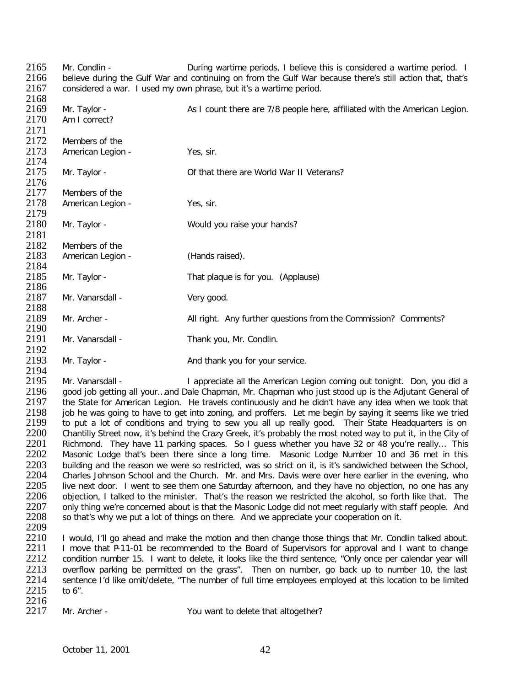2165 Mr. Condlin - During wartime periods, I believe this is considered a wartime period. I<br>2166 believe during the Gulf War and continuing on from the Gulf War because there's still action that, that's 2166 believe during the Gulf War and continuing on from the Gulf War because there's still action that, that's 2167 considered a war. I used my own phrase, but it's a wartime period. considered a war. I used my own phrase, but it's a wartime period. 2168<br>2169 2169 Mr. Taylor - As I count there are 7/8 people here, affiliated with the American Legion.<br>2170 Am I correct? Am I correct? 2171<br>2172 2172 Members of the<br>2173 American Legion American Legion - Yes, sir. 2174<br>2175 Mr. Taylor - **2217 COM** Of that there are World War II Veterans? 2176<br>2177 2177 Members of the<br>2178 American Legion American Legion - Yes, sir. 2179<br>2180 Mr. Taylor - Would you raise your hands? 2181<br>2182 2182 Members of the<br>2183 American Legion American Legion - (Hands raised). 2184<br>2185 Mr. Taylor - That plaque is for you. (Applause) 2186<br>2187 Mr. Vanarsdall - Very good. 2188<br>2189 Mr. Archer - All right. Any further questions from the Commission? Comments? 2190<br>2191 Mr. Vanarsdall - Thank you, Mr. Condlin. 2192<br>2193 Mr. Taylor - And thank you for your service. 2194<br>2195 2195 Mr. Vanarsdall - I appreciate all the American Legion coming out tonight. Don, you did a<br>2196 aood job getting all your...and Dale Chapman, Mr. Chapman who just stood up is the Adjutant General of

2196 good job getting all your...and Dale Chapman, Mr. Chapman who just stood up is the Adjutant General of 2197 the State for American Legion. He travels continuously and he didn't have any idea when we took that 2197 the State for American Legion. He travels continuously and he didn't have any idea when we took that 2198 job he was going to have to get into zoning, and proffers. Let me begin by saying it seems like we tried 2198 job he was going to have to get into zoning, and proffers. Let me begin by saying it seems like we tried<br>2199 to put a lot of conditions and trying to sew you all up really good. Their State Headguarters is on 2199 to put a lot of conditions and trying to sew you all up really good. Their State Headquarters is on 2200 Chantilly Street now, it's behind the Crazy Greek, it's probably the most noted way to put it, in the City of 2200 Chantilly Street now, it's behind the Crazy Greek, it's probably the most noted way to put it, in the City of 2201 Richmond. They have 11 parking spaces. So I quess whether you have 32 or 48 you're really... This 2201 Richmond. They have 11 parking spaces. So I guess whether you have 32 or 48 you're really... This<br>2202 Masonic Lodge that's been there since a long time. Masonic Lodge Number 10 and 36 met in this Masonic Lodge that's been there since a long time. Masonic Lodge Number 10 and 36 met in this 2203 building and the reason we were so restricted, was so strict on it, is it's sandwiched between the School,<br>2204 Charles Johnson School and the Church. Mr. and Mrs. Davis were over here earlier in the evening, who 2204 Charles Johnson School and the Church. Mr. and Mrs. Davis were over here earlier in the evening, who<br>2205 live next door. I went to see them one Saturday afternoon, and they have no objection, no one has any 2205 live next door. I went to see them one Saturday afternoon, and they have no objection, no one has any 2206 objection. I talked to the minister. That's the reason we restricted the alcohol, so forth like that. The 2206 objection, I talked to the minister. That's the reason we restricted the alcohol, so forth like that. The<br>2207 only thing we're concerned about is that the Masonic Lodge did not meet regularly with staff people. And 2207 only thing we're concerned about is that the Masonic Lodge did not meet regularly with staff people. And 2208 so that's why we put a lot of things on there. And we appreciate your cooperation on it. so that's why we put a lot of things on there. And we appreciate your cooperation on it.

2209<br>2210 2210 I would, I'll go ahead and make the motion and then change those things that Mr. Condlin talked about.<br>2211 I move that P-11-01 be recommended to the Board of Supervisors for approval and I want to change 2211 I move that P-11-01 be recommended to the Board of Supervisors for approval and I want to change<br>2212 condition number 15. I want to delete, it looks like the third sentence, "Only once per calendar vear will condition number 15. I want to delete, it looks like the third sentence, "Only once per calendar year will 2213 overflow parking be permitted on the grass". Then on number, go back up to number 10, the last 2214 sentence I'd like omit/delete. "The number of full time employees employed at this location to be limited 2214 sentence I'd like omit/delete, "The number of full time employees employed at this location to be limited 2215 to 6". to  $6"$ .

2216<br>2217

Mr. Archer - You want to delete that altogether?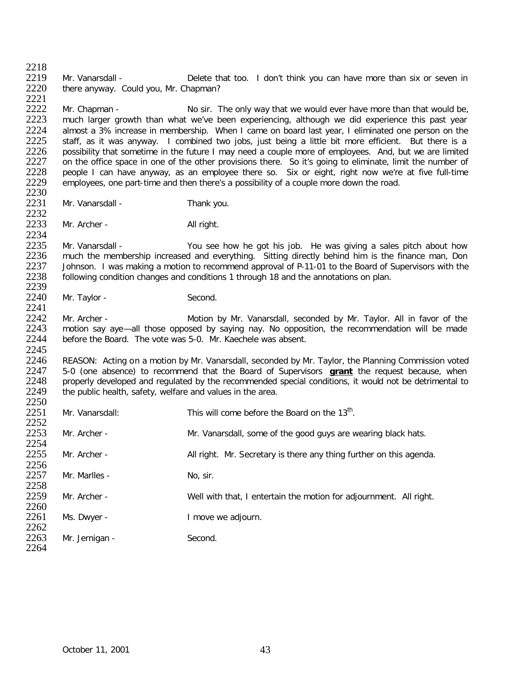2218<br>2219 2219 Mr. Vanarsdall - Delete that too. I don't think you can have more than six or seven in 2220 there anyway. Could you. Mr. Chapman? there anyway. Could you, Mr. Chapman?

2221 2222 Mr. Chapman - No sir. The only way that we would ever have more than that would be,<br>2223 much larger growth than what we've been experiencing, although we did experience this past year 2223 much larger growth than what we've been experiencing, although we did experience this past year<br>2224 almost a 3% increase in membership. When I came on board last year. Leliminated one person on the 2224 almost a 3% increase in membership. When I came on board last year, I eliminated one person on the 2225 staff, as it was anyway. I combined two jobs, just being a little bit more efficient. But there is a 2225 staff, as it was anyway. I combined two jobs, just being a little bit more efficient. But there is a 2226 possibility that sometime in the future I may need a couple more of employees. And, but we are limited 2226 possibility that sometime in the future I may need a couple more of employees. And, but we are limited 2227 on the office space in one of the other provisions there. So it's going to eliminate, limit the number of 2227 on the office space in one of the other provisions there. So it's going to eliminate, limit the number of<br>2228 people I can have anyway, as an employee there so. Six or eight, right now we're at five full-time 2228 people I can have anyway, as an employee there so. Six or eight, right now we're at five full-time 2229 employees, one part-time and then there's a possibility of a couple more down the road. employees, one part-time and then there's a possibility of a couple more down the road.

- 2230<br>2231 Mr. Vanarsdall - Thank you.
- 2232<br>2233 Mr. Archer - All right.

2234<br>2235 2235 Mr. Vanarsdall - You see how he got his job. He was giving a sales pitch about how<br>2236 much the membership increased and everything. Sitting directly behind him is the finance man. Don 2236 much the membership increased and everything. Sitting directly behind him is the finance man, Don<br>2237 Johnson. I was making a motion to recommend approval of P-11-01 to the Board of Supervisors with the 2237 Johnson. I was making a motion to recommend approval of P-11-01 to the Board of Supervisors with the 2238 following condition changes and conditions 1 through 18 and the annotations on plan. following condition changes and conditions 1 through 18 and the annotations on plan.

2239<br>2240 Mr. Taylor - Second.

2241<br>2242 2242 Mr. Archer - Motion by Mr. Vanarsdall, seconded by Mr. Taylor. All in favor of the 2243 motion say aye—all those opposed by saying nay. No opposition, the recommendation will be made 2243 motion say aye—all those opposed by saying nay. No opposition, the recommendation will be made 2244 before the Board. The vote was 5-0. Mr. Kaechele was absent. before the Board. The vote was 5-0. Mr. Kaechele was absent.

2245<br>2246 2246 REASON: Acting on a motion by Mr. Vanarsdall, seconded by Mr. Taylor, the Planning Commission voted 2247 5-0 (one absence) to recommend that the Board of Supervisors arant the request because, when 2247 5-0 (one absence) to recommend that the Board of Supervisors **grant** the request because, when 2248 properly developed and regulated by the recommended special conditions, it would not be detrimental to 2249 the public health, safety, welfare and values in the area. the public health, safety, welfare and values in the area. 2250

| 2251         | Mr. Vanarsdall: | This will come before the Board on the 13 <sup>th</sup> .           |
|--------------|-----------------|---------------------------------------------------------------------|
| 2252         |                 |                                                                     |
| 2253<br>2254 | Mr. Archer -    | Mr. Vanarsdall, some of the good guys are wearing black hats.       |
| 2255         | Mr. Archer -    | All right. Mr. Secretary is there any thing further on this agenda. |
| 2256         |                 |                                                                     |
| 2257         | Mr. Marlles -   | No, sir.                                                            |
| 2258         |                 |                                                                     |
| 2259         | Mr. Archer -    | Well with that, I entertain the motion for adjournment. All right.  |
| 2260         |                 |                                                                     |
| 2261         | Ms. Dwyer -     | I move we adjourn.                                                  |
| 2262         |                 |                                                                     |
| 2263         | Mr. Jernigan -  | Second.                                                             |
| 2264         |                 |                                                                     |